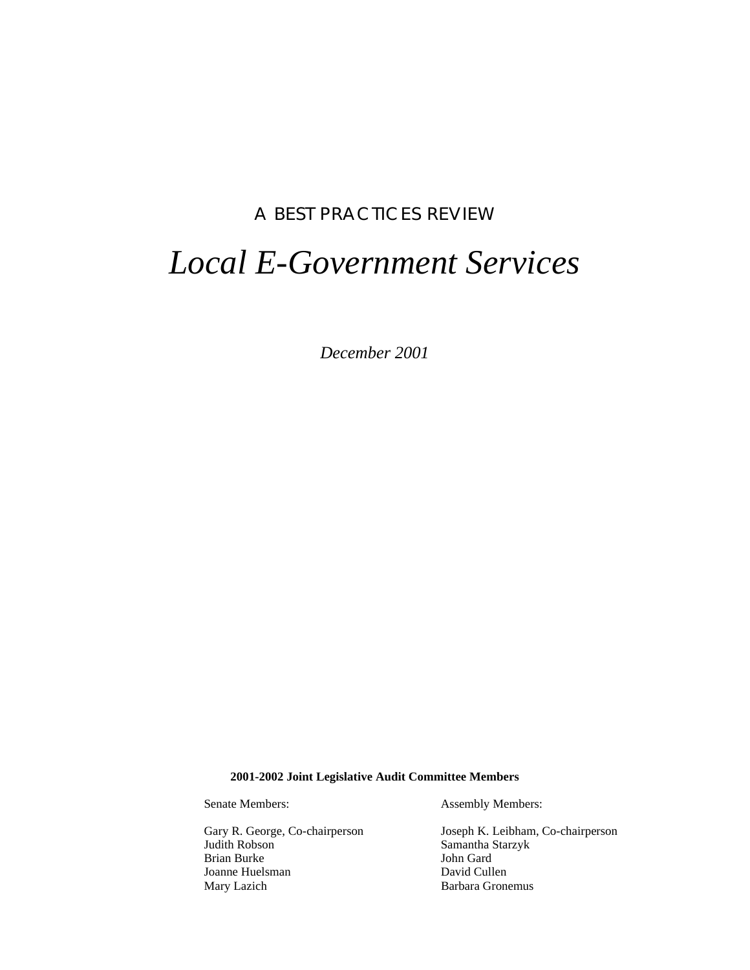## A BEST PRACTICES REVIEW

# *Local E-Government Services*

*December 2001*

#### **2001-2002 Joint Legislative Audit Committee Members**

Brian Burke Joanne Huelsman David Cullen Mary Lazich Barbara Gronemus

Senate Members: Assembly Members:

Gary R. George, Co-chairperson<br>
Judith Robson<br>
Samantha Starzyk Samantha Starzyk<br>John Gard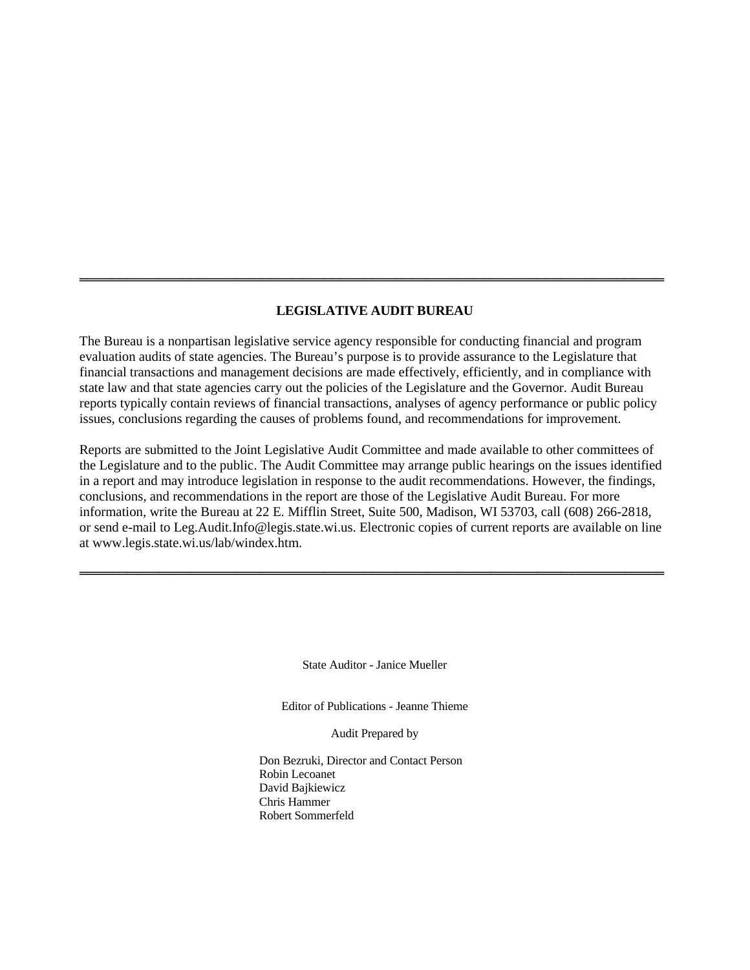#### **LEGISLATIVE AUDIT BUREAU**

══════════════════════════════════════════════════════════════════════════

The Bureau is a nonpartisan legislative service agency responsible for conducting financial and program evaluation audits of state agencies. The Bureau's purpose is to provide assurance to the Legislature that financial transactions and management decisions are made effectively, efficiently, and in compliance with state law and that state agencies carry out the policies of the Legislature and the Governor. Audit Bureau reports typically contain reviews of financial transactions, analyses of agency performance or public policy issues, conclusions regarding the causes of problems found, and recommendations for improvement.

Reports are submitted to the Joint Legislative Audit Committee and made available to other committees of the Legislature and to the public. The Audit Committee may arrange public hearings on the issues identified in a report and may introduce legislation in response to the audit recommendations. However, the findings, conclusions, and recommendations in the report are those of the Legislative Audit Bureau. For more information, write the Bureau at 22 E. Mifflin Street, Suite 500, Madison, WI 53703, call (608) 266-2818, or send e-mail to Leg.Audit.Info@legis.state.wi.us. Electronic copies of current reports are available on line at www.legis.state.wi.us/lab/windex.htm.

══════════════════════════════════════════════════════════════════════════

State Auditor - Janice Mueller

Editor of Publications - Jeanne Thieme

Audit Prepared by

Don Bezruki, Director and Contact Person Robin Lecoanet David Bajkiewicz Chris Hammer Robert Sommerfeld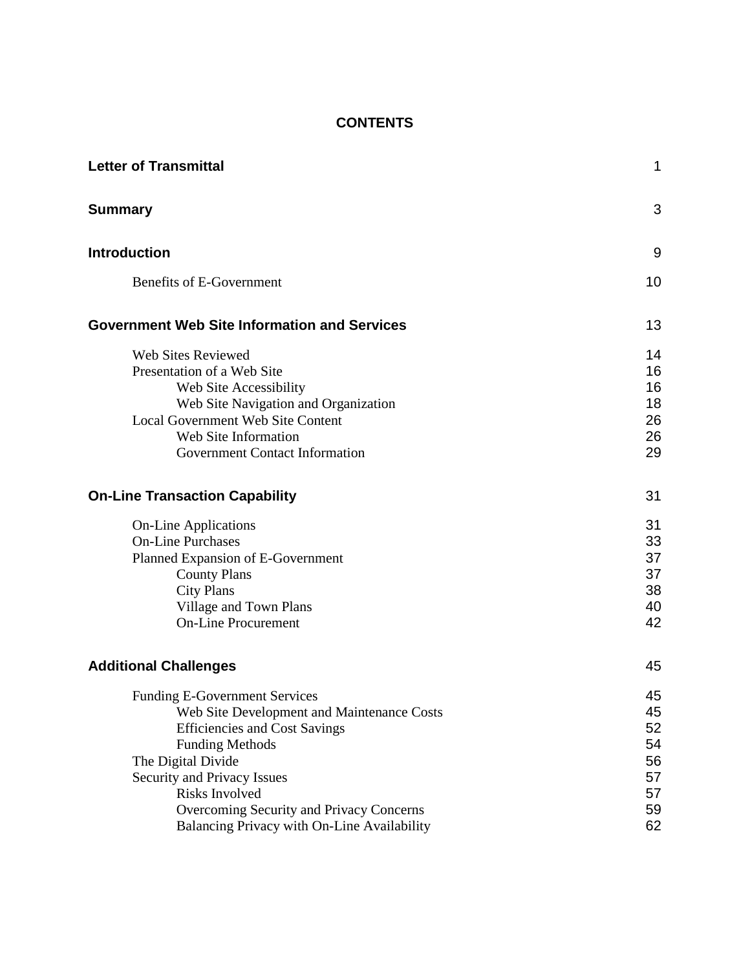## **CONTENTS**

| <b>Letter of Transmittal</b>                                                                                                                                                                                                                                                                                           | $\mathbf 1$                                        |
|------------------------------------------------------------------------------------------------------------------------------------------------------------------------------------------------------------------------------------------------------------------------------------------------------------------------|----------------------------------------------------|
| <b>Summary</b>                                                                                                                                                                                                                                                                                                         | 3                                                  |
| <b>Introduction</b>                                                                                                                                                                                                                                                                                                    | 9                                                  |
| <b>Benefits of E-Government</b>                                                                                                                                                                                                                                                                                        | 10                                                 |
| <b>Government Web Site Information and Services</b>                                                                                                                                                                                                                                                                    | 13                                                 |
| <b>Web Sites Reviewed</b><br>Presentation of a Web Site<br>Web Site Accessibility<br>Web Site Navigation and Organization<br><b>Local Government Web Site Content</b><br>Web Site Information<br><b>Government Contact Information</b>                                                                                 | 14<br>16<br>16<br>18<br>26<br>26<br>29             |
| <b>On-Line Transaction Capability</b>                                                                                                                                                                                                                                                                                  | 31                                                 |
| <b>On-Line Applications</b><br><b>On-Line Purchases</b><br>Planned Expansion of E-Government<br><b>County Plans</b><br><b>City Plans</b><br>Village and Town Plans<br><b>On-Line Procurement</b>                                                                                                                       | 31<br>33<br>37<br>37<br>38<br>40<br>42             |
| <b>Additional Challenges</b>                                                                                                                                                                                                                                                                                           | 45                                                 |
| <b>Funding E-Government Services</b><br>Web Site Development and Maintenance Costs<br><b>Efficiencies and Cost Savings</b><br><b>Funding Methods</b><br>The Digital Divide<br>Security and Privacy Issues<br>Risks Involved<br>Overcoming Security and Privacy Concerns<br>Balancing Privacy with On-Line Availability | 45<br>45<br>52<br>54<br>56<br>57<br>57<br>59<br>62 |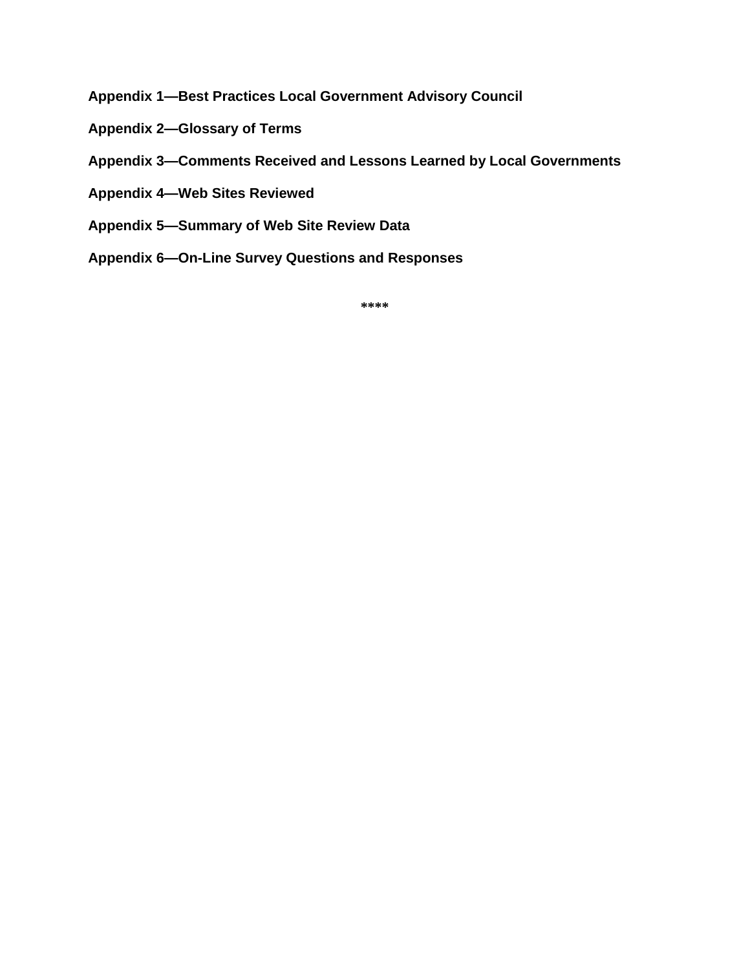- **[Appendix 1—Best Practices Local Government Advisory Council](#page-68-0)**
- **[Appendix 2—Glossary of Terms](#page-70-0)**
- **[Appendix 3—Comments Received and Lessons Learned by Local Governments](#page-72-0)**
- **[Appendix 4—Web Sites Reviewed](#page-76-0)**
- **[Appendix 5—Summary of Web Site Review Data](#page-82-0)**
- **[Appendix 6—On-Line Survey Questions and Responses](#page-86-0)**

**\*\*\*\***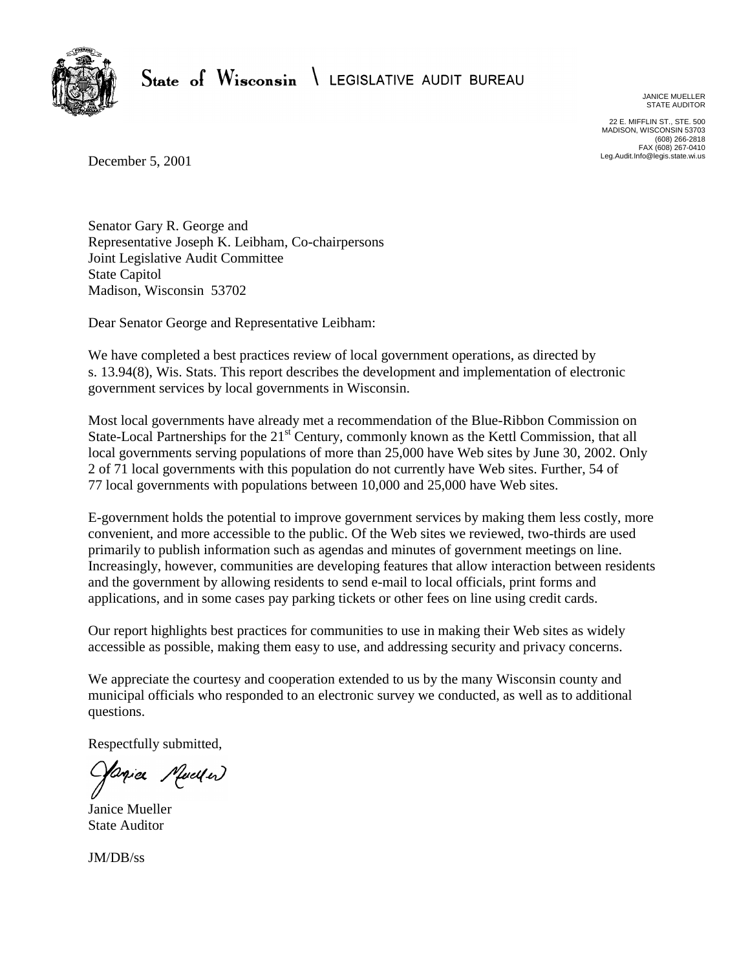<span id="page-4-0"></span>

State of Wisconsin \ LEGISLATIVE AUDIT BUREAU

JANICE MUELLER STATE AUDITOR

22 E. MIFFLIN ST., STE. 500 MADISON, WISCONSIN 53703 (608) 266-2818 FAX (608) 267-0410 Leg.Audit.Info@legis.state.wi.us

December 5, 2001

Senator Gary R. George and Representative Joseph K. Leibham, Co-chairpersons Joint Legislative Audit Committee State Capitol Madison, Wisconsin 53702

Dear Senator George and Representative Leibham:

We have completed a best practices review of local government operations, as directed by s. 13.94(8), Wis. Stats. This report describes the development and implementation of electronic government services by local governments in Wisconsin.

Most local governments have already met a recommendation of the Blue-Ribbon Commission on State-Local Partnerships for the 21<sup>st</sup> Century, commonly known as the Kettl Commission, that all local governments serving populations of more than 25,000 have Web sites by June 30, 2002. Only 2 of 71 local governments with this population do not currently have Web sites. Further, 54 of 77 local governments with populations between 10,000 and 25,000 have Web sites.

E-government holds the potential to improve government services by making them less costly, more convenient, and more accessible to the public. Of the Web sites we reviewed, two-thirds are used primarily to publish information such as agendas and minutes of government meetings on line. Increasingly, however, communities are developing features that allow interaction between residents and the government by allowing residents to send e-mail to local officials, print forms and applications, and in some cases pay parking tickets or other fees on line using credit cards.

Our report highlights best practices for communities to use in making their Web sites as widely accessible as possible, making them easy to use, and addressing security and privacy concerns.

We appreciate the courtesy and cooperation extended to us by the many Wisconsin county and municipal officials who responded to an electronic survey we conducted, as well as to additional questions.

Respectfully submitted,

Janie Mueller

Janice Mueller State Auditor

JM/DB/ss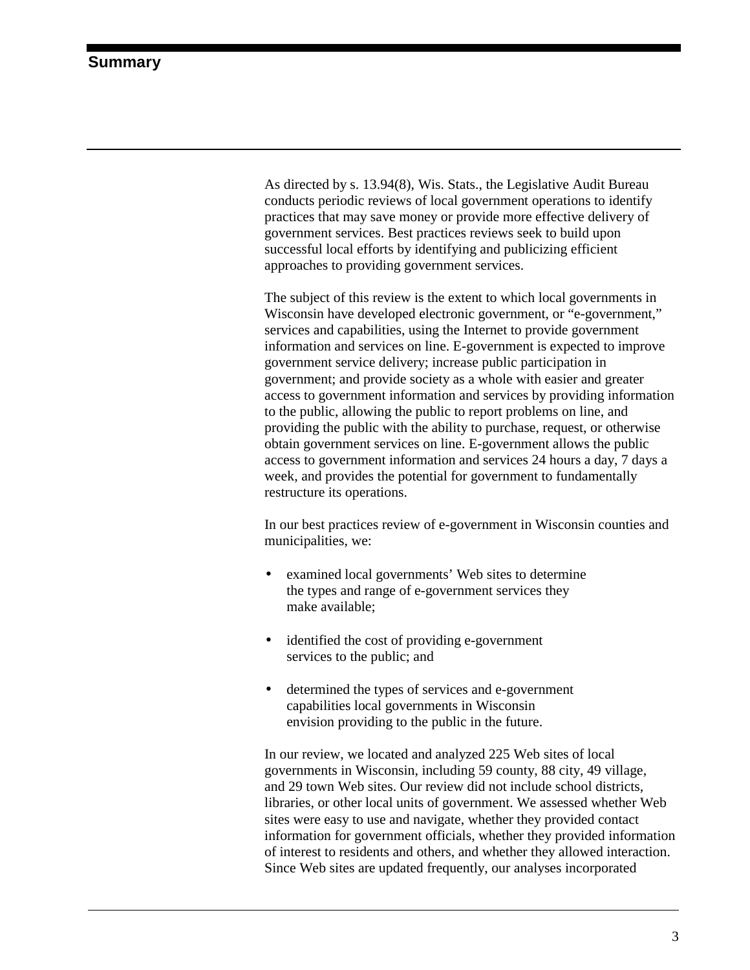<span id="page-6-0"></span>As directed by s. 13.94(8), Wis. Stats., the Legislative Audit Bureau conducts periodic reviews of local government operations to identify practices that may save money or provide more effective delivery of government services. Best practices reviews seek to build upon successful local efforts by identifying and publicizing efficient approaches to providing government services.

The subject of this review is the extent to which local governments in Wisconsin have developed electronic government, or "e-government," services and capabilities, using the Internet to provide government information and services on line. E-government is expected to improve government service delivery; increase public participation in government; and provide society as a whole with easier and greater access to government information and services by providing information to the public, allowing the public to report problems on line, and providing the public with the ability to purchase, request, or otherwise obtain government services on line. E-government allows the public access to government information and services 24 hours a day, 7 days a week, and provides the potential for government to fundamentally restructure its operations.

In our best practices review of e-government in Wisconsin counties and municipalities, we:

- examined local governments' Web sites to determine the types and range of e-government services they make available;
- identified the cost of providing e-government services to the public; and
- determined the types of services and e-government capabilities local governments in Wisconsin envision providing to the public in the future.

In our review, we located and analyzed 225 Web sites of local governments in Wisconsin, including 59 county, 88 city, 49 village, and 29 town Web sites. Our review did not include school districts, libraries, or other local units of government. We assessed whether Web sites were easy to use and navigate, whether they provided contact information for government officials, whether they provided information of interest to residents and others, and whether they allowed interaction. Since Web sites are updated frequently, our analyses incorporated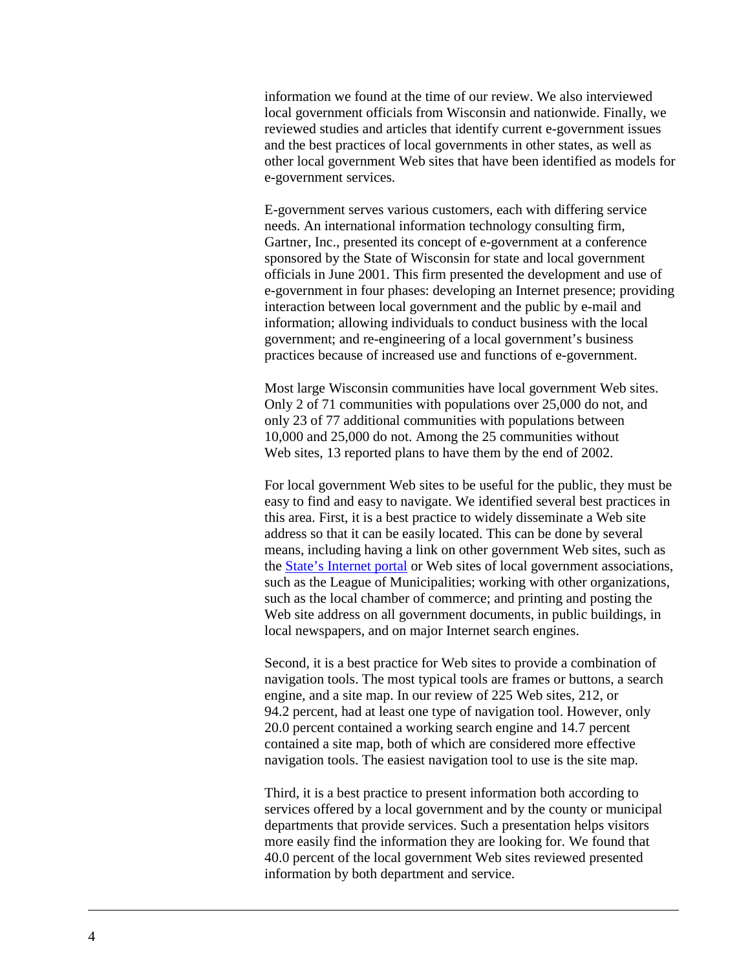information we found at the time of our review. We also interviewed local government officials from Wisconsin and nationwide. Finally, we reviewed studies and articles that identify current e-government issues and the best practices of local governments in other states, as well as other local government Web sites that have been identified as models for e-government services.

E-government serves various customers, each with differing service needs. An international information technology consulting firm, Gartner, Inc., presented its concept of e-government at a conference sponsored by the State of Wisconsin for state and local government officials in June 2001. This firm presented the development and use of e-government in four phases: developing an Internet presence; providing interaction between local government and the public by e-mail and information; allowing individuals to conduct business with the local government; and re-engineering of a local government's business practices because of increased use and functions of e-government.

Most large Wisconsin communities have local government Web sites. Only 2 of 71 communities with populations over 25,000 do not, and only 23 of 77 additional communities with populations between 10,000 and 25,000 do not. Among the 25 communities without Web sites, 13 reported plans to have them by the end of 2002.

For local government Web sites to be useful for the public, they must be easy to find and easy to navigate. We identified several best practices in this area. First, it is a best practice to widely disseminate a Web site address so that it can be easily located. This can be done by several means, including having a link on other government Web sites, such as the [State's Internet portal](http://www.wisconsin.gov/state/home) or Web sites of local government associations, such as the League of Municipalities; working with other organizations, such as the local chamber of commerce; and printing and posting the Web site address on all government documents, in public buildings, in local newspapers, and on major Internet search engines.

Second, it is a best practice for Web sites to provide a combination of navigation tools. The most typical tools are frames or buttons, a search engine, and a site map. In our review of 225 Web sites, 212, or 94.2 percent, had at least one type of navigation tool. However, only 20.0 percent contained a working search engine and 14.7 percent contained a site map, both of which are considered more effective navigation tools. The easiest navigation tool to use is the site map.

Third, it is a best practice to present information both according to services offered by a local government and by the county or municipal departments that provide services. Such a presentation helps visitors more easily find the information they are looking for. We found that 40.0 percent of the local government Web sites reviewed presented information by both department and service.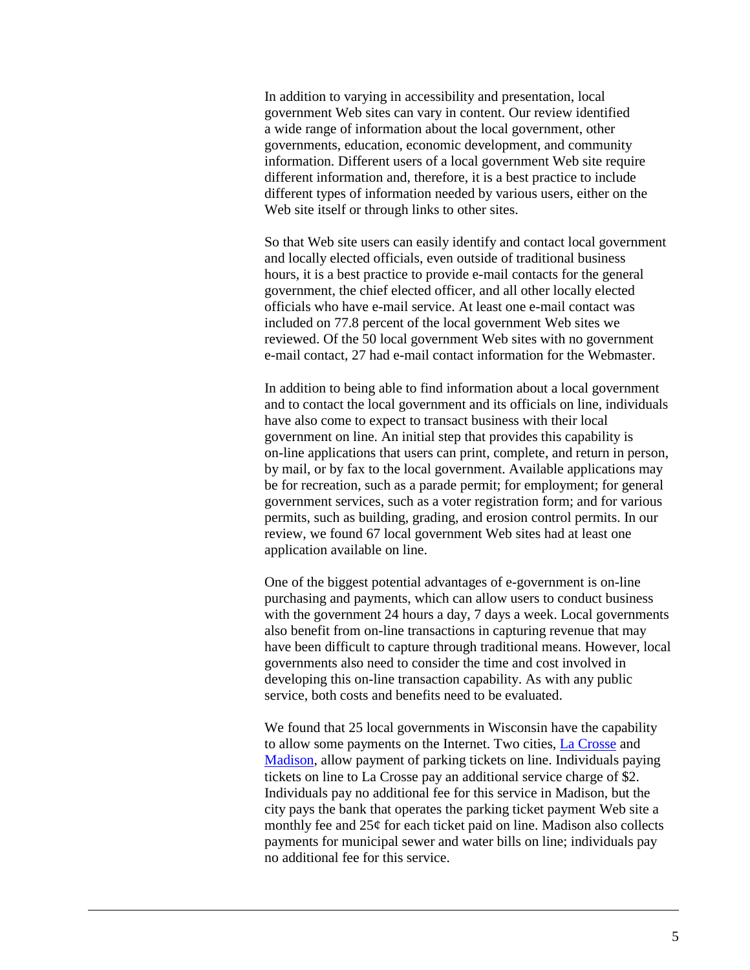In addition to varying in accessibility and presentation, local government Web sites can vary in content. Our review identified a wide range of information about the local government, other governments, education, economic development, and community information. Different users of a local government Web site require different information and, therefore, it is a best practice to include different types of information needed by various users, either on the Web site itself or through links to other sites.

So that Web site users can easily identify and contact local government and locally elected officials, even outside of traditional business hours, it is a best practice to provide e-mail contacts for the general government, the chief elected officer, and all other locally elected officials who have e-mail service. At least one e-mail contact was included on 77.8 percent of the local government Web sites we reviewed. Of the 50 local government Web sites with no government e-mail contact, 27 had e-mail contact information for the Webmaster.

In addition to being able to find information about a local government and to contact the local government and its officials on line, individuals have also come to expect to transact business with their local government on line. An initial step that provides this capability is on-line applications that users can print, complete, and return in person, by mail, or by fax to the local government. Available applications may be for recreation, such as a parade permit; for employment; for general government services, such as a voter registration form; and for various permits, such as building, grading, and erosion control permits. In our review, we found 67 local government Web sites had at least one application available on line.

One of the biggest potential advantages of e-government is on-line purchasing and payments, which can allow users to conduct business with the government 24 hours a day, 7 days a week. Local governments also benefit from on-line transactions in capturing revenue that may have been difficult to capture through traditional means. However, local governments also need to consider the time and cost involved in developing this on-line transaction capability. As with any public service, both costs and benefits need to be evaluated.

We found that 25 local governments in Wisconsin have the capability to allow some payments on the Internet. Two cities, [La Crosse](http://www.cityoflacrosse.org/) and [Madison,](http://www.ci.madison.wi.us/) allow payment of parking tickets on line. Individuals paying tickets on line to La Crosse pay an additional service charge of \$2. Individuals pay no additional fee for this service in Madison, but the city pays the bank that operates the parking ticket payment Web site a monthly fee and 25¢ for each ticket paid on line. Madison also collects payments for municipal sewer and water bills on line; individuals pay no additional fee for this service.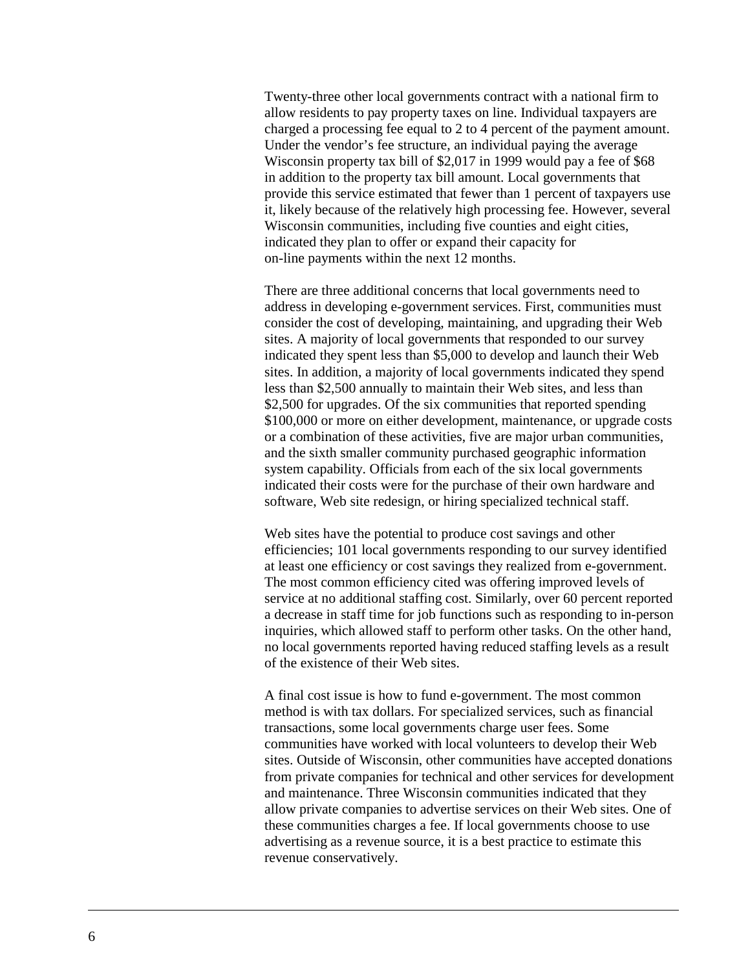Twenty-three other local governments contract with a national firm to allow residents to pay property taxes on line. Individual taxpayers are charged a processing fee equal to 2 to 4 percent of the payment amount. Under the vendor's fee structure, an individual paying the average Wisconsin property tax bill of \$2,017 in 1999 would pay a fee of \$68 in addition to the property tax bill amount. Local governments that provide this service estimated that fewer than 1 percent of taxpayers use it, likely because of the relatively high processing fee. However, several Wisconsin communities, including five counties and eight cities, indicated they plan to offer or expand their capacity for on-line payments within the next 12 months.

There are three additional concerns that local governments need to address in developing e-government services. First, communities must consider the cost of developing, maintaining, and upgrading their Web sites. A majority of local governments that responded to our survey indicated they spent less than \$5,000 to develop and launch their Web sites. In addition, a majority of local governments indicated they spend less than \$2,500 annually to maintain their Web sites, and less than \$2,500 for upgrades. Of the six communities that reported spending \$100,000 or more on either development, maintenance, or upgrade costs or a combination of these activities, five are major urban communities, and the sixth smaller community purchased geographic information system capability. Officials from each of the six local governments indicated their costs were for the purchase of their own hardware and software, Web site redesign, or hiring specialized technical staff.

Web sites have the potential to produce cost savings and other efficiencies; 101 local governments responding to our survey identified at least one efficiency or cost savings they realized from e-government. The most common efficiency cited was offering improved levels of service at no additional staffing cost. Similarly, over 60 percent reported a decrease in staff time for job functions such as responding to in-person inquiries, which allowed staff to perform other tasks. On the other hand, no local governments reported having reduced staffing levels as a result of the existence of their Web sites.

A final cost issue is how to fund e-government. The most common method is with tax dollars. For specialized services, such as financial transactions, some local governments charge user fees. Some communities have worked with local volunteers to develop their Web sites. Outside of Wisconsin, other communities have accepted donations from private companies for technical and other services for development and maintenance. Three Wisconsin communities indicated that they allow private companies to advertise services on their Web sites. One of these communities charges a fee. If local governments choose to use advertising as a revenue source, it is a best practice to estimate this revenue conservatively.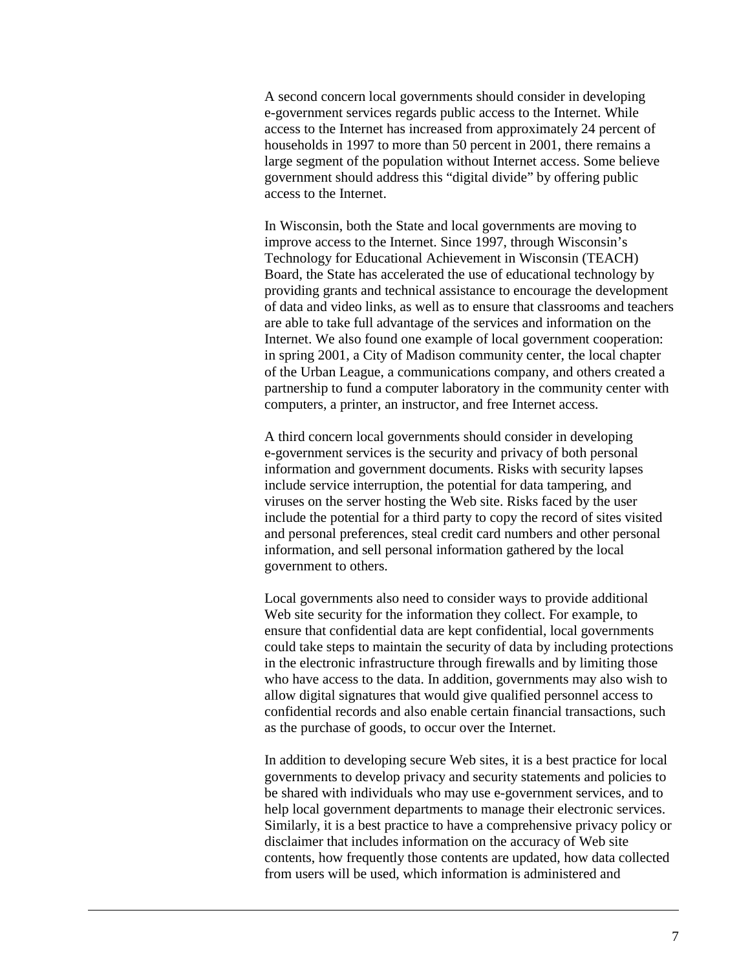A second concern local governments should consider in developing e-government services regards public access to the Internet. While access to the Internet has increased from approximately 24 percent of households in 1997 to more than 50 percent in 2001, there remains a large segment of the population without Internet access. Some believe government should address this "digital divide" by offering public access to the Internet.

In Wisconsin, both the State and local governments are moving to improve access to the Internet. Since 1997, through Wisconsin's Technology for Educational Achievement in Wisconsin (TEACH) Board, the State has accelerated the use of educational technology by providing grants and technical assistance to encourage the development of data and video links, as well as to ensure that classrooms and teachers are able to take full advantage of the services and information on the Internet. We also found one example of local government cooperation: in spring 2001, a City of Madison community center, the local chapter of the Urban League, a communications company, and others created a partnership to fund a computer laboratory in the community center with computers, a printer, an instructor, and free Internet access.

A third concern local governments should consider in developing e-government services is the security and privacy of both personal information and government documents. Risks with security lapses include service interruption, the potential for data tampering, and viruses on the server hosting the Web site. Risks faced by the user include the potential for a third party to copy the record of sites visited and personal preferences, steal credit card numbers and other personal information, and sell personal information gathered by the local government to others.

Local governments also need to consider ways to provide additional Web site security for the information they collect. For example, to ensure that confidential data are kept confidential, local governments could take steps to maintain the security of data by including protections in the electronic infrastructure through firewalls and by limiting those who have access to the data. In addition, governments may also wish to allow digital signatures that would give qualified personnel access to confidential records and also enable certain financial transactions, such as the purchase of goods, to occur over the Internet.

In addition to developing secure Web sites, it is a best practice for local governments to develop privacy and security statements and policies to be shared with individuals who may use e-government services, and to help local government departments to manage their electronic services. Similarly, it is a best practice to have a comprehensive privacy policy or disclaimer that includes information on the accuracy of Web site contents, how frequently those contents are updated, how data collected from users will be used, which information is administered and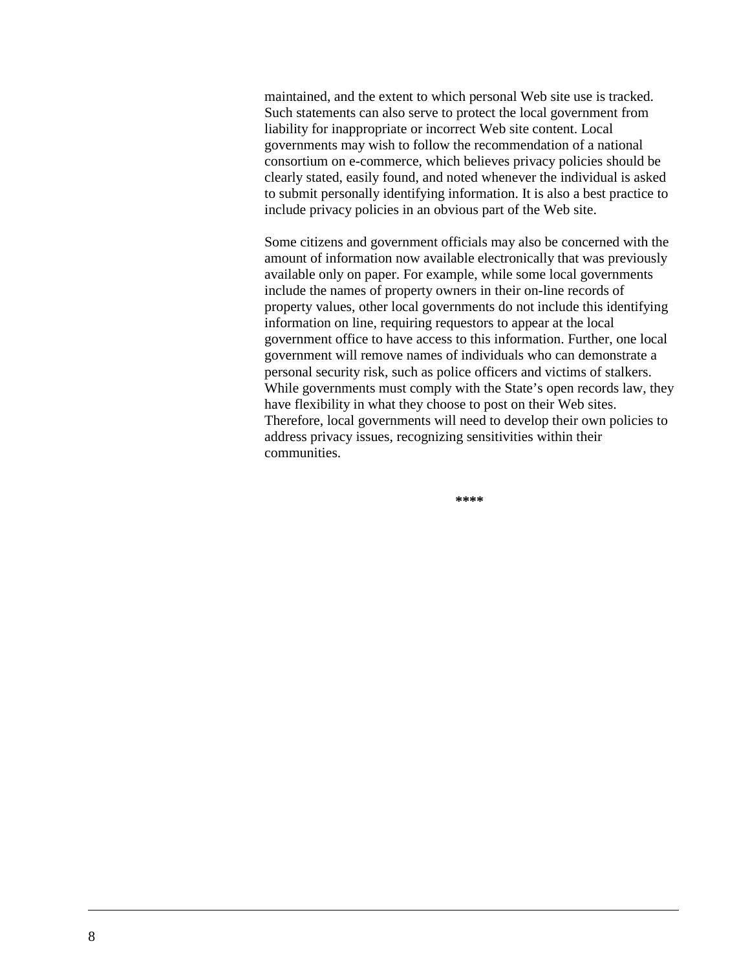maintained, and the extent to which personal Web site use is tracked. Such statements can also serve to protect the local government from liability for inappropriate or incorrect Web site content. Local governments may wish to follow the recommendation of a national consortium on e-commerce, which believes privacy policies should be clearly stated, easily found, and noted whenever the individual is asked to submit personally identifying information. It is also a best practice to include privacy policies in an obvious part of the Web site.

Some citizens and government officials may also be concerned with the amount of information now available electronically that was previously available only on paper. For example, while some local governments include the names of property owners in their on-line records of property values, other local governments do not include this identifying information on line, requiring requestors to appear at the local government office to have access to this information. Further, one local government will remove names of individuals who can demonstrate a personal security risk, such as police officers and victims of stalkers. While governments must comply with the State's open records law, they have flexibility in what they choose to post on their Web sites. Therefore, local governments will need to develop their own policies to address privacy issues, recognizing sensitivities within their communities.

**\*\*\*\***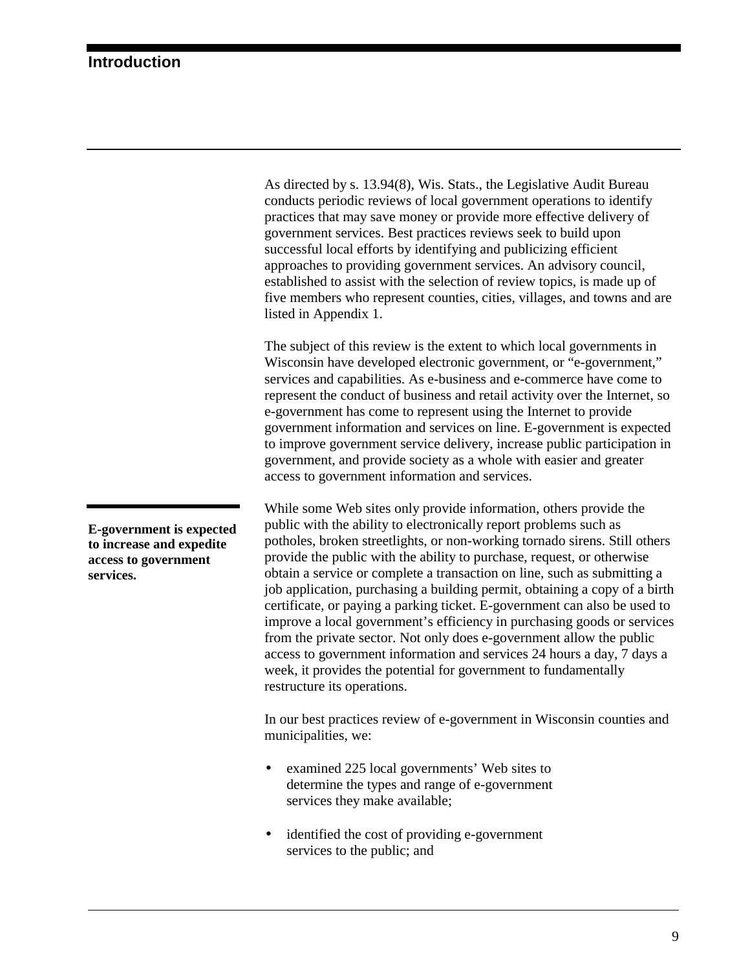<span id="page-12-0"></span>As directed by s. 13.94(8), Wis. Stats., the Legislative Audit Bureau conducts periodic reviews of local government operations to identify practices that may save money or provide more effective delivery of government services. Best practices reviews seek to build upon successful local efforts by identifying and publicizing efficient approaches to providing government services. An advisory council, established to assist with the selection of review topics, is made up of five members who represent counties, cities, villages, and towns and are listed in Appendix 1.

The subject of this review is the extent to which local governments in Wisconsin have developed electronic government, or "e-government," services and capabilities. As e-business and e-commerce have come to represent the conduct of business and retail activity over the Internet, so e-government has come to represent using the Internet to provide government information and services on line. E-government is expected to improve government service delivery, increase public participation in government, and provide society as a whole with easier and greater access to government information and services.

While some Web sites only provide information, others provide the public with the ability to electronically report problems such as potholes, broken streetlights, or non-working tornado sirens. Still others provide the public with the ability to purchase, request, or otherwise obtain a service or complete a transaction on line, such as submitting a job application, purchasing a building permit, obtaining a copy of a birth certificate, or paying a parking ticket. E-government can also be used to improve a local government's efficiency in purchasing goods or services from the private sector. Not only does e-government allow the public access to government information and services 24 hours a day, 7 days a week, it provides the potential for government to fundamentally restructure its operations.

In our best practices review of e-government in Wisconsin counties and municipalities, we:

- examined 225 local governments' Web sites to determine the types and range of e-government services they make available;
- identified the cost of providing e-government services to the public; and

**E-government is expected to increase and expedite access to government services.**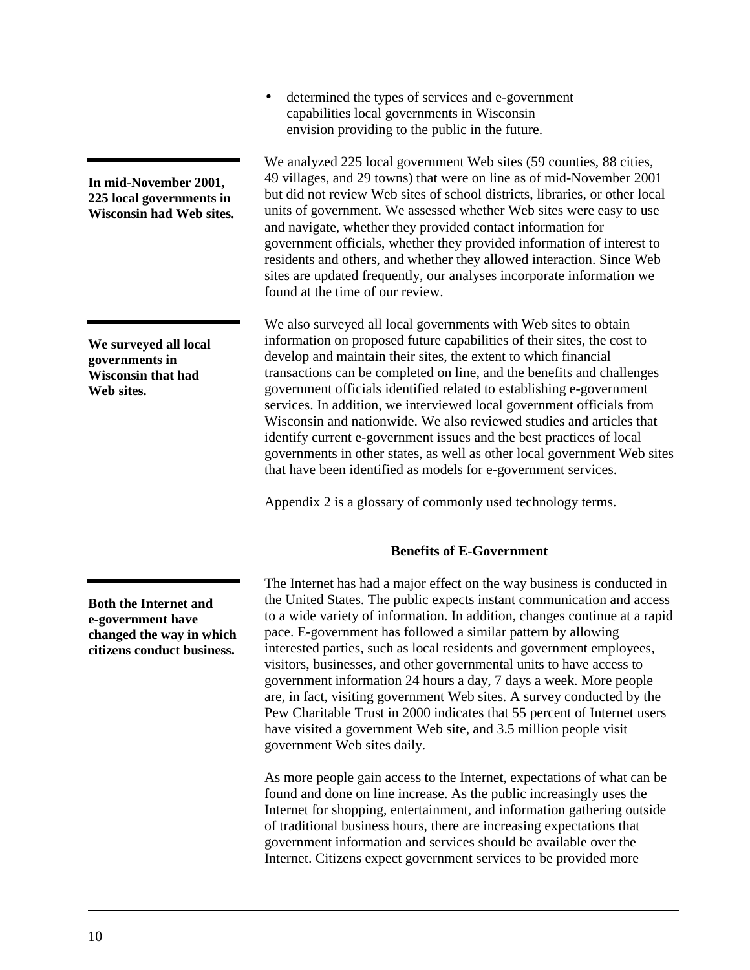<span id="page-13-0"></span>**In mid-November 2001,**

**225 local governments in Wisconsin had Web sites.**

**We surveyed all local governments in Wisconsin that had Web sites.**

**Both the Internet and e-government have changed the way in which citizens conduct business.**

• determined the types of services and e-government capabilities local governments in Wisconsin envision providing to the public in the future.

We analyzed 225 local government Web sites (59 counties, 88 cities, 49 villages, and 29 towns) that were on line as of mid-November 2001 but did not review Web sites of school districts, libraries, or other local units of government. We assessed whether Web sites were easy to use and navigate, whether they provided contact information for government officials, whether they provided information of interest to residents and others, and whether they allowed interaction. Since Web sites are updated frequently, our analyses incorporate information we found at the time of our review.

We also surveyed all local governments with Web sites to obtain information on proposed future capabilities of their sites, the cost to develop and maintain their sites, the extent to which financial transactions can be completed on line, and the benefits and challenges government officials identified related to establishing e-government services. In addition, we interviewed local government officials from Wisconsin and nationwide. We also reviewed studies and articles that identify current e-government issues and the best practices of local governments in other states, as well as other local government Web sites that have been identified as models for e-government services.

Appendix 2 is a glossary of commonly used technology terms.

#### **Benefits of E-Government**

The Internet has had a major effect on the way business is conducted in the United States. The public expects instant communication and access to a wide variety of information. In addition, changes continue at a rapid pace. E-government has followed a similar pattern by allowing interested parties, such as local residents and government employees, visitors, businesses, and other governmental units to have access to government information 24 hours a day, 7 days a week. More people are, in fact, visiting government Web sites. A survey conducted by the Pew Charitable Trust in 2000 indicates that 55 percent of Internet users have visited a government Web site, and 3.5 million people visit government Web sites daily.

As more people gain access to the Internet, expectations of what can be found and done on line increase. As the public increasingly uses the Internet for shopping, entertainment, and information gathering outside of traditional business hours, there are increasing expectations that government information and services should be available over the Internet. Citizens expect government services to be provided more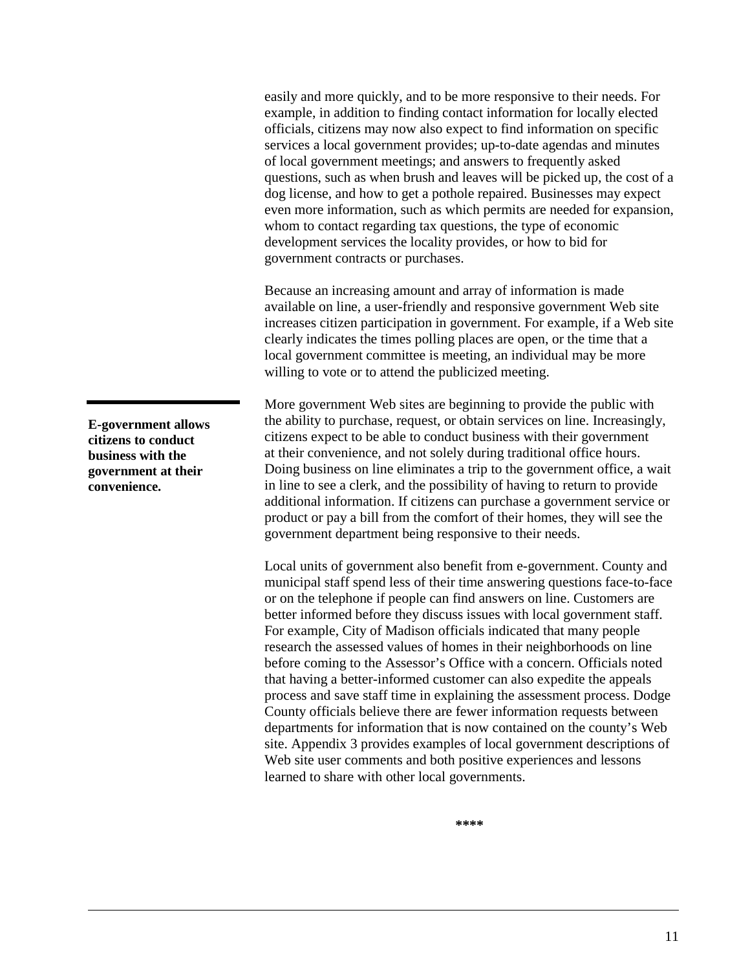easily and more quickly, and to be more responsive to their needs. For example, in addition to finding contact information for locally elected officials, citizens may now also expect to find information on specific services a local government provides; up-to-date agendas and minutes of local government meetings; and answers to frequently asked questions, such as when brush and leaves will be picked up, the cost of a dog license, and how to get a pothole repaired. Businesses may expect even more information, such as which permits are needed for expansion, whom to contact regarding tax questions, the type of economic development services the locality provides, or how to bid for government contracts or purchases.

Because an increasing amount and array of information is made available on line, a user-friendly and responsive government Web site increases citizen participation in government. For example, if a Web site clearly indicates the times polling places are open, or the time that a local government committee is meeting, an individual may be more willing to vote or to attend the publicized meeting.

More government Web sites are beginning to provide the public with the ability to purchase, request, or obtain services on line. Increasingly, citizens expect to be able to conduct business with their government at their convenience, and not solely during traditional office hours. Doing business on line eliminates a trip to the government office, a wait in line to see a clerk, and the possibility of having to return to provide additional information. If citizens can purchase a government service or product or pay a bill from the comfort of their homes, they will see the government department being responsive to their needs.

Local units of government also benefit from e-government. County and municipal staff spend less of their time answering questions face-to-face or on the telephone if people can find answers on line. Customers are better informed before they discuss issues with local government staff. For example, City of Madison officials indicated that many people research the assessed values of homes in their neighborhoods on line before coming to the Assessor's Office with a concern. Officials noted that having a better-informed customer can also expedite the appeals process and save staff time in explaining the assessment process. Dodge County officials believe there are fewer information requests between departments for information that is now contained on the county's Web site. Appendix 3 provides examples of local government descriptions of Web site user comments and both positive experiences and lessons learned to share with other local governments.

**\*\*\*\***

**E-government allows citizens to conduct business with the government at their convenience.**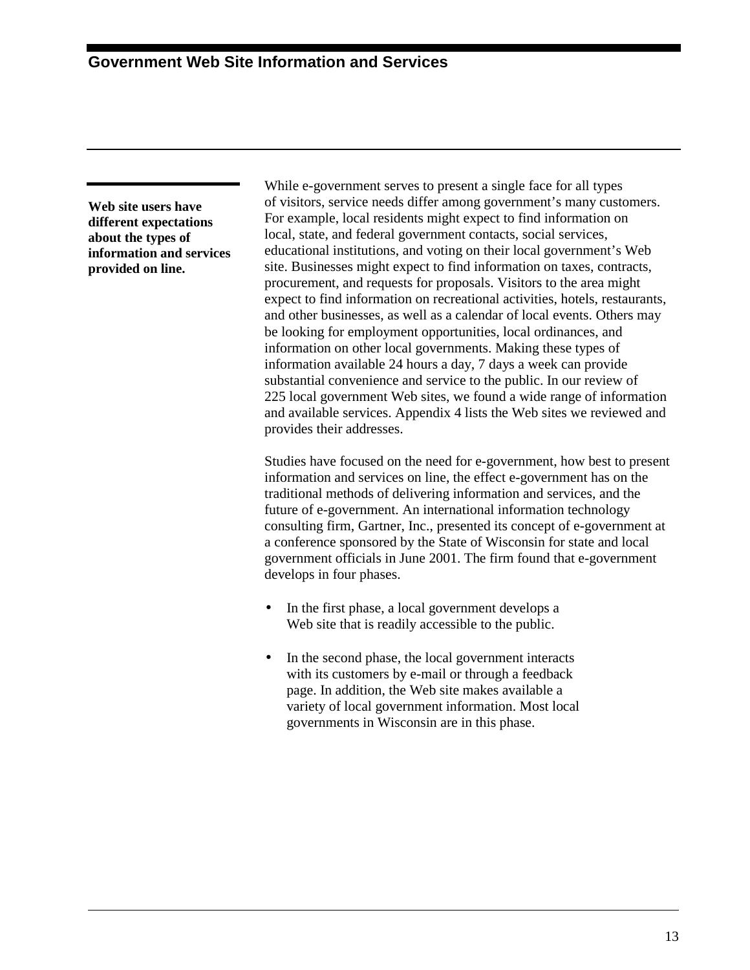<span id="page-16-0"></span>**Web site users have different expectations about the types of information and services provided on line.**

While e-government serves to present a single face for all types of visitors, service needs differ among government's many customers. For example, local residents might expect to find information on local, state, and federal government contacts, social services, educational institutions, and voting on their local government's Web site. Businesses might expect to find information on taxes, contracts, procurement, and requests for proposals. Visitors to the area might expect to find information on recreational activities, hotels, restaurants, and other businesses, as well as a calendar of local events. Others may be looking for employment opportunities, local ordinances, and information on other local governments. Making these types of information available 24 hours a day, 7 days a week can provide substantial convenience and service to the public. In our review of 225 local government Web sites, we found a wide range of information and available services. Appendix 4 lists the Web sites we reviewed and provides their addresses.

Studies have focused on the need for e-government, how best to present information and services on line, the effect e-government has on the traditional methods of delivering information and services, and the future of e-government. An international information technology consulting firm, Gartner, Inc., presented its concept of e-government at a conference sponsored by the State of Wisconsin for state and local government officials in June 2001. The firm found that e-government develops in four phases.

- In the first phase, a local government develops a Web site that is readily accessible to the public.
- In the second phase, the local government interacts with its customers by e-mail or through a feedback page. In addition, the Web site makes available a variety of local government information. Most local governments in Wisconsin are in this phase.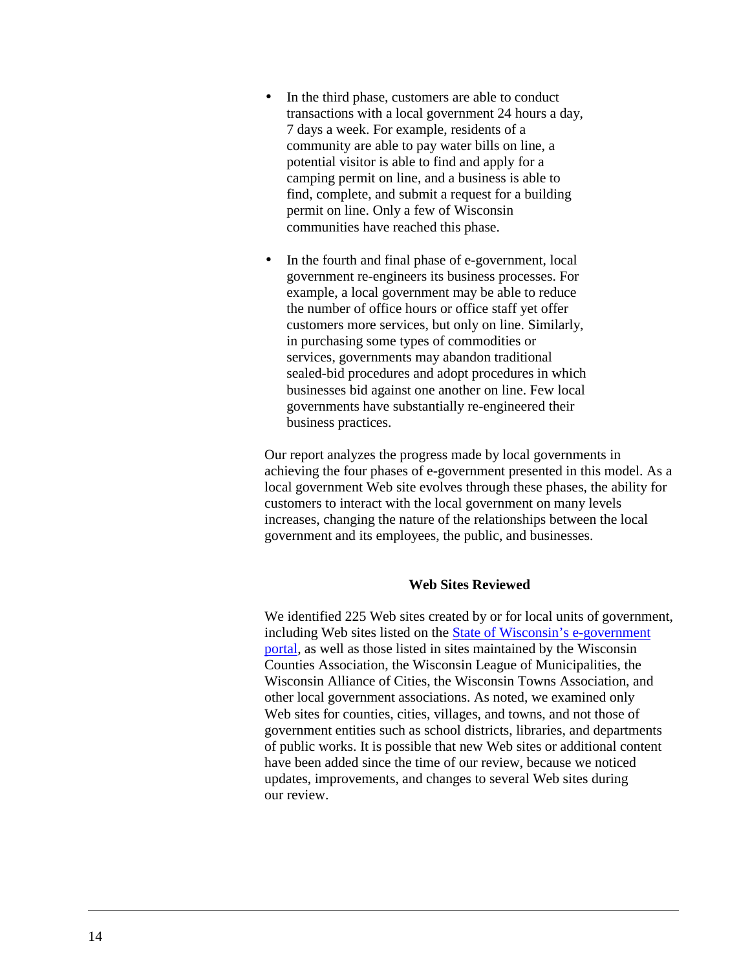- <span id="page-17-0"></span>• In the third phase, customers are able to conduct transactions with a local government 24 hours a day, 7 days a week. For example, residents of a community are able to pay water bills on line, a potential visitor is able to find and apply for a camping permit on line, and a business is able to find, complete, and submit a request for a building permit on line. Only a few of Wisconsin communities have reached this phase.
- In the fourth and final phase of e-government, local government re-engineers its business processes. For example, a local government may be able to reduce the number of office hours or office staff yet offer customers more services, but only on line. Similarly, in purchasing some types of commodities or services, governments may abandon traditional sealed-bid procedures and adopt procedures in which businesses bid against one another on line. Few local governments have substantially re-engineered their business practices.

Our report analyzes the progress made by local governments in achieving the four phases of e-government presented in this model. As a local government Web site evolves through these phases, the ability for customers to interact with the local government on many levels increases, changing the nature of the relationships between the local government and its employees, the public, and businesses.

#### **Web Sites Reviewed**

We identified 225 Web sites created by or for local units of government, including Web sites listed on the [State of Wisconsin's e-government](http://www.wisconsin.gov/state/home) [portal,](http://www.wisconsin.gov/state/home) as well as those listed in sites maintained by the Wisconsin Counties Association, the Wisconsin League of Municipalities, the Wisconsin Alliance of Cities, the Wisconsin Towns Association, and other local government associations. As noted, we examined only Web sites for counties, cities, villages, and towns, and not those of government entities such as school districts, libraries, and departments of public works. It is possible that new Web sites or additional content have been added since the time of our review, because we noticed updates, improvements, and changes to several Web sites during our review.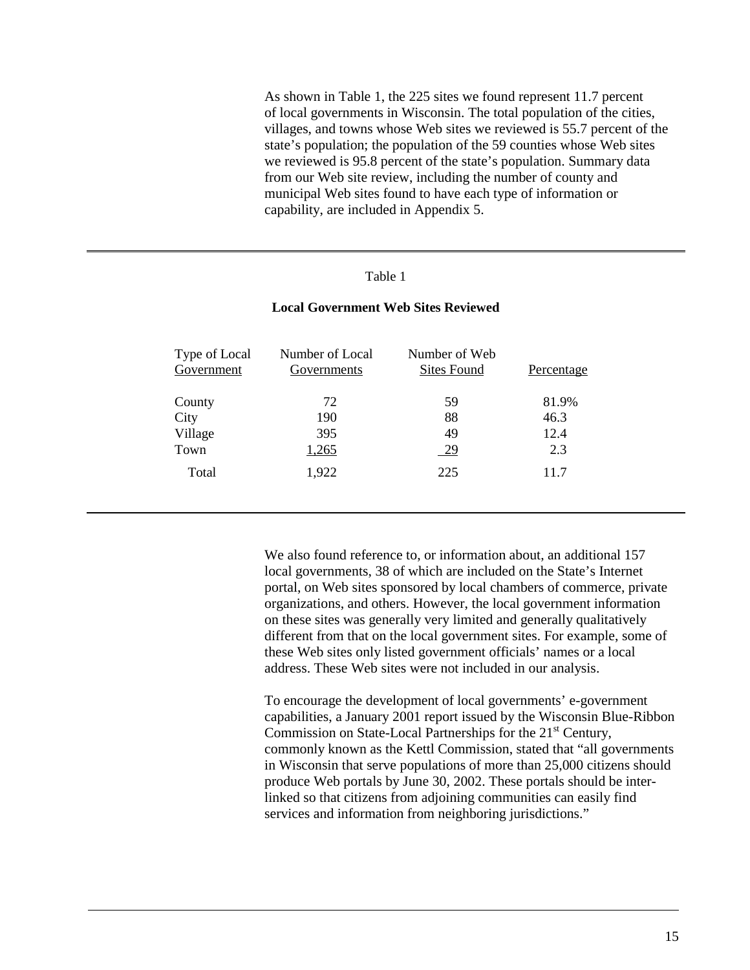As shown in Table 1, the 225 sites we found represent 11.7 percent of local governments in Wisconsin. The total population of the cities, villages, and towns whose Web sites we reviewed is 55.7 percent of the state's population; the population of the 59 counties whose Web sites we reviewed is 95.8 percent of the state's population. Summary data from our Web site review, including the number of county and municipal Web sites found to have each type of information or capability, are included in Appendix 5.

#### Table 1

#### Type of Local Government Number of Local Governments Number of Web Sites Found Percentage County 72 59 81.9% City 190 88 46.3 Village 395 49 12.4 Town  $\frac{1,265}{29}$  2.3 Total 1,922 225 11.7

#### **Local Government Web Sites Reviewed**

We also found reference to, or information about, an additional 157 local governments, 38 of which are included on the State's Internet portal, on Web sites sponsored by local chambers of commerce, private organizations, and others. However, the local government information on these sites was generally very limited and generally qualitatively different from that on the local government sites. For example, some of these Web sites only listed government officials' names or a local address. These Web sites were not included in our analysis.

To encourage the development of local governments' e-government capabilities, a January 2001 report issued by the Wisconsin Blue-Ribbon Commission on State-Local Partnerships for the 21<sup>st</sup> Century, commonly known as the Kettl Commission, stated that "all governments in Wisconsin that serve populations of more than 25,000 citizens should produce Web portals by June 30, 2002. These portals should be interlinked so that citizens from adjoining communities can easily find services and information from neighboring jurisdictions."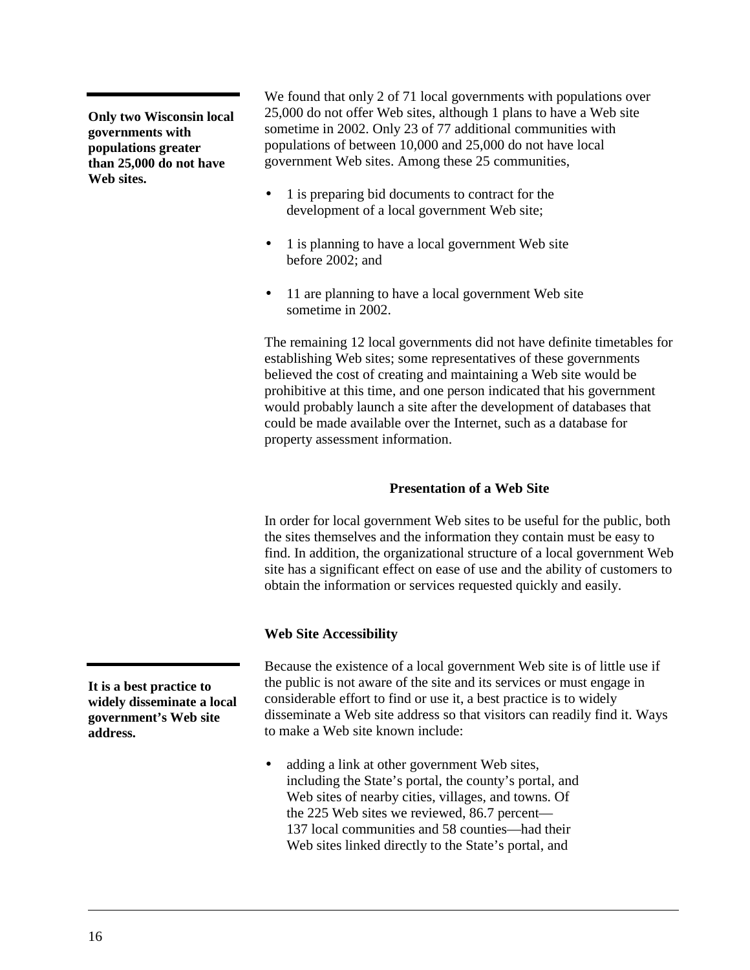<span id="page-19-0"></span>**Only two Wisconsin local governments with populations greater than 25,000 do not have Web sites.**

We found that only 2 of 71 local governments with populations over 25,000 do not offer Web sites, although 1 plans to have a Web site sometime in 2002. Only 23 of 77 additional communities with populations of between 10,000 and 25,000 do not have local government Web sites. Among these 25 communities,

- 1 is preparing bid documents to contract for the development of a local government Web site;
- 1 is planning to have a local government Web site before 2002; and
- 11 are planning to have a local government Web site sometime in 2002.

The remaining 12 local governments did not have definite timetables for establishing Web sites; some representatives of these governments believed the cost of creating and maintaining a Web site would be prohibitive at this time, and one person indicated that his government would probably launch a site after the development of databases that could be made available over the Internet, such as a database for property assessment information.

## **Presentation of a Web Site**

In order for local government Web sites to be useful for the public, both the sites themselves and the information they contain must be easy to find. In addition, the organizational structure of a local government Web site has a significant effect on ease of use and the ability of customers to obtain the information or services requested quickly and easily.

#### **Web Site Accessibility**

Because the existence of a local government Web site is of little use if the public is not aware of the site and its services or must engage in considerable effort to find or use it, a best practice is to widely disseminate a Web site address so that visitors can readily find it. Ways to make a Web site known include:

• adding a link at other government Web sites, including the State's portal, the county's portal, and Web sites of nearby cities, villages, and towns. Of the 225 Web sites we reviewed, 86.7 percent— 137 local communities and 58 counties—had their Web sites linked directly to the State's portal, and

**It is a best practice to widely disseminate a local government's Web site address.**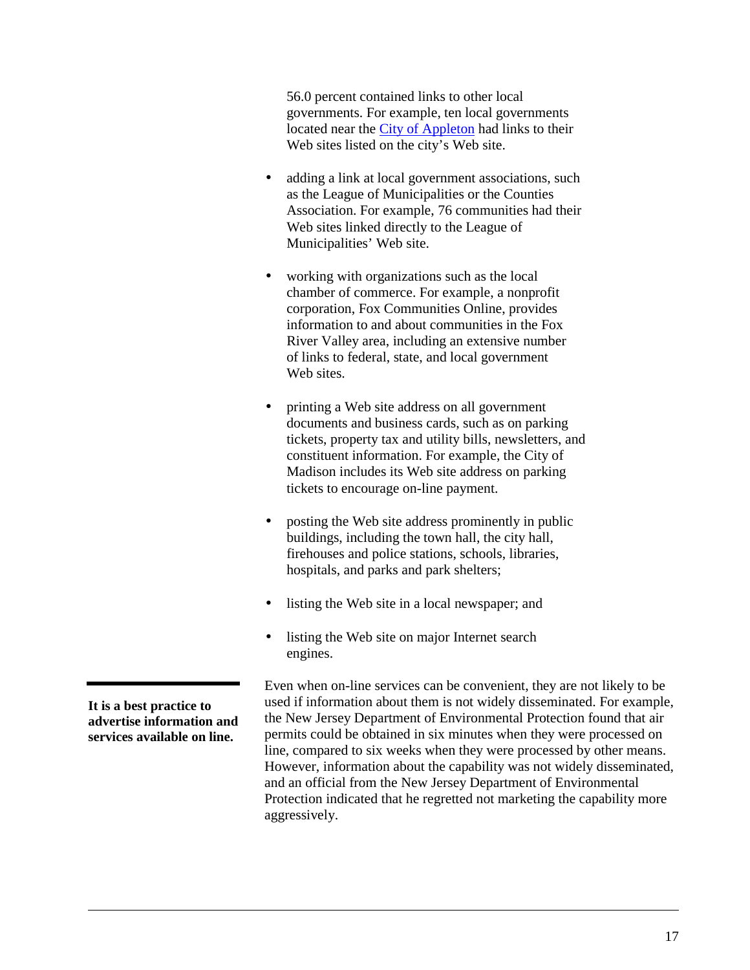56.0 percent contained links to other local governments. For example, ten local governments located near the [City of Appleton](http://www.appleton.org/) had links to their Web sites listed on the city's Web site.

- adding a link at local government associations, such as the League of Municipalities or the Counties Association. For example, 76 communities had their Web sites linked directly to the League of Municipalities' Web site.
- working with organizations such as the local chamber of commerce. For example, a nonprofit corporation, Fox Communities Online, provides information to and about communities in the Fox River Valley area, including an extensive number of links to federal, state, and local government Web sites.
- printing a Web site address on all government documents and business cards, such as on parking tickets, property tax and utility bills, newsletters, and constituent information. For example, the City of Madison includes its Web site address on parking tickets to encourage on-line payment.
- posting the Web site address prominently in public buildings, including the town hall, the city hall, firehouses and police stations, schools, libraries, hospitals, and parks and park shelters;
- listing the Web site in a local newspaper; and
- listing the Web site on major Internet search engines.

Even when on-line services can be convenient, they are not likely to be used if information about them is not widely disseminated. For example, the New Jersey Department of Environmental Protection found that air permits could be obtained in six minutes when they were processed on line, compared to six weeks when they were processed by other means. However, information about the capability was not widely disseminated, and an official from the New Jersey Department of Environmental Protection indicated that he regretted not marketing the capability more aggressively.

**It is a best practice to advertise information and services available on line.**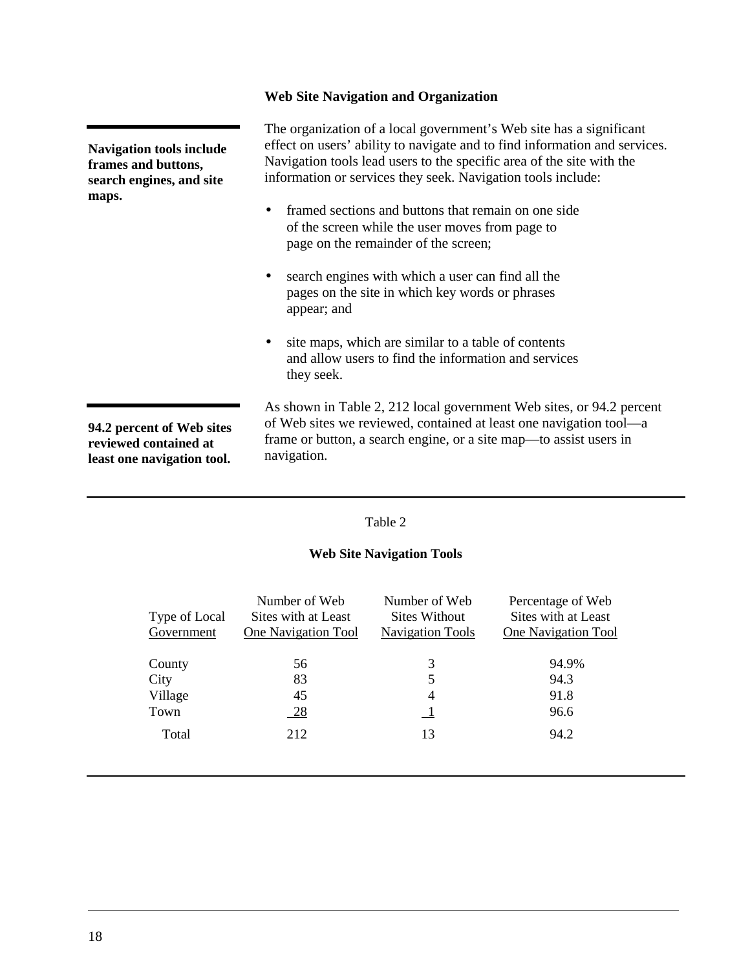## **Web Site Navigation and Organization**

<span id="page-21-0"></span>

| <b>Navigation tools include</b><br>frames and buttons,<br>search engines, and site<br>maps. | The organization of a local government's Web site has a significant<br>effect on users' ability to navigate and to find information and services.<br>Navigation tools lead users to the specific area of the site with the<br>information or services they seek. Navigation tools include:<br>framed sections and buttons that remain on one side<br>of the screen while the user moves from page to<br>page on the remainder of the screen;<br>search engines with which a user can find all the<br>$\bullet$<br>pages on the site in which key words or phrases<br>appear; and |  |  |
|---------------------------------------------------------------------------------------------|----------------------------------------------------------------------------------------------------------------------------------------------------------------------------------------------------------------------------------------------------------------------------------------------------------------------------------------------------------------------------------------------------------------------------------------------------------------------------------------------------------------------------------------------------------------------------------|--|--|
|                                                                                             | site maps, which are similar to a table of contents<br>$\bullet$<br>and allow users to find the information and services<br>they seek.                                                                                                                                                                                                                                                                                                                                                                                                                                           |  |  |
| 94.2 percent of Web sites<br>reviewed contained at<br>least one navigation tool.            | As shown in Table 2, 212 local government Web sites, or 94.2 percent<br>of Web sites we reviewed, contained at least one navigation tool—a<br>frame or button, a search engine, or a site map—to assist users in<br>navigation.                                                                                                                                                                                                                                                                                                                                                  |  |  |

## Table 2

## **Web Site Navigation Tools**

| Type of Local<br>Government | Number of Web<br>Sites with at Least<br>One Navigation Tool | Number of Web<br>Sites Without<br><b>Navigation Tools</b> | Percentage of Web<br>Sites with at Least<br>One Navigation Tool |
|-----------------------------|-------------------------------------------------------------|-----------------------------------------------------------|-----------------------------------------------------------------|
| County                      | 56                                                          | 3                                                         | 94.9%                                                           |
| City                        | 83                                                          | 5                                                         | 94.3                                                            |
| Village                     | 45                                                          | 4                                                         | 91.8                                                            |
| Town                        | 28                                                          |                                                           | 96.6                                                            |
| Total                       | 212                                                         | 13                                                        | 94.2                                                            |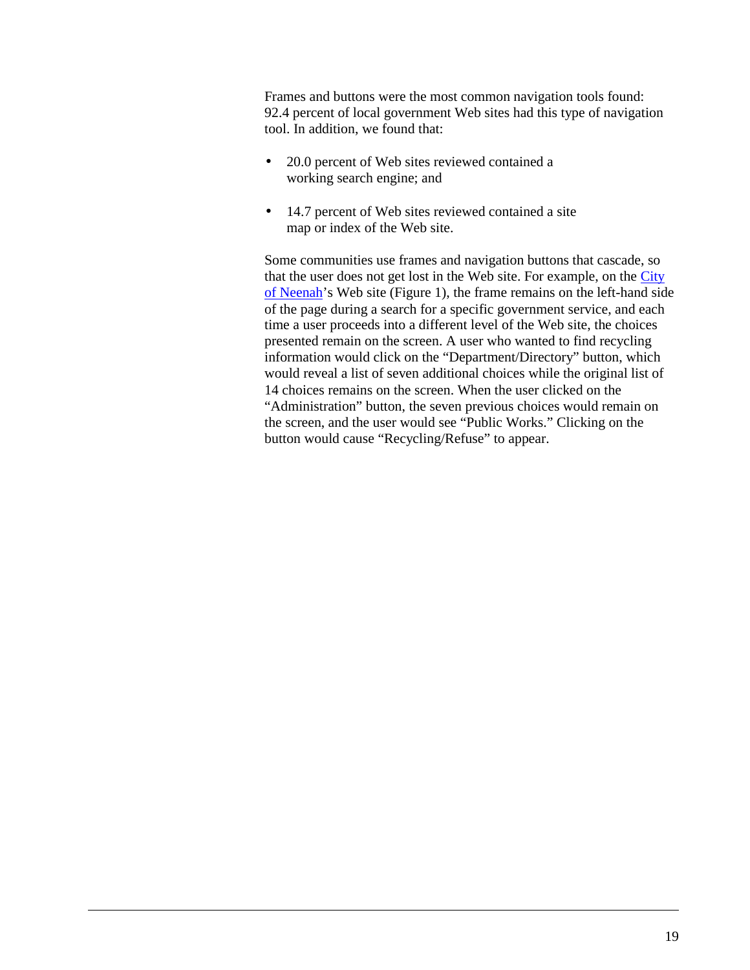Frames and buttons were the most common navigation tools found: 92.4 percent of local government Web sites had this type of navigation tool. In addition, we found that:

- 20.0 percent of Web sites reviewed contained a working search engine; and
- 14.7 percent of Web sites reviewed contained a site map or index of the Web site.

Some communities use frames and navigation buttons that cascade, so that the user does not get lost in the Web site. For example, on the [City](http://www.ci.neenah.wi.us/) [of Neenah'](http://www.ci.neenah.wi.us/)s Web site (Figure 1), the frame remains on the left-hand side of the page during a search for a specific government service, and each time a user proceeds into a different level of the Web site, the choices presented remain on the screen. A user who wanted to find recycling information would click on the "Department/Directory" button, which would reveal a list of seven additional choices while the original list of 14 choices remains on the screen. When the user clicked on the "Administration" button, the seven previous choices would remain on the screen, and the user would see "Public Works." Clicking on the button would cause "Recycling/Refuse" to appear.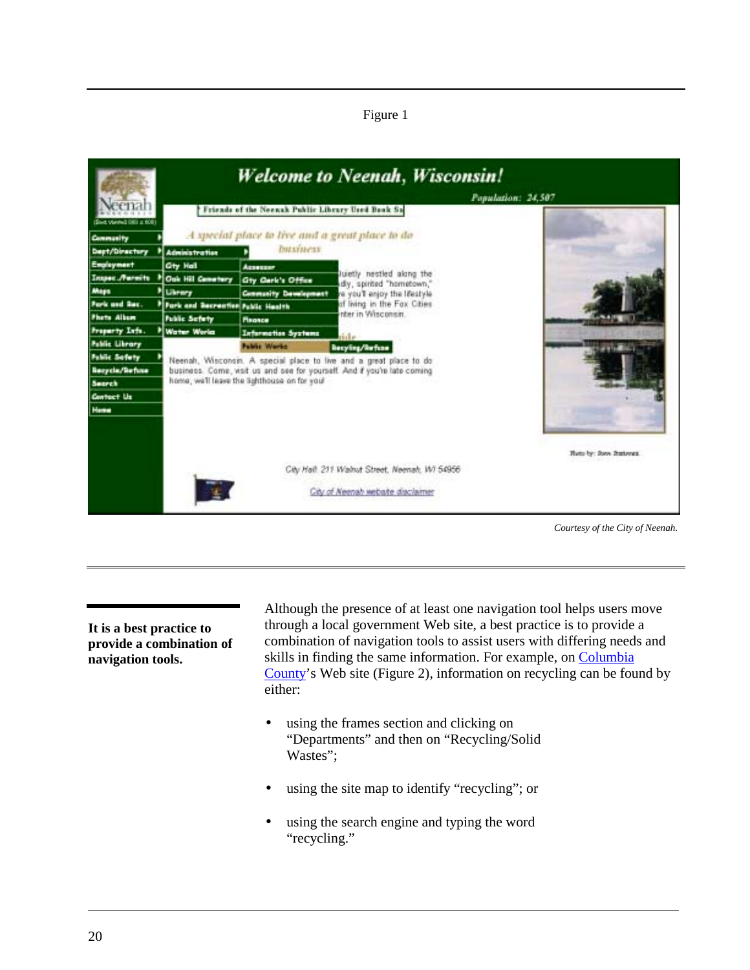Figure 1



*Courtesy of the City of Neenah.*

**It is a best practice to provide a combination of navigation tools.**

Although the presence of at least one navigation tool helps users move through a local government Web site, a best practice is to provide a combination of navigation tools to assist users with differing needs and skills in finding the same information. For example, on [Columbia](http://www.co.columbia.wi.us/) [County'](http://www.co.columbia.wi.us/)s Web site (Figure 2), information on recycling can be found by either:

- using the frames section and clicking on "Departments" and then on "Recycling/Solid Wastes":
- using the site map to identify "recycling"; or
- using the search engine and typing the word "recycling."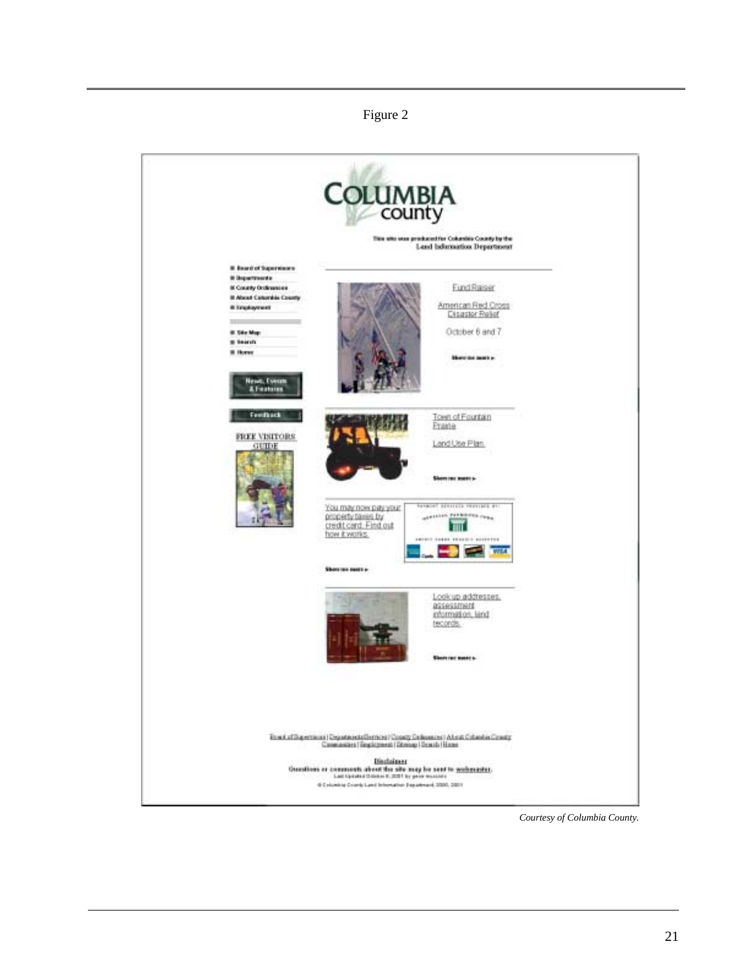#### Figure 2



*Courtesy of Columbia County.*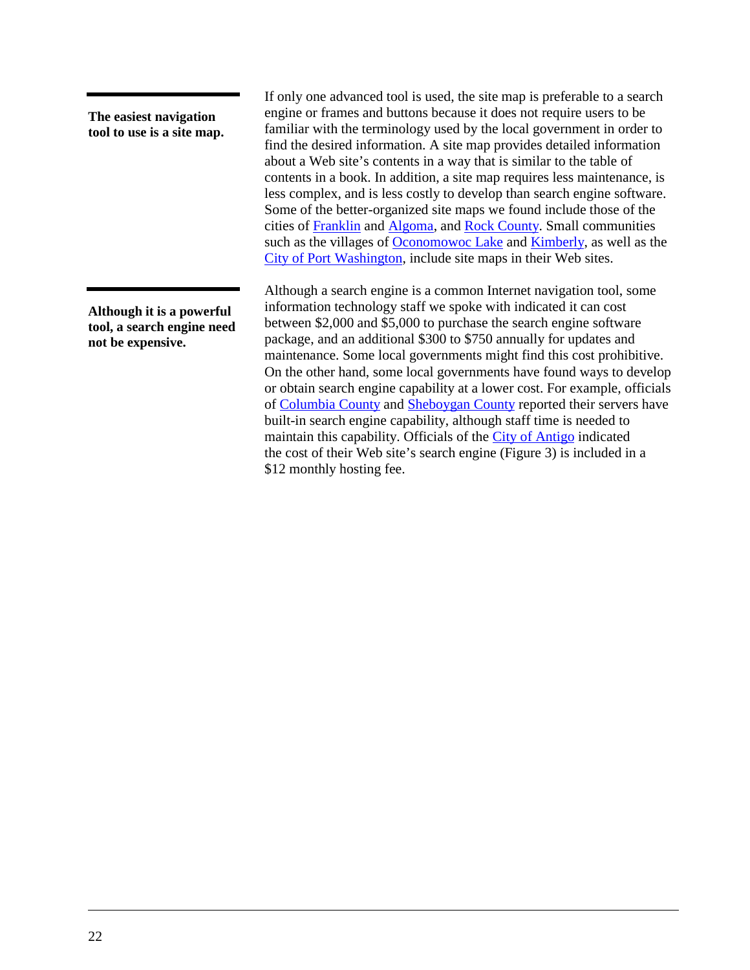**The easiest navigation tool to use is a site map.**

**Although it is a powerful tool, a search engine need not be expensive.**

If only one advanced tool is used, the site map is preferable to a search engine or frames and buttons because it does not require users to be familiar with the terminology used by the local government in order to find the desired information. A site map provides detailed information about a Web site's contents in a way that is similar to the table of contents in a book. In addition, a site map requires less maintenance, is less complex, and is less costly to develop than search engine software. Some of the better-organized site maps we found include those of the cities of [Franklin](http://www.ci.franklin.wi.us/) and [Algoma,](http://www.algomacity.org/) and [Rock County.](http://www.co.rock.wi.us/) Small communities such as the villages of [Oconomowoc Lake](http://www.oconlake.com/) and [Kimberly,](http://www.vokimberly.org/) as well as the [City of Port Washington,](http://www.ci.port-washington.wi.us/) include site maps in their Web sites.

Although a search engine is a common Internet navigation tool, some information technology staff we spoke with indicated it can cost between \$2,000 and \$5,000 to purchase the search engine software package, and an additional \$300 to \$750 annually for updates and maintenance. Some local governments might find this cost prohibitive. On the other hand, some local governments have found ways to develop or obtain search engine capability at a lower cost. For example, officials of [Columbia County](http://www.co.columbia.wi.us/) and [Sheboygan County](http://www.co.sheboygan.wi.us/) reported their servers have built-in search engine capability, although staff time is needed to maintain this capability. Officials of the [City of Antigo](http://www.antigo-city.org/) indicated the cost of their Web site's search engine (Figure 3) is included in a \$12 monthly hosting fee.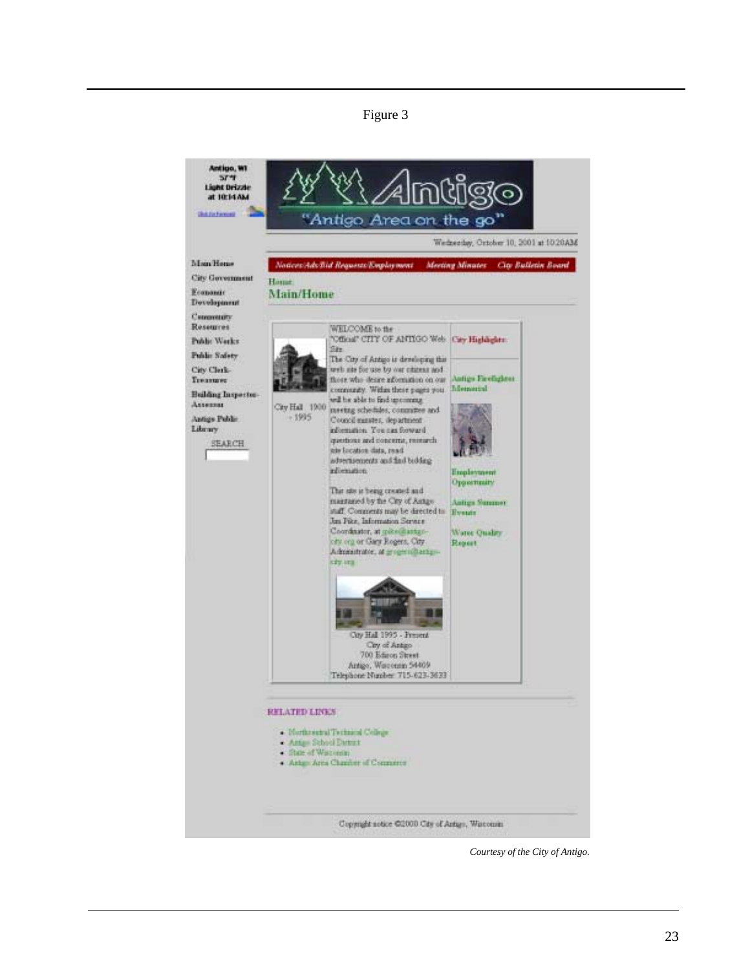Figure 3



*Courtesy of the City of Antigo.*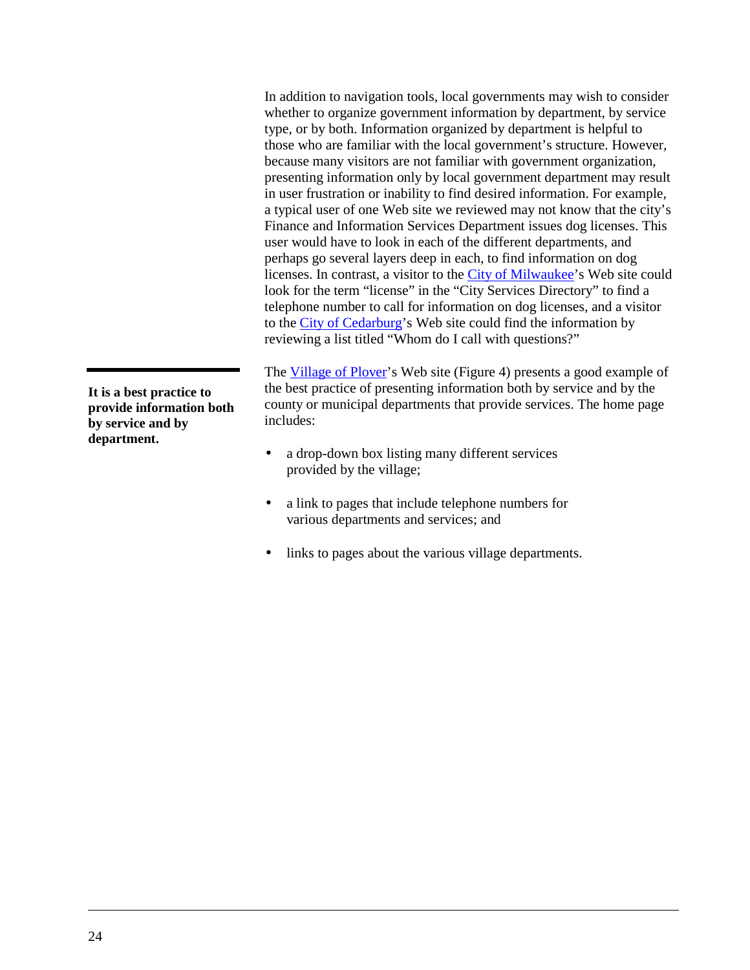In addition to navigation tools, local governments may wish to consider whether to organize government information by department, by service type, or by both. Information organized by department is helpful to those who are familiar with the local government's structure. However, because many visitors are not familiar with government organization, presenting information only by local government department may result in user frustration or inability to find desired information. For example, a typical user of one Web site we reviewed may not know that the city's Finance and Information Services Department issues dog licenses. This user would have to look in each of the different departments, and perhaps go several layers deep in each, to find information on dog licenses. In contrast, a visitor to the [City of Milwaukee'](http://www.ci.mil.wi.us/)s Web site could look for the term "license" in the "City Services Directory" to find a telephone number to call for information on dog licenses, and a visitor to the [City of Cedarburg'](http://www.ci.cedarburg.wi.us/)s Web site could find the information by reviewing a list titled "Whom do I call with questions?"

The [Village of Plover'](http://www.eplover.com/)s Web site (Figure 4) presents a good example of the best practice of presenting information both by service and by the county or municipal departments that provide services. The home page includes:

- a drop-down box listing many different services provided by the village;
- a link to pages that include telephone numbers for various departments and services; and
- links to pages about the various village departments.

**It is a best practice to provide information both by service and by department.**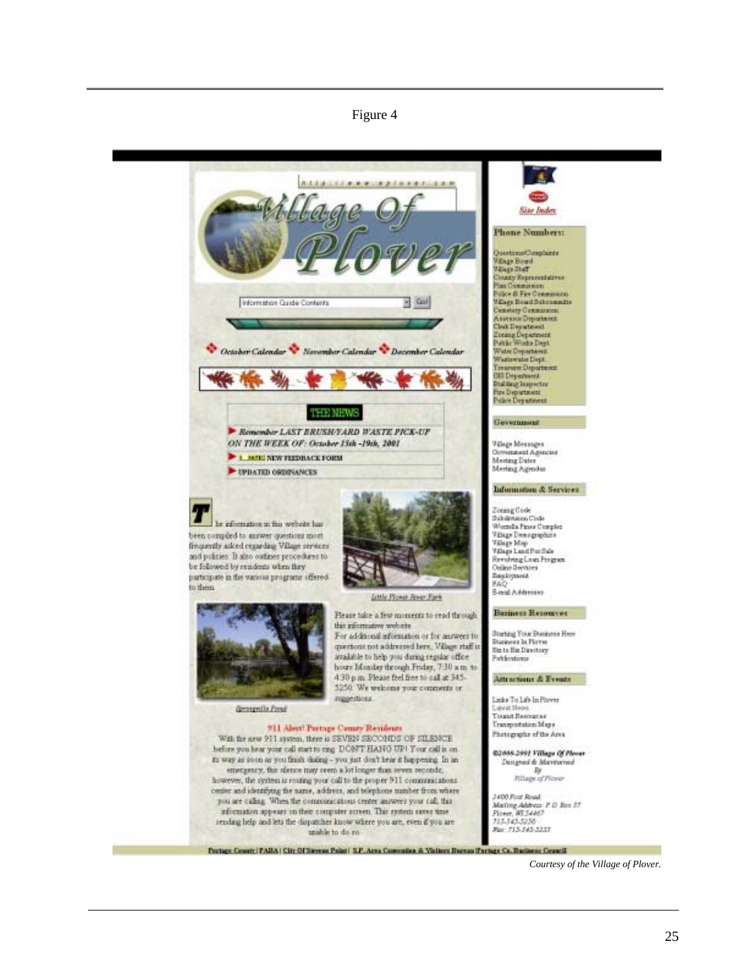#### Figure 4

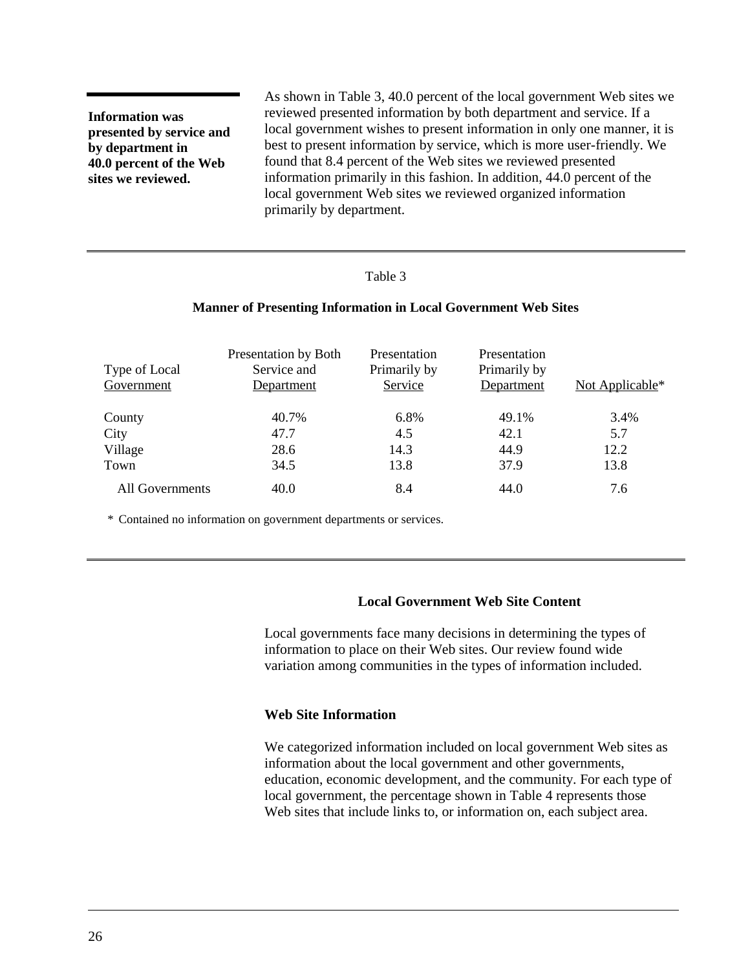<span id="page-29-0"></span>**Information was presented by service and by department in 40.0 percent of the Web sites we reviewed.**

As shown in Table 3, 40.0 percent of the local government Web sites we reviewed presented information by both department and service. If a local government wishes to present information in only one manner, it is best to present information by service, which is more user-friendly. We found that 8.4 percent of the Web sites we reviewed presented information primarily in this fashion. In addition, 44.0 percent of the local government Web sites we reviewed organized information primarily by department.

#### Table 3

#### **Manner of Presenting Information in Local Government Web Sites**

| Type of Local<br>Government | Presentation by Both<br>Service and<br>Department | Presentation<br>Primarily by<br>Service | Presentation<br>Primarily by<br>Department | Not Applicable* |
|-----------------------------|---------------------------------------------------|-----------------------------------------|--------------------------------------------|-----------------|
| County                      | 40.7%                                             | 6.8%                                    | 49.1%                                      | 3.4%            |
| City                        | 47.7                                              | 4.5                                     | 42.1                                       | 5.7             |
| Village                     | 28.6                                              | 14.3                                    | 44.9                                       | 12.2            |
| Town                        | 34.5                                              | 13.8                                    | 37.9                                       | 13.8            |
| All Governments             | 40.0                                              | 8.4                                     | 44.0                                       | 7.6             |

\* Contained no information on government departments or services.

#### **Local Government Web Site Content**

Local governments face many decisions in determining the types of information to place on their Web sites. Our review found wide variation among communities in the types of information included.

#### **Web Site Information**

We categorized information included on local government Web sites as information about the local government and other governments, education, economic development, and the community. For each type of local government, the percentage shown in [Table 4](#page-30-0) represents those Web sites that include links to, or information on, each subject area.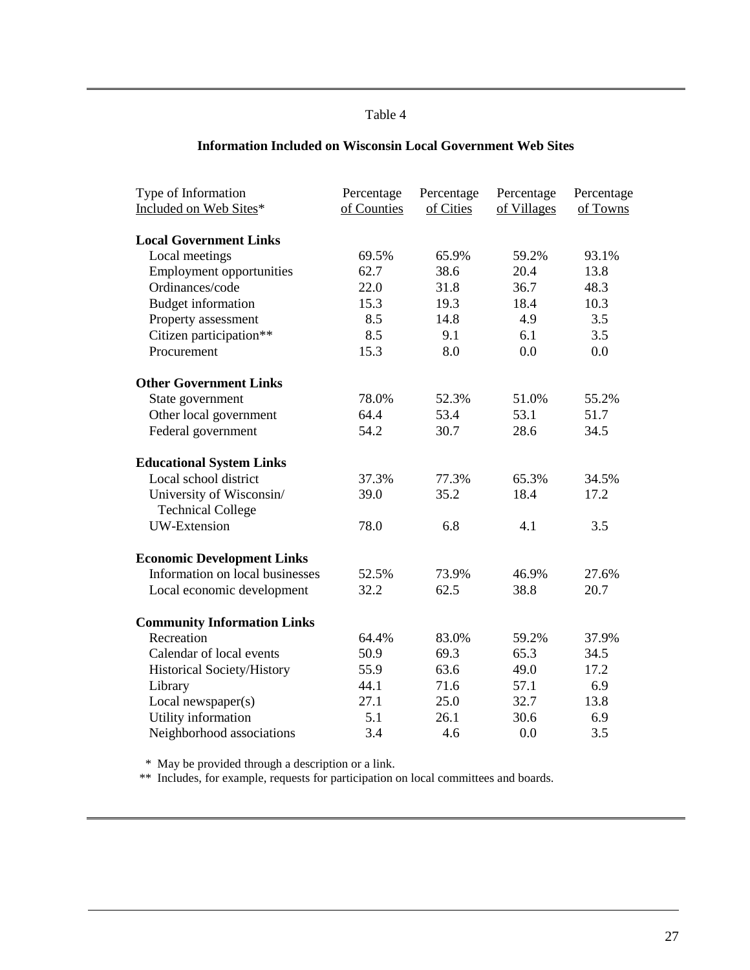#### Table 4

<span id="page-30-0"></span>

| Type of Information<br>Included on Web Sites* | Percentage<br>of Counties | Percentage<br>of Cities | Percentage<br>of Villages | Percentage<br>of Towns |
|-----------------------------------------------|---------------------------|-------------------------|---------------------------|------------------------|
| <b>Local Government Links</b>                 |                           |                         |                           |                        |
| Local meetings                                | 69.5%                     | 65.9%                   | 59.2%                     | 93.1%                  |
| <b>Employment opportunities</b>               | 62.7                      | 38.6                    | 20.4                      | 13.8                   |
| Ordinances/code                               | 22.0                      | 31.8                    | 36.7                      | 48.3                   |
| <b>Budget information</b>                     | 15.3                      | 19.3                    | 18.4                      | 10.3                   |
| Property assessment                           | 8.5                       | 14.8                    | 4.9                       | 3.5                    |
| Citizen participation**                       | 8.5                       | 9.1                     | 6.1                       | 3.5                    |
| Procurement                                   | 15.3                      | 8.0                     | 0.0                       | 0.0                    |
| <b>Other Government Links</b>                 |                           |                         |                           |                        |
| State government                              | 78.0%                     | 52.3%                   | 51.0%                     | 55.2%                  |
| Other local government                        | 64.4                      | 53.4                    | 53.1                      | 51.7                   |
| Federal government                            | 54.2                      | 30.7                    | 28.6                      | 34.5                   |
| <b>Educational System Links</b>               |                           |                         |                           |                        |
| Local school district                         | 37.3%                     | 77.3%                   | 65.3%                     | 34.5%                  |
| University of Wisconsin/                      | 39.0                      | 35.2                    | 18.4                      | 17.2                   |
| <b>Technical College</b>                      |                           |                         |                           |                        |
| <b>UW-Extension</b>                           | 78.0                      | 6.8                     | 4.1                       | 3.5                    |
| <b>Economic Development Links</b>             |                           |                         |                           |                        |
| Information on local businesses               | 52.5%                     | 73.9%                   | 46.9%                     | 27.6%                  |
| Local economic development                    | 32.2                      | 62.5                    | 38.8                      | 20.7                   |
| <b>Community Information Links</b>            |                           |                         |                           |                        |
| Recreation                                    | 64.4%                     | 83.0%                   | 59.2%                     | 37.9%                  |
| Calendar of local events                      | 50.9                      | 69.3                    | 65.3                      | 34.5                   |
| Historical Society/History                    | 55.9                      | 63.6                    | 49.0                      | 17.2                   |
| Library                                       | 44.1                      | 71.6                    | 57.1                      | 6.9                    |
| Local newspaper(s)                            | 27.1                      | 25.0                    | 32.7                      | 13.8                   |
| Utility information                           | 5.1                       | 26.1                    | 30.6                      | 6.9                    |
| Neighborhood associations                     | 3.4                       | 4.6                     | 0.0                       | 3.5                    |

## **Information Included on Wisconsin Local Government Web Sites**

\* May be provided through a description or a link.

\*\* Includes, for example, requests for participation on local committees and boards.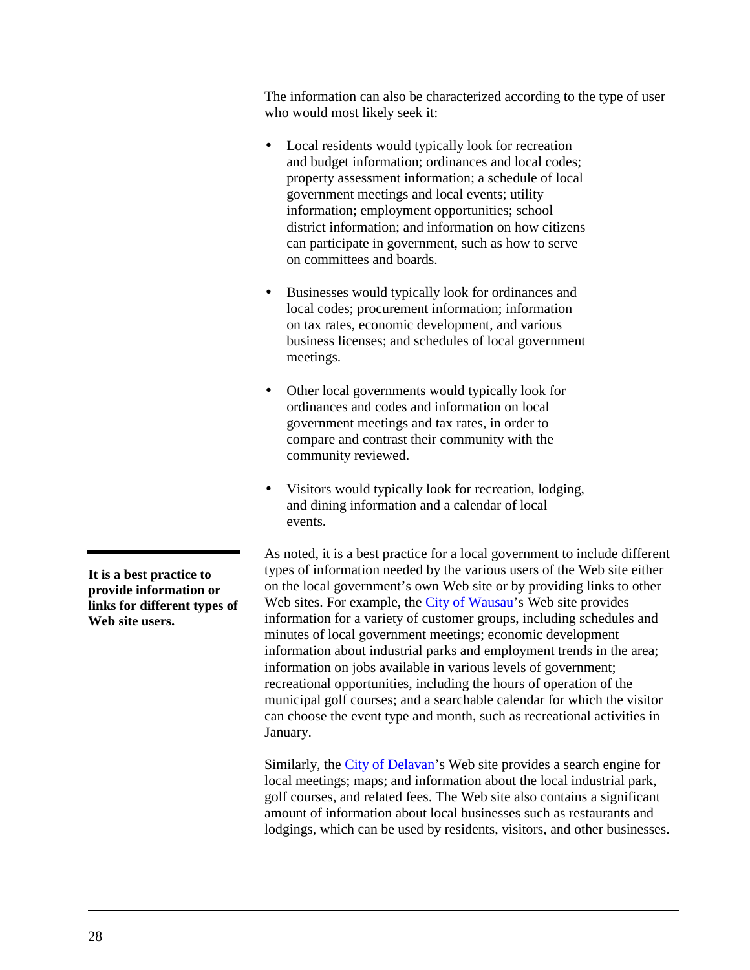The information can also be characterized according to the type of user who would most likely seek it:

- Local residents would typically look for recreation and budget information; ordinances and local codes; property assessment information; a schedule of local government meetings and local events; utility information; employment opportunities; school district information; and information on how citizens can participate in government, such as how to serve on committees and boards.
- Businesses would typically look for ordinances and local codes; procurement information; information on tax rates, economic development, and various business licenses; and schedules of local government meetings.
- Other local governments would typically look for ordinances and codes and information on local government meetings and tax rates, in order to compare and contrast their community with the community reviewed.
- Visitors would typically look for recreation, lodging, and dining information and a calendar of local events.

As noted, it is a best practice for a local government to include different types of information needed by the various users of the Web site either on the local government's own Web site or by providing links to other Web sites. For example, the [City of Wausau'](http://www.ci.wausau.wi.us/)s Web site provides information for a variety of customer groups, including schedules and minutes of local government meetings; economic development information about industrial parks and employment trends in the area; information on jobs available in various levels of government; recreational opportunities, including the hours of operation of the municipal golf courses; and a searchable calendar for which the visitor can choose the event type and month, such as recreational activities in January.

Similarly, the [City of Delavan'](http://www.cityofdelavan.org/)s Web site provides a search engine for local meetings; maps; and information about the local industrial park, golf courses, and related fees. The Web site also contains a significant amount of information about local businesses such as restaurants and lodgings, which can be used by residents, visitors, and other businesses.

**It is a best practice to provide information or links for different types of Web site users.**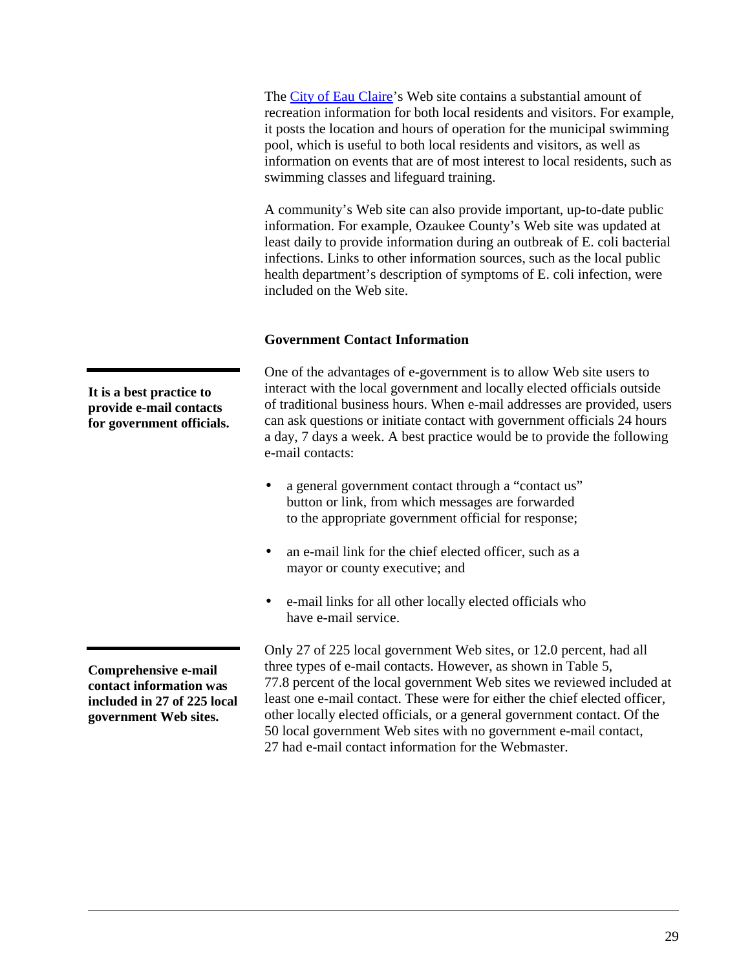<span id="page-32-0"></span>The [City of Eau Claire'](http://www.ci.eau-claire.wi.us/)s Web site contains a substantial amount of recreation information for both local residents and visitors. For example, it posts the location and hours of operation for the municipal swimming pool, which is useful to both local residents and visitors, as well as information on events that are of most interest to local residents, such as swimming classes and lifeguard training.

A community's Web site can also provide important, up-to-date public information. For example, Ozaukee County's Web site was updated at least daily to provide information during an outbreak of E. coli bacterial infections. Links to other information sources, such as the local public health department's description of symptoms of E. coli infection, were included on the Web site.

## **Government Contact Information**

One of the advantages of e-government is to allow Web site users to interact with the local government and locally elected officials outside of traditional business hours. When e-mail addresses are provided, users can ask questions or initiate contact with government officials 24 hours a day, 7 days a week. A best practice would be to provide the following e-mail contacts:

- a general government contact through a "contact us" button or link, from which messages are forwarded to the appropriate government official for response;
- an e-mail link for the chief elected officer, such as a mayor or county executive; and
- e-mail links for all other locally elected officials who have e-mail service.

Only 27 of 225 local government Web sites, or 12.0 percent, had all three types of e-mail contacts. However, as shown in [Table 5,](#page-33-0) 77.8 percent of the local government Web sites we reviewed included at least one e-mail contact. These were for either the chief elected officer, other locally elected officials, or a general government contact. Of the 50 local government Web sites with no government e-mail contact, 27 had e-mail contact information for the Webmaster.

**It is a best practice to provide e-mail contacts for government officials.**

**Comprehensive e-mail contact information was included in 27 of 225 local government Web sites.**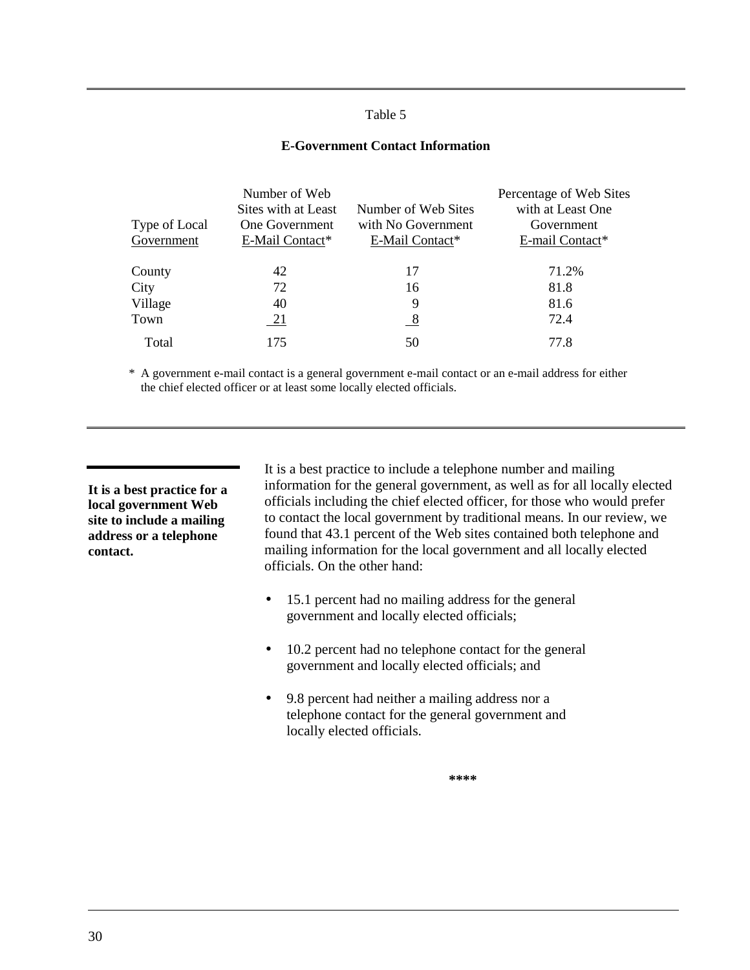#### Table 5

#### **E-Government Contact Information**

<span id="page-33-0"></span>

|               | Number of Web         |                     | Percentage of Web Sites |
|---------------|-----------------------|---------------------|-------------------------|
|               | Sites with at Least   | Number of Web Sites | with at Least One       |
| Type of Local | <b>One Government</b> | with No Government  | Government              |
| Government    | E-Mail Contact*       | E-Mail Contact*     | E-mail Contact*         |
| County        | 42                    | 17                  | 71.2%                   |
| City          | 72                    | 16                  | 81.8                    |
| Village       | 40                    | 9                   | 81.6                    |
| Town          | 21                    | 8                   | 72.4                    |
| Total         | 175                   | 50                  | 77.8                    |

\* A government e-mail contact is a general government e-mail contact or an e-mail address for either the chief elected officer or at least some locally elected officials.

**It is a best practice for a local government Web site to include a mailing address or a telephone contact.**

It is a best practice to include a telephone number and mailing information for the general government, as well as for all locally elected officials including the chief elected officer, for those who would prefer to contact the local government by traditional means. In our review, we found that 43.1 percent of the Web sites contained both telephone and mailing information for the local government and all locally elected officials. On the other hand:

- 15.1 percent had no mailing address for the general government and locally elected officials;
- 10.2 percent had no telephone contact for the general government and locally elected officials; and
- 9.8 percent had neither a mailing address nor a telephone contact for the general government and locally elected officials.

**\*\*\*\***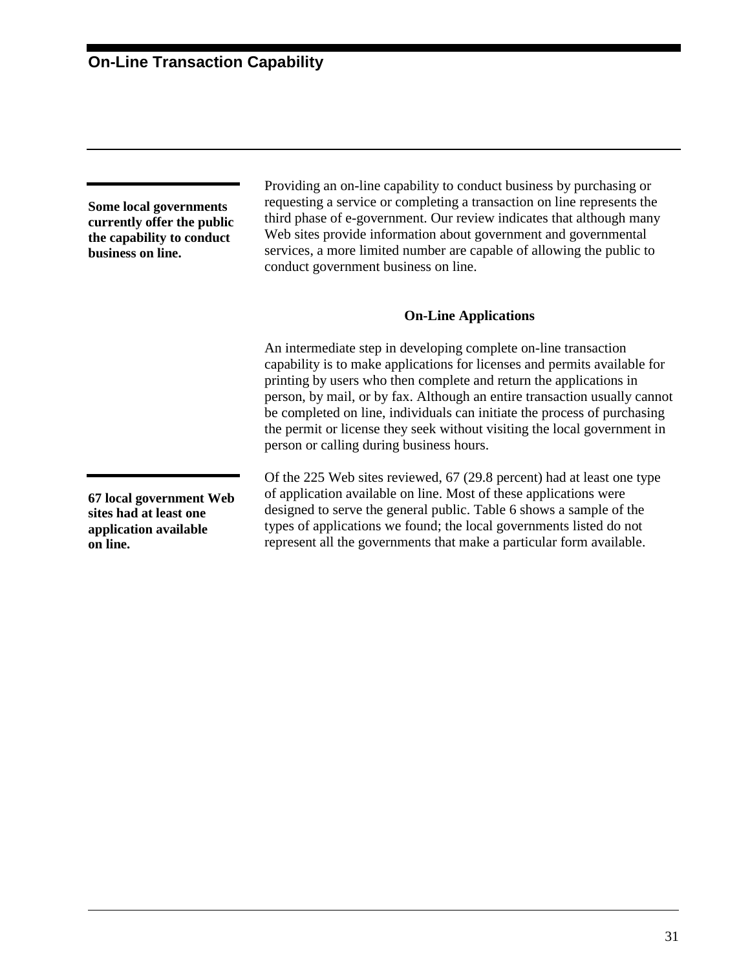<span id="page-34-0"></span>**Some local governments currently offer the public the capability to conduct business on line.**

Providing an on-line capability to conduct business by purchasing or requesting a service or completing a transaction on line represents the third phase of e-government. Our review indicates that although many Web sites provide information about government and governmental services, a more limited number are capable of allowing the public to conduct government business on line.

#### **On-Line Applications**

An intermediate step in developing complete on-line transaction capability is to make applications for licenses and permits available for printing by users who then complete and return the applications in person, by mail, or by fax. Although an entire transaction usually cannot be completed on line, individuals can initiate the process of purchasing the permit or license they seek without visiting the local government in person or calling during business hours.

Of the 225 Web sites reviewed, 67 (29.8 percent) had at least one type of application available on line. Most of these applications were designed to serve the general public. [Table 6](#page-35-0) shows a sample of the types of applications we found; the local governments listed do not represent all the governments that make a particular form available.

**67 local government Web sites had at least one application available on line.**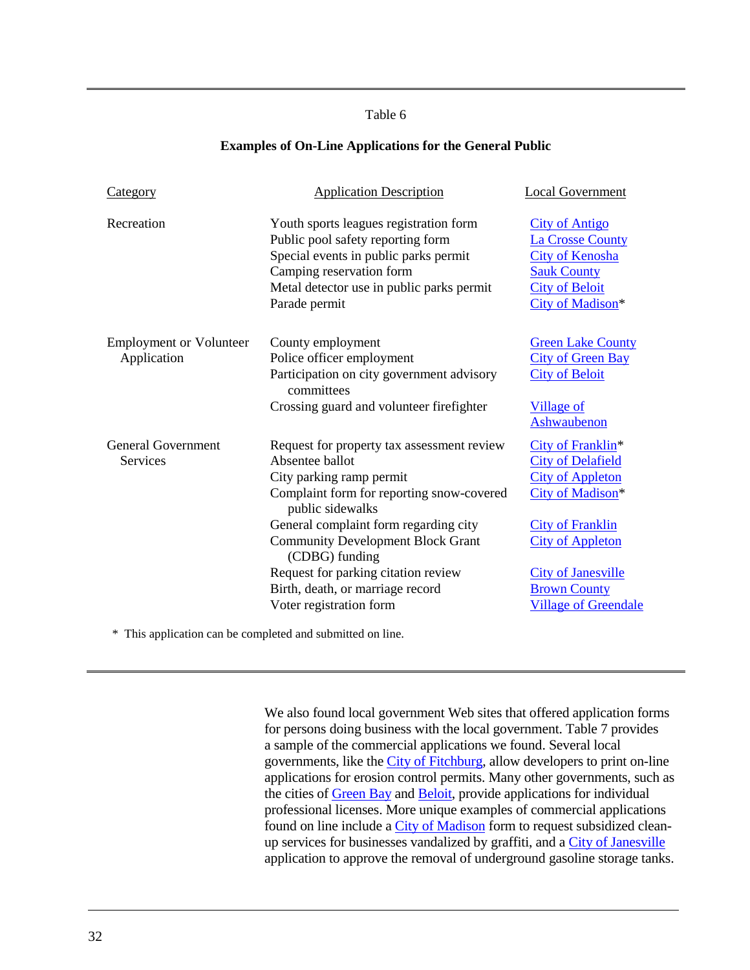#### Table 6

#### **Examples of On-Line Applications for the General Public**

<span id="page-35-0"></span>

| <b>Category</b>                               | <b>Application Description</b>                                                                                                                                                                                 | <b>Local Government</b>                                                                                                                       |
|-----------------------------------------------|----------------------------------------------------------------------------------------------------------------------------------------------------------------------------------------------------------------|-----------------------------------------------------------------------------------------------------------------------------------------------|
| Recreation                                    | Youth sports leagues registration form<br>Public pool safety reporting form<br>Special events in public parks permit<br>Camping reservation form<br>Metal detector use in public parks permit<br>Parade permit | <b>City of Antigo</b><br><b>La Crosse County</b><br><b>City of Kenosha</b><br><b>Sauk County</b><br><b>City of Beloit</b><br>City of Madison* |
| <b>Employment or Volunteer</b><br>Application | County employment<br>Police officer employment<br>Participation on city government advisory<br>committees<br>Crossing guard and volunteer firefighter                                                          | <b>Green Lake County</b><br><b>City of Green Bay</b><br><b>City of Beloit</b><br><b>Village of</b><br>Ashwaubenon                             |
| <b>General Government</b><br>Services         | Request for property tax assessment review<br>Absentee ballot<br>City parking ramp permit<br>Complaint form for reporting snow-covered<br>public sidewalks<br>General complaint form regarding city            | City of Franklin <sup>*</sup><br><b>City of Delafield</b><br><b>City of Appleton</b><br>City of Madison*<br><b>City of Franklin</b>           |
|                                               | <b>Community Development Block Grant</b><br>(CDBG) funding<br>Request for parking citation review<br>Birth, death, or marriage record<br>Voter registration form                                               | <b>City of Appleton</b><br><b>City of Janesville</b><br><b>Brown County</b><br><b>Village of Greendale</b>                                    |

\* This application can be completed and submitted on line.

We also found local government Web sites that offered application forms for persons doing business with the local government. [Table 7](#page-36-0) provides a sample of the commercial applications we found. Several local governments, like the [City of Fitchburg,](http://www.city.fitchburg.wi.us/) allow developers to print on-line applications for erosion control permits. Many other governments, such as the cities of [Green Bay](http://www.ci.green-bay.wi.us/) and [Beloit,](http://www.ci.beloit.wi.us/) provide applications for individual professional licenses. More unique examples of commercial applications found on line include a [City of Madison](http://www.ci.madison.wi.us/) form to request subsidized clean-up services for businesses vandalized by graffiti, and a [City of Janesville](http://www.ci.janesville.wi.us/) application to approve the removal of underground gasoline storage tanks.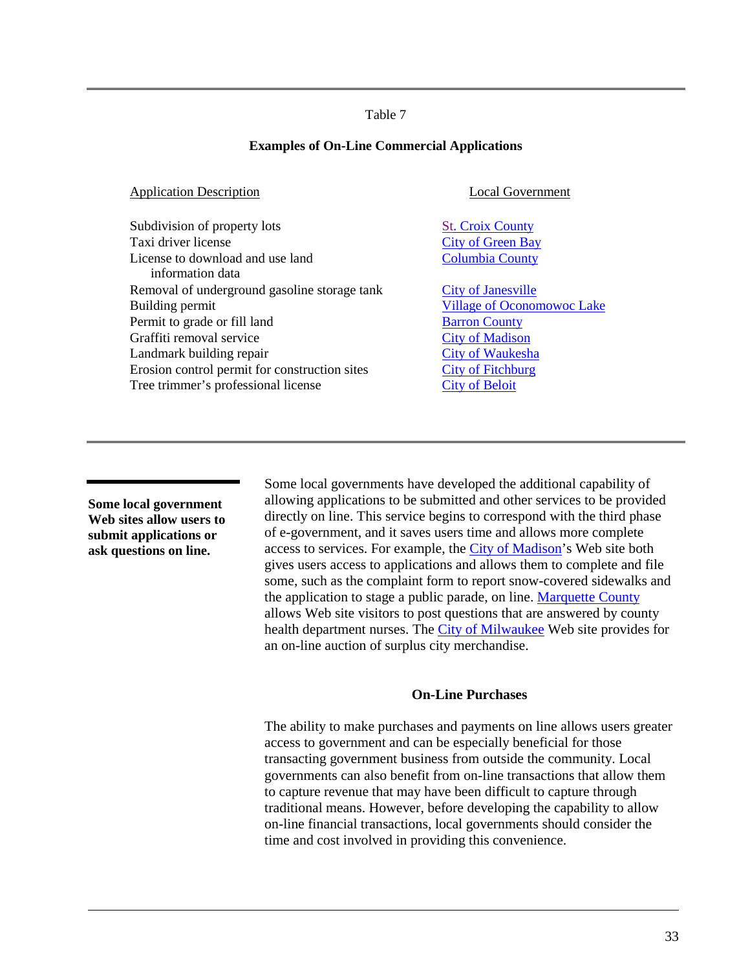#### **Examples of On-Line Commercial Applications**

| <b>Application Description</b>                       | <b>Local Government</b>           |
|------------------------------------------------------|-----------------------------------|
| Subdivision of property lots                         | <b>St. Croix County</b>           |
| Taxi driver license                                  | <b>City of Green Bay</b>          |
| License to download and use land<br>information data | <b>Columbia County</b>            |
| Removal of underground gasoline storage tank         | <b>City of Janesville</b>         |
| Building permit                                      | <b>Village of Oconomowoc Lake</b> |
| Permit to grade or fill land                         | <b>Barron County</b>              |
| Graffiti removal service                             | <b>City of Madison</b>            |
| Landmark building repair                             | <b>City of Waukesha</b>           |
| Erosion control permit for construction sites        | <b>City of Fitchburg</b>          |
| Tree trimmer's professional license                  | <b>City of Beloit</b>             |

**Some local government Web sites allow users to submit applications or ask questions on line.**

Some local governments have developed the additional capability of allowing applications to be submitted and other services to be provided directly on line. This service begins to correspond with the third phase of e-government, and it saves users time and allows more complete access to services. For example, the [City of Madison'](http://www.ci.madison.wi.us/)s Web site both gives users access to applications and allows them to complete and file some, such as the complaint form to report snow-covered sidewalks and the application to stage a public parade, on line. [Marquette County](http://co.marquette.wi.us/) allows Web site visitors to post questions that are answered by county health department nurses. The [City of Milwaukee](http://www.ci.mil.wi.us/) Web site provides for an on-line auction of surplus city merchandise.

## **On-Line Purchases**

The ability to make purchases and payments on line allows users greater access to government and can be especially beneficial for those transacting government business from outside the community. Local governments can also benefit from on-line transactions that allow them to capture revenue that may have been difficult to capture through traditional means. However, before developing the capability to allow on-line financial transactions, local governments should consider the time and cost involved in providing this convenience.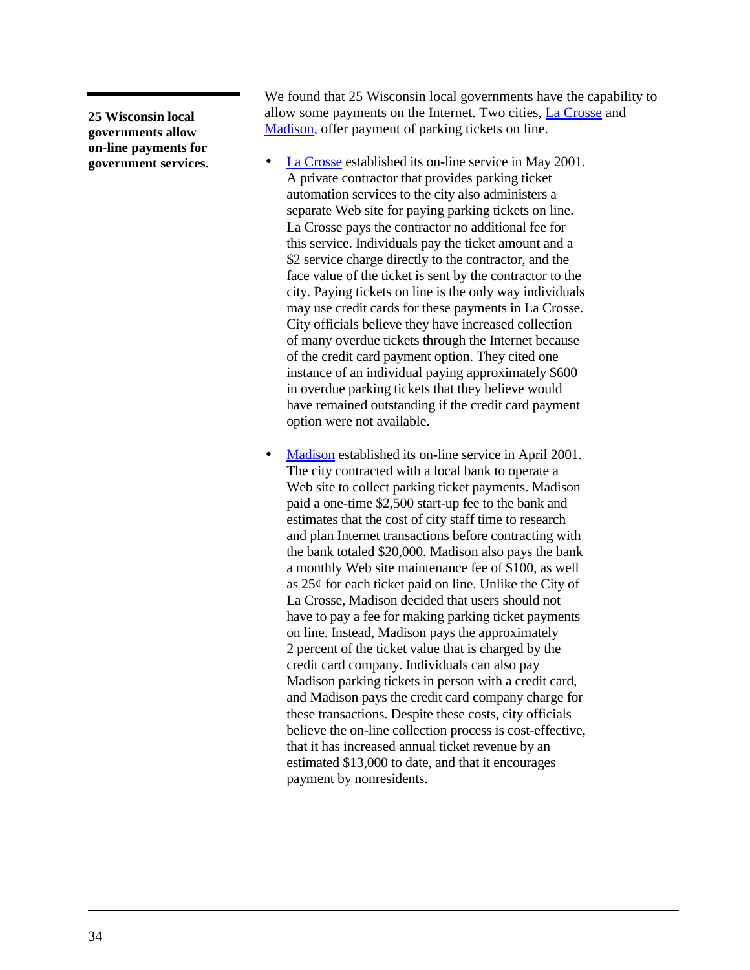**25 Wisconsin local governments allow on-line payments for government services.** We found that 25 Wisconsin local governments have the capability to allow some payments on the Internet. Two cities, [La Crosse](http://www.cityoflacrosse.org/) and [Madison,](http://www.ci.madison.wi.us/) offer payment of parking tickets on line.

- [La Crosse](http://www.cityoflacrosse.org/) established its on-line service in May 2001. A private contractor that provides parking ticket automation services to the city also administers a separate Web site for paying parking tickets on line. La Crosse pays the contractor no additional fee for this service. Individuals pay the ticket amount and a \$2 service charge directly to the contractor, and the face value of the ticket is sent by the contractor to the city. Paying tickets on line is the only way individuals may use credit cards for these payments in La Crosse. City officials believe they have increased collection of many overdue tickets through the Internet because of the credit card payment option. They cited one instance of an individual paying approximately \$600 in overdue parking tickets that they believe would have remained outstanding if the credit card payment option were not available.
- [Madison](http://www.ci.madison.wi.us/) established its on-line service in April 2001. The city contracted with a local bank to operate a Web site to collect parking ticket payments. Madison paid a one-time \$2,500 start-up fee to the bank and estimates that the cost of city staff time to research and plan Internet transactions before contracting with the bank totaled \$20,000. Madison also pays the bank a monthly Web site maintenance fee of \$100, as well as 25¢ for each ticket paid on line. Unlike the City of La Crosse, Madison decided that users should not have to pay a fee for making parking ticket payments on line. Instead, Madison pays the approximately 2 percent of the ticket value that is charged by the credit card company. Individuals can also pay Madison parking tickets in person with a credit card, and Madison pays the credit card company charge for these transactions. Despite these costs, city officials believe the on-line collection process is cost-effective, that it has increased annual ticket revenue by an estimated \$13,000 to date, and that it encourages payment by nonresidents.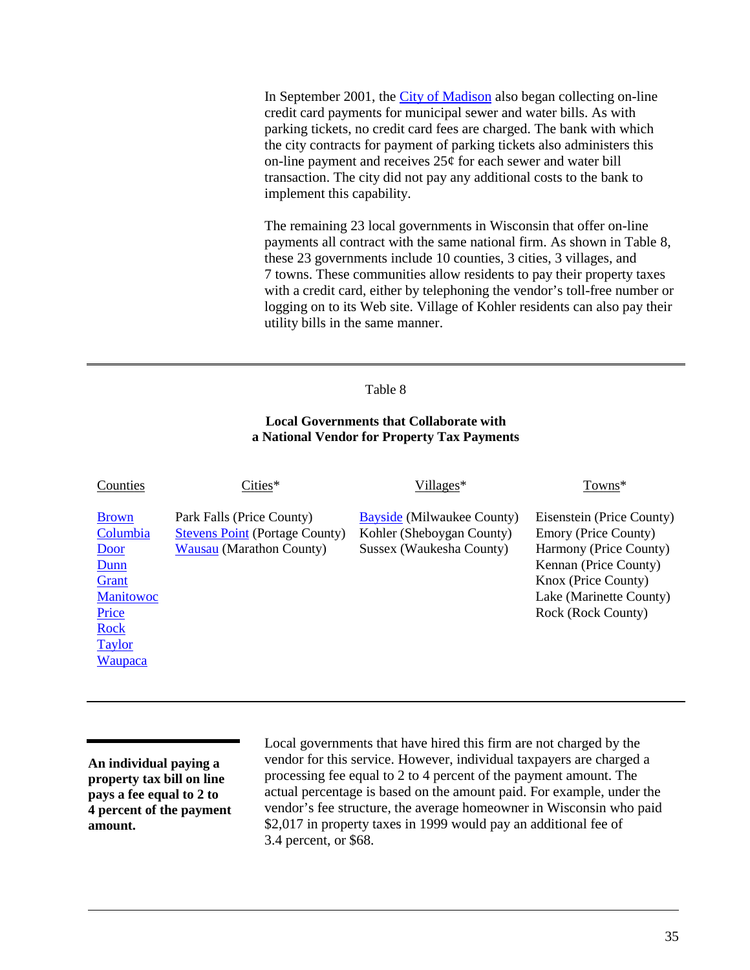In September 2001, the [City of Madison](http://www.ci.madison.wi.us/) also began collecting on-line credit card payments for municipal sewer and water bills. As with parking tickets, no credit card fees are charged. The bank with which the city contracts for payment of parking tickets also administers this on-line payment and receives  $25¢$  for each sewer and water bill transaction. The city did not pay any additional costs to the bank to implement this capability.

The remaining 23 local governments in Wisconsin that offer on-line payments all contract with the same national firm. As shown in Table 8, these 23 governments include 10 counties, 3 cities, 3 villages, and 7 towns. These communities allow residents to pay their property taxes with a credit card, either by telephoning the vendor's toll-free number or logging on to its Web site. Village of Kohler residents can also pay their utility bills in the same manner.

### Table 8

## **Local Governments that Collaborate with a National Vendor for Property Tax Payments**

| Counties                                                                                                                  | Cities*                                                                                               | $Villages*$                                                                                | Towns*                                                                                                                                                                       |
|---------------------------------------------------------------------------------------------------------------------------|-------------------------------------------------------------------------------------------------------|--------------------------------------------------------------------------------------------|------------------------------------------------------------------------------------------------------------------------------------------------------------------------------|
| <b>Brown</b><br>Columbia<br>Door<br>Dunn<br>Grant<br><b>Manitowoc</b><br>Price<br><b>Rock</b><br><b>Taylor</b><br>Waupaca | Park Falls (Price County)<br><b>Stevens Point (Portage County)</b><br><b>Wausau (Marathon County)</b> | <b>Bayside (Milwaukee County)</b><br>Kohler (Sheboygan County)<br>Sussex (Waukesha County) | Eisenstein (Price County)<br>Emory (Price County)<br>Harmony (Price County)<br>Kennan (Price County)<br>Knox (Price County)<br>Lake (Marinette County)<br>Rock (Rock County) |

**An individual paying a property tax bill on line pays a fee equal to 2 to 4 percent of the payment amount.**

Local governments that have hired this firm are not charged by the vendor for this service. However, individual taxpayers are charged a processing fee equal to 2 to 4 percent of the payment amount. The actual percentage is based on the amount paid. For example, under the vendor's fee structure, the average homeowner in Wisconsin who paid \$2,017 in property taxes in 1999 would pay an additional fee of 3.4 percent, or \$68.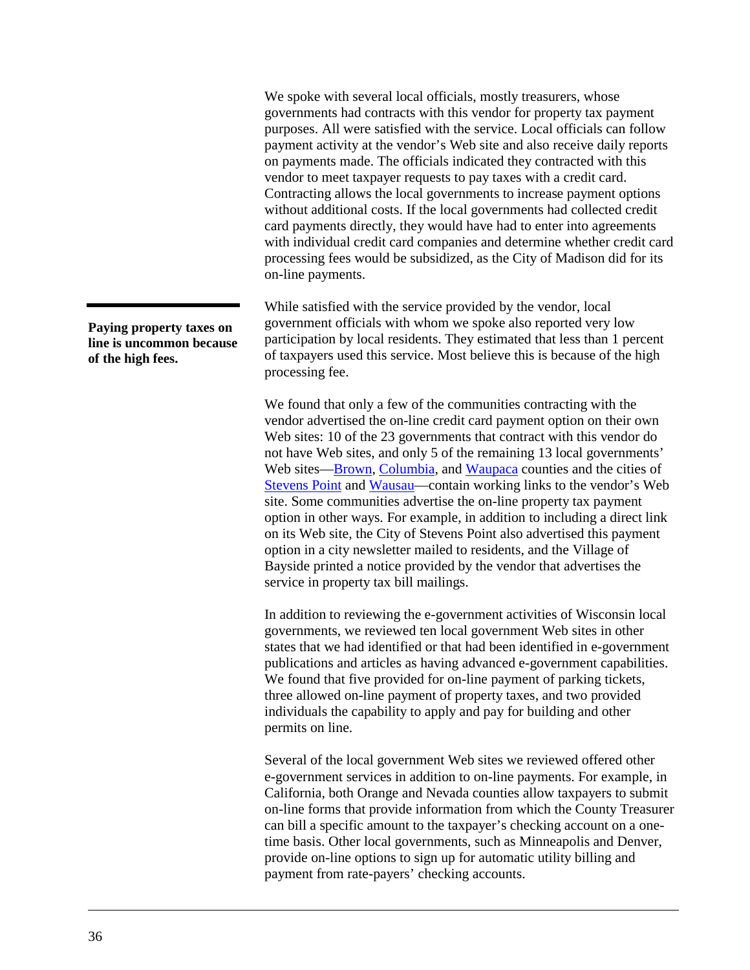We spoke with several local officials, mostly treasurers, whose governments had contracts with this vendor for property tax payment purposes. All were satisfied with the service. Local officials can follow payment activity at the vendor's Web site and also receive daily reports on payments made. The officials indicated they contracted with this vendor to meet taxpayer requests to pay taxes with a credit card. Contracting allows the local governments to increase payment options without additional costs. If the local governments had collected credit card payments directly, they would have had to enter into agreements with individual credit card companies and determine whether credit card processing fees would be subsidized, as the City of Madison did for its on-line payments.

While satisfied with the service provided by the vendor, local government officials with whom we spoke also reported very low participation by local residents. They estimated that less than 1 percent of taxpayers used this service. Most believe this is because of the high processing fee.

We found that only a few of the communities contracting with the vendor advertised the on-line credit card payment option on their own Web sites: 10 of the 23 governments that contract with this vendor do not have Web sites, and only 5 of the remaining 13 local governments' Web sites[—Brown,](http://www.co.brown.wi.us/) [Columbia,](http://www.co.columbia.wi.us/) and [Waupaca](http://www.co.waupaca.wi.us/) counties and the cities of [Stevens Point](http://ci.stevens-point.wi.us/) and [Wausau—](http://www.ci.wausau.wi.us/)contain working links to the vendor's Web site. Some communities advertise the on-line property tax payment option in other ways. For example, in addition to including a direct link on its Web site, the City of Stevens Point also advertised this payment option in a city newsletter mailed to residents, and the Village of Bayside printed a notice provided by the vendor that advertises the service in property tax bill mailings.

In addition to reviewing the e-government activities of Wisconsin local governments, we reviewed ten local government Web sites in other states that we had identified or that had been identified in e-government publications and articles as having advanced e-government capabilities. We found that five provided for on-line payment of parking tickets, three allowed on-line payment of property taxes, and two provided individuals the capability to apply and pay for building and other permits on line.

Several of the local government Web sites we reviewed offered other e-government services in addition to on-line payments. For example, in California, both Orange and Nevada counties allow taxpayers to submit on-line forms that provide information from which the County Treasurer can bill a specific amount to the taxpayer's checking account on a onetime basis. Other local governments, such as Minneapolis and Denver, provide on-line options to sign up for automatic utility billing and payment from rate-payers' checking accounts.

**Paying property taxes on line is uncommon because of the high fees.**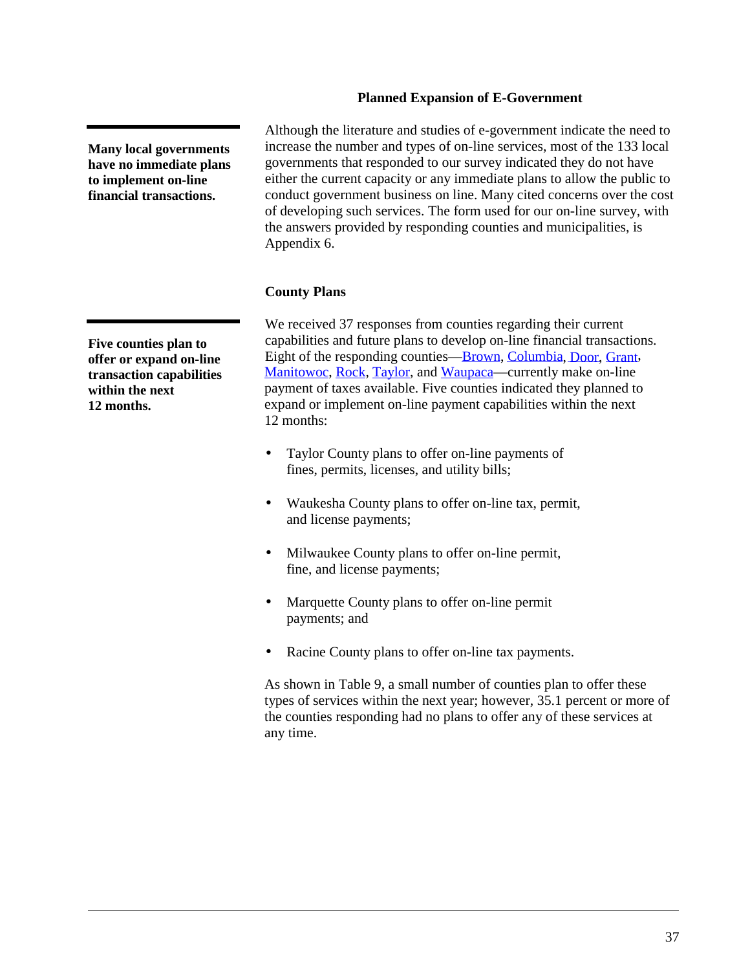# **Planned Expansion of E-Government**

Although the literature and studies of e-government indicate the need to increase the number and types of on-line services, most of the 133 local governments that responded to our survey indicated they do not have either the current capacity or any immediate plans to allow the public to conduct government business on line. Many cited concerns over the cost of developing such services. The form used for our on-line survey, with the answers provided by responding counties and municipalities, is Appendix 6.

## **County Plans**

We received 37 responses from counties regarding their current capabilities and future plans to develop on-line financial transactions. Eight of the responding counties[—Brown,](http://www.co.brown.wi.us/) [Columbia,](http://www.co.columbia.wi.us/) [Door,](www.co.door.wi.us) [Grant,](http://grantcounty.org/) [Manitowoc,](http://www.co.manitowoc.wi.us/) [Rock,](http://www.co.rock.wi.us/) [Taylor,](http://www.taylor-county.com/) and [Waupaca—](http://www.co.waupaca.wi.us/)currently make on-line payment of taxes available. Five counties indicated they planned to expand or implement on-line payment capabilities within the next 12 months:

- [Ta](http://www.taylor-county.com/)ylor County plans to offer on-line payments of fines, permits, licenses, and utility bills;
- Waukesha County plans to offer on-line tax, permit, and license payments;
- [Mi](http://www.co.milwaukee.wi.us/)lwaukee County plans to offer on-line permit, fine, and license payments;
- Marquette County plans to offer on-line permit payments; and
- Racine County plans to offer on-line tax payments.

As shown in [Table 9,](#page-41-0) a small number of counties plan to offer these types of services within the next year; however, 35.1 percent or more of the counties responding had no plans to offer any of these services at any time.

**Many local governments have no immediate plans to implement on-line financial transactions.**

**Five counties plan to offer or expand on-line transaction capabilities within the next 12 months.**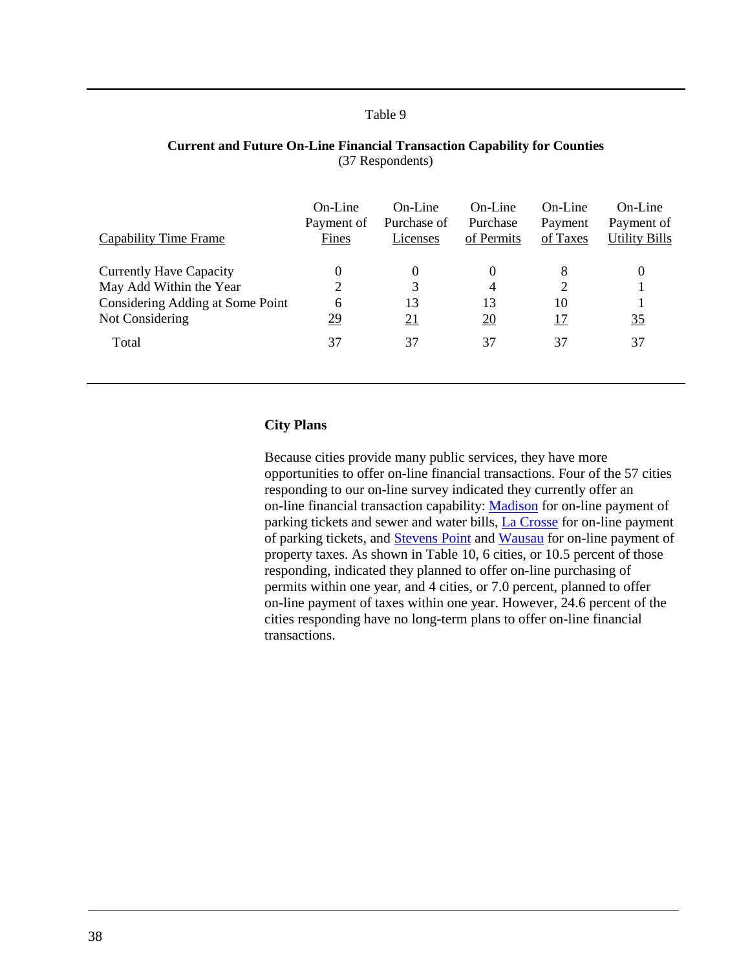<span id="page-41-0"></span>

| On-Line<br>Payment of<br>Fines | On-Line<br>Purchase of<br>Licenses | $On$ -Line<br>Purchase<br>of Permits | On-Line<br>Payment<br>of Taxes | On-Line<br>Payment of<br><b>Utility Bills</b> |
|--------------------------------|------------------------------------|--------------------------------------|--------------------------------|-----------------------------------------------|
| $\theta$                       | $\theta$                           | 0                                    | 8                              | $\theta$                                      |
| $\overline{2}$                 | 3                                  | 4                                    | $\overline{c}$                 |                                               |
| 6                              | 13                                 | 13                                   | 10                             |                                               |
| <u>29</u>                      | <u>21</u>                          | $\overline{20}$                      | <u> 17</u>                     | 35                                            |
| 37                             | 37                                 | 37                                   | 37                             | 37                                            |
|                                |                                    |                                      |                                |                                               |

#### **Current and Future On-Line Financial Transaction Capability for Counties** (37 Respondents)

## **City Plans**

Because cities provide many public services, they have more opportunities to offer on-line financial transactions. Four of the 57 cities responding to our on-line survey indicated they currently offer an on-line financial transaction capability: [Madison](http://www.ci.madison.wi.us/) for on-line payment of parking tickets and sewer and water bills, [La Crosse](http://www.cityoflacrosse.org/) for on-line payment of parking tickets, and [Stevens Point](http://ci.stevens-point.wi.us/) and [Wausau](http://www.ci.wausau.wi.us/) for on-line payment of property taxes. As shown in [Table 10,](#page-42-0) 6 cities, or 10.5 percent of those responding, indicated they planned to offer on-line purchasing of permits within one year, and 4 cities, or 7.0 percent, planned to offer on-line payment of taxes within one year. However, 24.6 percent of the cities responding have no long-term plans to offer on-line financial transactions.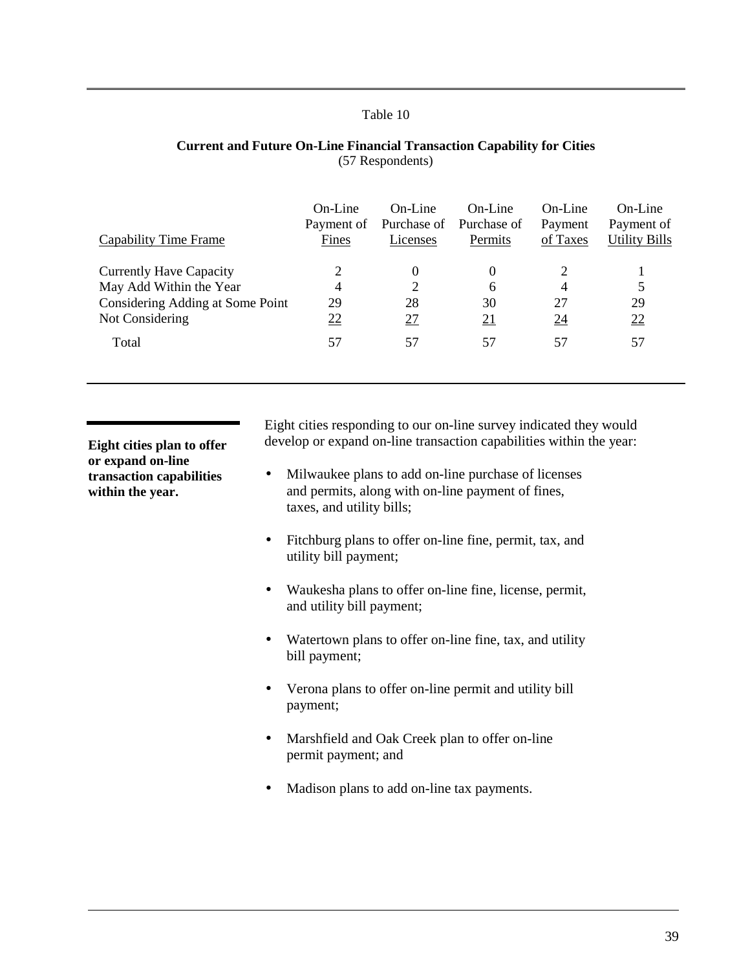<span id="page-42-0"></span>

| Capability Time Frame            | On-Line<br>Payment of<br>Fines | $On-I$ ine<br>Purchase of<br>Licenses | On-Line<br>Purchase of<br>Permits | On-Line<br>Payment<br>of Taxes | $On$ -Line<br>Payment of<br><b>Utility Bills</b> |
|----------------------------------|--------------------------------|---------------------------------------|-----------------------------------|--------------------------------|--------------------------------------------------|
| <b>Currently Have Capacity</b>   | 2                              | 0                                     | 0                                 | 2                              |                                                  |
| May Add Within the Year          | 4                              | $\overline{2}$                        | 6                                 | 4                              |                                                  |
| Considering Adding at Some Point | 29                             | 28                                    | 30                                | 27                             | 29                                               |
| Not Considering                  | 22                             | 27                                    | $\overline{21}$                   | $\overline{24}$                | 22                                               |
| Total                            | 57                             | 57                                    | 57                                | 57                             | 57                                               |
|                                  |                                |                                       |                                   |                                |                                                  |

#### **Current and Future On-Line Financial Transaction Capability for Cities** (57 Respondents)

**Eight cities plan to offer or expand on-line transaction capabilities within the year.**

Eight cities responding to our on-line survey indicated they would develop or expand on-line transaction capabilities within the year:

- [Mi](http://www.ci.mil.wi.us/)lwaukee plans to add on-line purchase of licenses and permits, along with on-line payment of fines, taxes, and utility bills;
- Fitchburg plans to offer on-line fine, permit, tax, and utility bill payment;
- Waukesha plans to offer on-line fine, license, permit, and utility bill payment;
- Watertown plans to offer on-line fine, tax, and utility bill payment;
- Verona plans to offer on-line permit and utility bill payment;
- Marshfield and Oak Creek plan to offer on-line permit payment; and
- Madison plans to add on-line tax payments.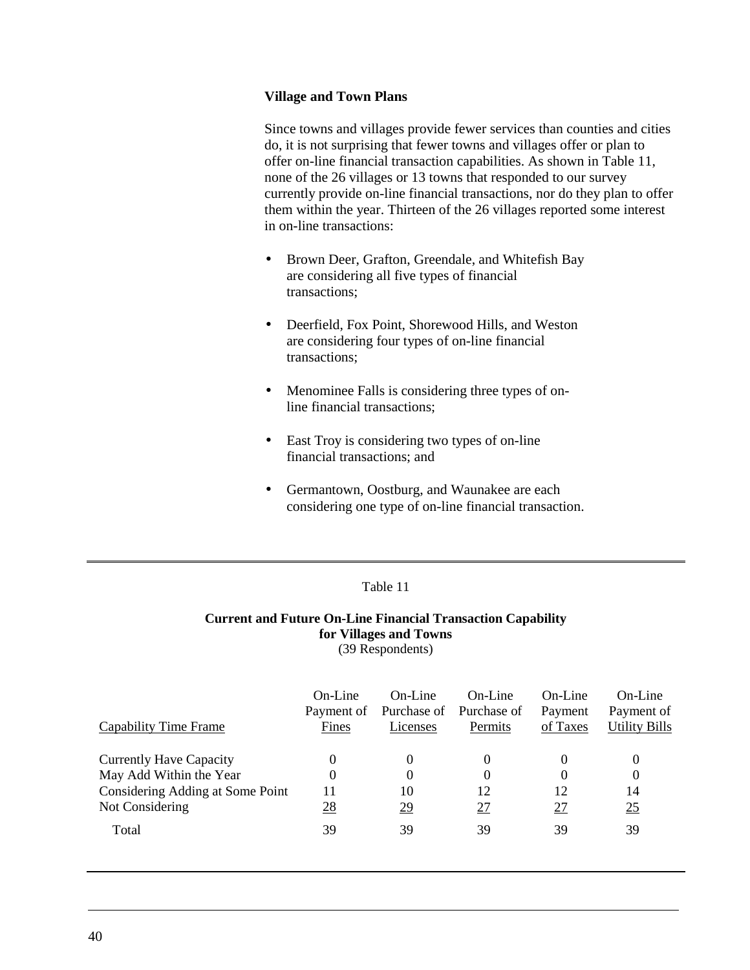## **Village and Town Plans**

Since towns and villages provide fewer services than counties and cities do, it is not surprising that fewer towns and villages offer or plan to offer on-line financial transaction capabilities. As shown in Table 11, none of the 26 villages or 13 towns that responded to our survey currently provide on-line financial transactions, nor do they plan to offer them within the year. Thirteen of the 26 villages reported some interest in on-line transactions:

- Brown Deer, Grafton, Greendale, and Whitefish Bay are considering all five types of financial transactions;
- Deerfield, Fox Point, Shorewood Hills, and Weston are considering four types of on-line financial transactions;
- Menominee Falls is considering three types of online financial transactions;
- East Troy is considering two types of on-line financial transactions; and
- Germantown, Oostburg, and Waunakee are each considering one type of on-line financial transaction.

## Table 11

## **Current and Future On-Line Financial Transaction Capability for Villages and Towns** (39 Respondents)

| Capability Time Frame            | On-Line<br>Payment of<br>Fines | On-Line<br>Licenses | On-Line<br>Purchase of Purchase of<br>Permits | On-Line<br>Payment<br>of Taxes | $On$ -Line<br>Payment of<br><b>Utility Bills</b> |
|----------------------------------|--------------------------------|---------------------|-----------------------------------------------|--------------------------------|--------------------------------------------------|
| <b>Currently Have Capacity</b>   | 0                              | 0                   | 0                                             | 0                              | $\theta$                                         |
| May Add Within the Year          | 0                              | 0                   | 0                                             | 0                              | $\Omega$                                         |
| Considering Adding at Some Point | 11                             | 10                  | 12                                            | 12                             | 14                                               |
| Not Considering                  | <u>28</u>                      | <u>29</u>           | <u>27</u>                                     | $\overline{27}$                | 25                                               |
| Total                            | 39                             | 39                  | 39                                            | 39                             | 39                                               |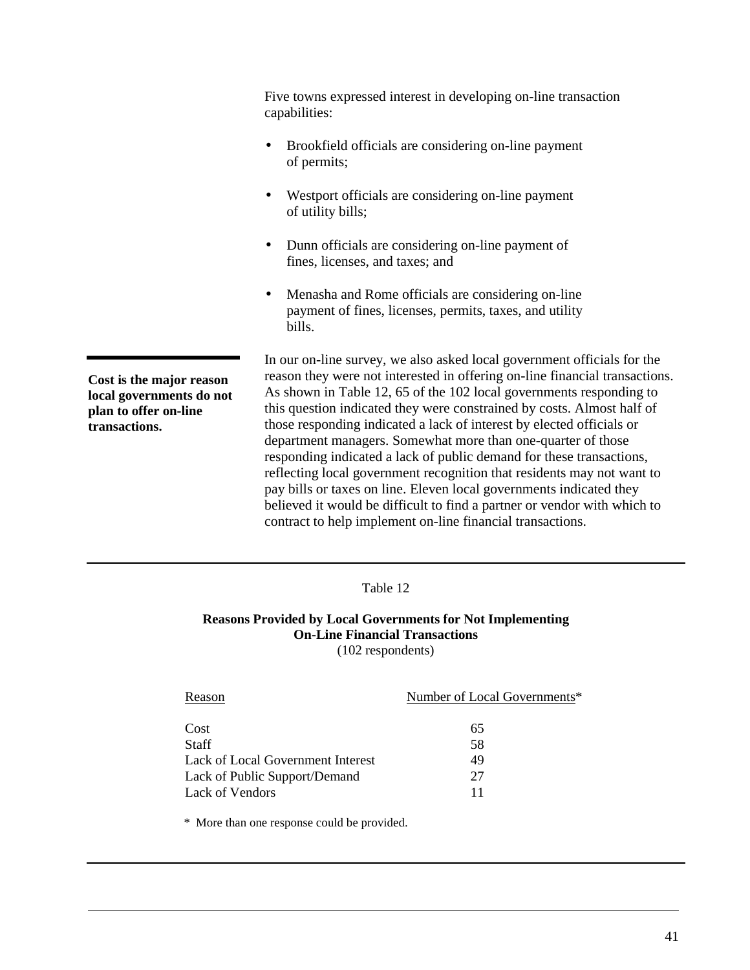Five towns expressed interest in developing on-line transaction capabilities:

- Brookfield officials are considering on-line payment of permits;
- Westport officials are considering on-line payment of utility bills;
- Dunn officials are considering on-line payment of fines, licenses, and taxes; and
- Menasha and Rome officials are considering on-line payment of fines, licenses, permits, taxes, and utility bills.

**Cost is the major reason local governments do not plan to offer on-line transactions.**

In our on-line survey, we also asked local government officials for the reason they were not interested in offering on-line financial transactions. As shown in Table 12, 65 of the 102 local governments responding to this question indicated they were constrained by costs. Almost half of those responding indicated a lack of interest by elected officials or department managers. Somewhat more than one-quarter of those responding indicated a lack of public demand for these transactions, reflecting local government recognition that residents may not want to pay bills or taxes on line. Eleven local governments indicated they believed it would be difficult to find a partner or vendor with which to contract to help implement on-line financial transactions.

Table 12

**Reasons Provided by Local Governments for Not Implementing On-Line Financial Transactions** (102 respondents)

| Reason                            | Number of Local Governments* |
|-----------------------------------|------------------------------|
| Cost                              | 65                           |
| <b>Staff</b>                      | 58                           |
| Lack of Local Government Interest | 49                           |
| Lack of Public Support/Demand     | 27                           |
| Lack of Vendors                   |                              |

\* More than one response could be provided.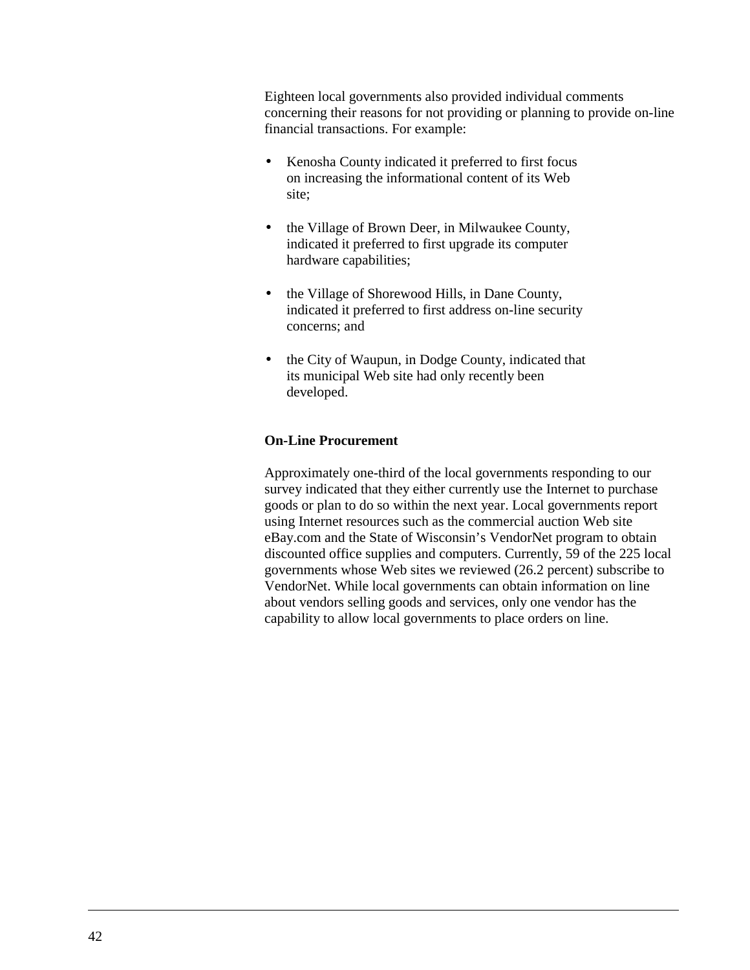Eighteen local governments also provided individual comments concerning their reasons for not providing or planning to provide on-line financial transactions. For example:

- Kenosha County indicated it preferred to first focus on increasing the informational content of its Web site;
- the Village of Brown Deer, in Milwaukee County, indicated it preferred to first upgrade its computer hardware capabilities;
- the Village of Shorewood Hills, in Dane County, indicated it preferred to first address on-line security concerns; and
- the City of Waupun, in Dodge County, indicated that its municipal Web site had only recently been developed.

## **On-Line Procurement**

Approximately one-third of the local governments responding to our survey indicated that they either currently use the Internet to purchase goods or plan to do so within the next year. Local governments report using Internet resources such as the commercial auction Web site eBay.com and the State of Wisconsin's VendorNet program to obtain discounted office supplies and computers. Currently, 59 of the 225 local governments whose Web sites we reviewed (26.2 percent) subscribe to VendorNet. While local governments can obtain information on line about vendors selling goods and services, only one vendor has the capability to allow local governments to place orders on line.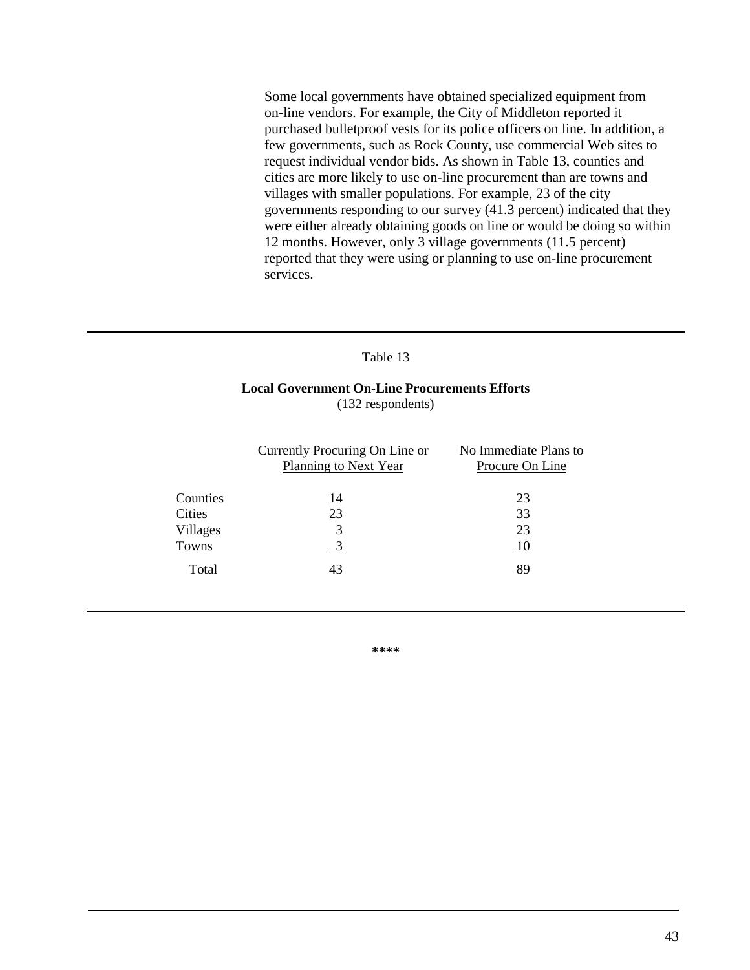Some local governments have obtained specialized equipment from on-line vendors. For example, the City of Middleton reported it purchased bulletproof vests for its police officers on line. In addition, a few governments, such as Rock County, use commercial Web sites to request individual vendor bids. As shown in Table 13, counties and cities are more likely to use on-line procurement than are towns and villages with smaller populations. For example, 23 of the city governments responding to our survey (41.3 percent) indicated that they were either already obtaining goods on line or would be doing so within 12 months. However, only 3 village governments (11.5 percent) reported that they were using or planning to use on-line procurement services.

#### Table 13

## **Local Government On-Line Procurements Efforts** (132 respondents)

|          | Currently Procuring On Line or<br>Planning to Next Year | No Immediate Plans to<br>Procure On Line |
|----------|---------------------------------------------------------|------------------------------------------|
| Counties | 14                                                      | 23                                       |
| Cities   | 23                                                      | 33                                       |
| Villages | 3                                                       | 23                                       |
| Towns    |                                                         | <u>10</u>                                |
| Total    | 43                                                      | 89                                       |
|          |                                                         |                                          |

**\*\*\*\***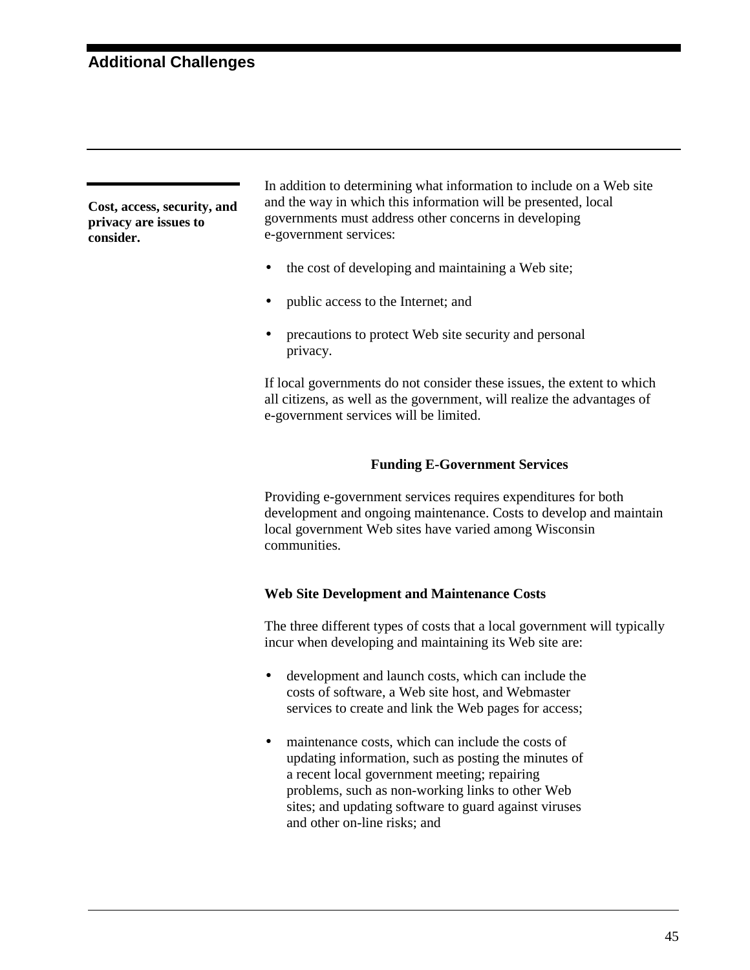**Cost, access, security, and privacy are issues to consider.**

In addition to determining what information to include on a Web site and the way in which this information will be presented, local governments must address other concerns in developing e-government services:

- the cost of developing and maintaining a Web site;
- public access to the Internet; and
- precautions to protect Web site security and personal privacy.

If local governments do not consider these issues, the extent to which all citizens, as well as the government, will realize the advantages of e-government services will be limited.

## **Funding E-Government Services**

Providing e-government services requires expenditures for both development and ongoing maintenance. Costs to develop and maintain local government Web sites have varied among Wisconsin communities.

## **Web Site Development and Maintenance Costs**

The three different types of costs that a local government will typically incur when developing and maintaining its Web site are:

- development and launch costs, which can include the costs of software, a Web site host, and Webmaster services to create and link the Web pages for access;
- maintenance costs, which can include the costs of updating information, such as posting the minutes of a recent local government meeting; repairing problems, such as non-working links to other Web sites; and updating software to guard against viruses and other on-line risks; and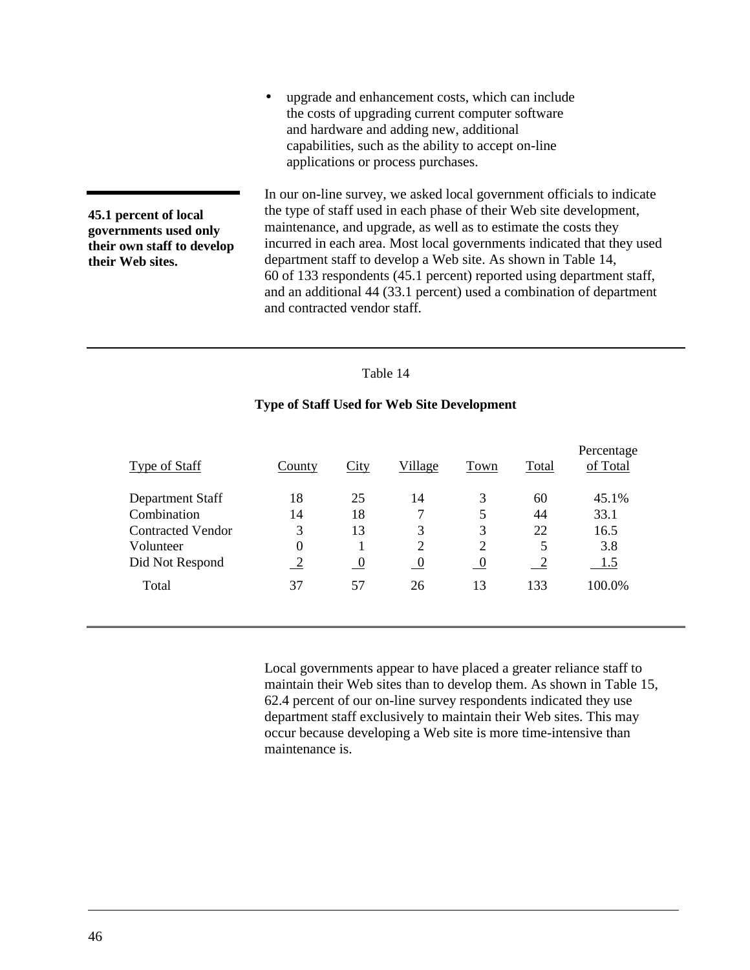• upgrade and enhancement costs, which can include the costs of upgrading current computer software and hardware and adding new, additional capabilities, such as the ability to accept on-line applications or process purchases.

**45.1 percent of local governments used only their own staff to develop their Web sites.**

In our on-line survey, we asked local government officials to indicate the type of staff used in each phase of their Web site development, maintenance, and upgrade, as well as to estimate the costs they incurred in each area. Most local governments indicated that they used department staff to develop a Web site. As shown in Table 14, 60 of 133 respondents (45.1 percent) reported using department staff, and an additional 44 (33.1 percent) used a combination of department and contracted vendor staff.

#### Table 14

### **Type of Staff Used for Web Site Development**

| <b>Type of Staff</b>     | County           | City             | Village     | Town           | Total | Percentage<br>of Total |
|--------------------------|------------------|------------------|-------------|----------------|-------|------------------------|
| Department Staff         | 18               | 25               | 14          | 3              | 60    | 45.1%                  |
| Combination              | 14               | 18               | 7           | 5              | 44    | 33.1                   |
| <b>Contracted Vendor</b> | 3                | 13               | 3           | 3              | 22    | 16.5                   |
| Volunteer                | $\boldsymbol{0}$ |                  | 2           | 2              | 5     | 3.8                    |
| Did Not Respond          | 2                | $\boldsymbol{0}$ | $\mathbf 0$ | $\overline{0}$ | └     | 1.5                    |
| Total                    | 37               | 57               | 26          | 13             | 133   | 100.0%                 |
|                          |                  |                  |             |                |       |                        |

Local governments appear to have placed a greater reliance staff to maintain their Web sites than to develop them. As shown in [Table 15,](#page-50-0) 62.4 percent of our on-line survey respondents indicated they use department staff exclusively to maintain their Web sites. This may occur because developing a Web site is more time-intensive than maintenance is.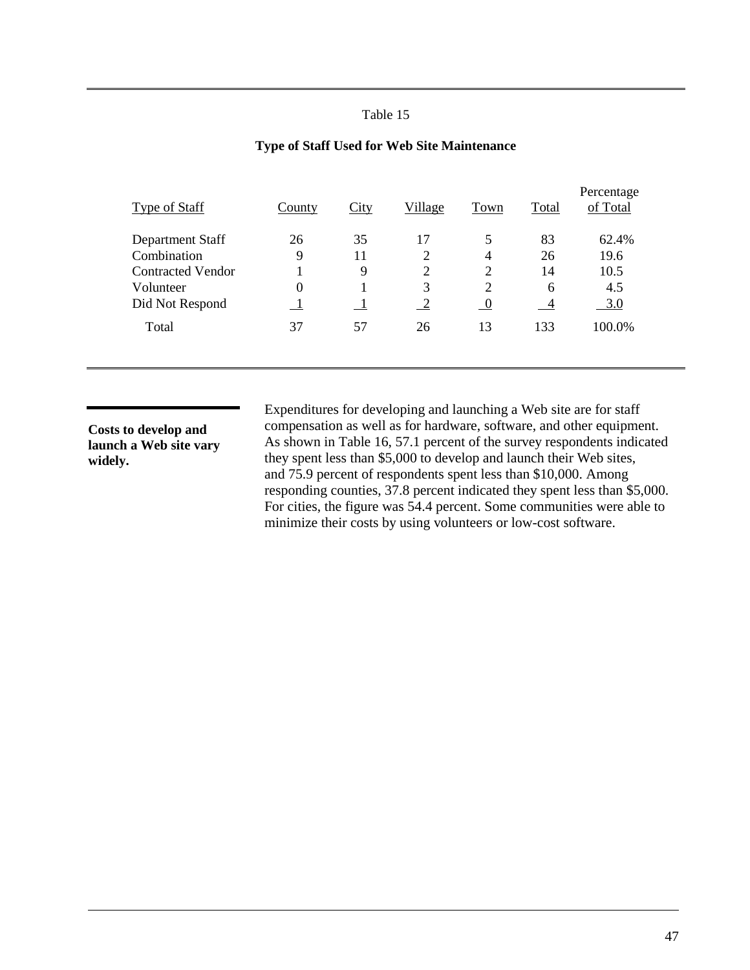<span id="page-50-0"></span>

| <b>Type of Staff</b>     | County           | City | Village        | Town           | Total          | Percentage<br>of Total |
|--------------------------|------------------|------|----------------|----------------|----------------|------------------------|
| Department Staff         | 26               | 35   | 17             | 5              | 83             | 62.4%                  |
| Combination              | 9                | 11   | $\overline{2}$ | 4              | 26             | 19.6                   |
| <b>Contracted Vendor</b> |                  | 9    | $\overline{2}$ | 2              | 14             | 10.5                   |
| Volunteer                | $\boldsymbol{0}$ |      | 3              | 2              | 6              | 4.5                    |
| Did Not Respond          |                  |      | $\sqrt{2}$     | $\overline{0}$ | $\overline{4}$ | 3.0                    |
| Total                    | 37               | 57   | 26             | 13             | 133            | 100.0%                 |
|                          |                  |      |                |                |                |                        |

### **Type of Staff Used for Web Site Maintenance**

**Costs to develop and launch a Web site vary widely.**

Expenditures for developing and launching a Web site are for staff compensation as well as for hardware, software, and other equipment. As shown in [Table 16,](#page-51-0) 57.1 percent of the survey respondents indicated they spent less than \$5,000 to develop and launch their Web sites, and 75.9 percent of respondents spent less than \$10,000. Among responding counties, 37.8 percent indicated they spent less than \$5,000. For cities, the figure was 54.4 percent. Some communities were able to minimize their costs by using volunteers or low-cost software.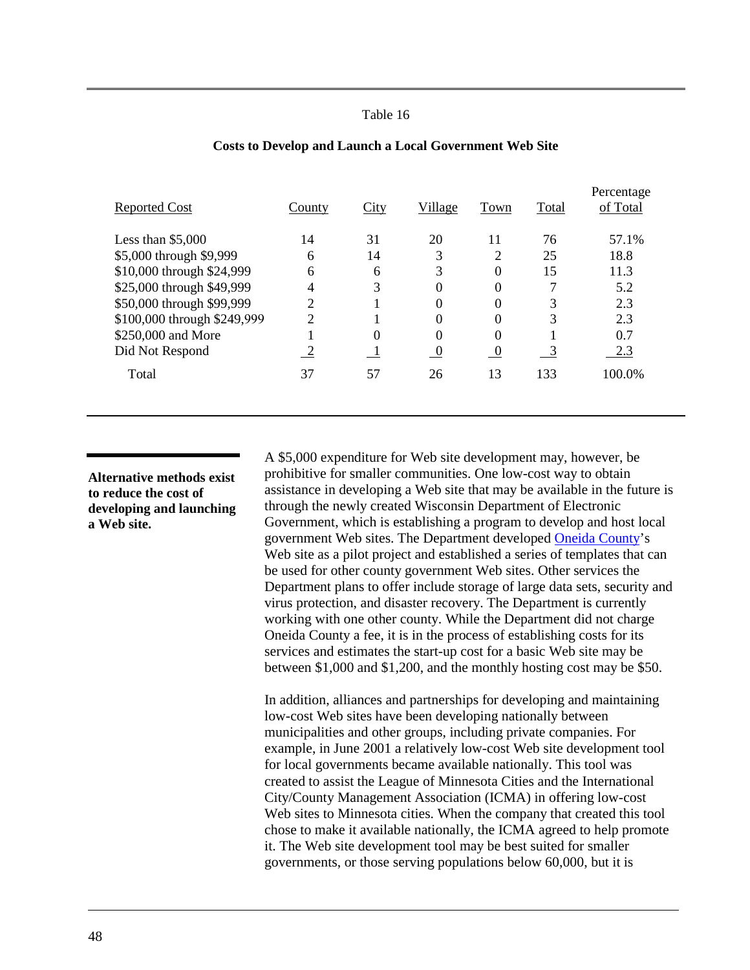<span id="page-51-0"></span>

| <b>Reported Cost</b>        | County         | City     | Village        | Town     | Total | Percentage<br>of Total |
|-----------------------------|----------------|----------|----------------|----------|-------|------------------------|
| Less than $$5,000$          | 14             | 31       | 20             | 11       | 76    | 57.1%                  |
| \$5,000 through \$9,999     | 6              | 14       | 3              | 2        | 25    | 18.8                   |
| \$10,000 through \$24,999   | 6              | 6        | 3              | 0        | 15    | 11.3                   |
| \$25,000 through \$49,999   | 4              | 3        | 0              | 0        |       | 5.2                    |
| \$50,000 through \$99,999   | $\overline{2}$ |          | 0              | 0        | 3     | 2.3                    |
| \$100,000 through \$249,999 | $\gamma$       |          | 0              | 0        | 3     | 2.3                    |
| \$250,000 and More          |                | $\theta$ | $\Omega$       | 0        |       | 0.7                    |
| Did Not Respond             | 2              |          | $\overline{0}$ | $\theta$ | 3     | 2.3                    |
| Total                       | 37             | 57       | 26             | 13       | 133   | 100.0%                 |
|                             |                |          |                |          |       |                        |

#### **Costs to Develop and Launch a Local Government Web Site**

**Alternative methods exist to reduce the cost of developing and launching a Web site.**

A \$5,000 expenditure for Web site development may, however, be prohibitive for smaller communities. One low-cost way to obtain assistance in developing a Web site that may be available in the future is through the newly created Wisconsin Department of Electronic Government, which is establishing a program to develop and host local government Web sites. The Department developed [Oneida County'](http://www.co.oneida.wi.us/)s Web site as a pilot project and established a series of templates that can be used for other county government Web sites. Other services the Department plans to offer include storage of large data sets, security and virus protection, and disaster recovery. The Department is currently working with one other county. While the Department did not charge Oneida County a fee, it is in the process of establishing costs for its services and estimates the start-up cost for a basic Web site may be between \$1,000 and \$1,200, and the monthly hosting cost may be \$50.

In addition, alliances and partnerships for developing and maintaining low-cost Web sites have been developing nationally between municipalities and other groups, including private companies. For example, in June 2001 a relatively low-cost Web site development tool for local governments became available nationally. This tool was created to assist the League of Minnesota Cities and the International City/County Management Association (ICMA) in offering low-cost Web sites to Minnesota cities. When the company that created this tool chose to make it available nationally, the ICMA agreed to help promote it. The Web site development tool may be best suited for smaller governments, or those serving populations below 60,000, but it is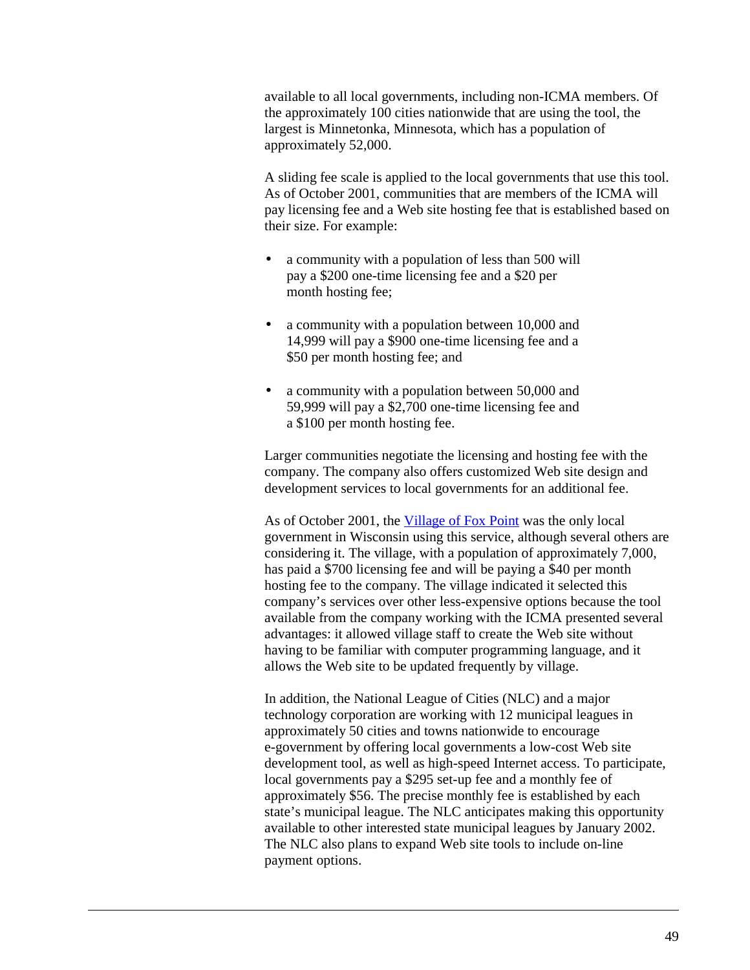available to all local governments, including non-ICMA members. Of the approximately 100 cities nationwide that are using the tool, the largest is Minnetonka, Minnesota, which has a population of approximately 52,000.

A sliding fee scale is applied to the local governments that use this tool. As of October 2001, communities that are members of the ICMA will pay licensing fee and a Web site hosting fee that is established based on their size. For example:

- a community with a population of less than 500 will pay a \$200 one-time licensing fee and a \$20 per month hosting fee;
- a community with a population between 10,000 and 14,999 will pay a \$900 one-time licensing fee and a \$50 per month hosting fee; and
- a community with a population between 50,000 and 59,999 will pay a \$2,700 one-time licensing fee and a \$100 per month hosting fee.

Larger communities negotiate the licensing and hosting fee with the company. The company also offers customized Web site design and development services to local governments for an additional fee.

As of October 2001, the [Village of Fox Point](http://www.53217.com/FoxPoint/) was the only local government in Wisconsin using this service, although several others are considering it. The village, with a population of approximately 7,000, has paid a \$700 licensing fee and will be paying a \$40 per month hosting fee to the company. The village indicated it selected this company's services over other less-expensive options because the tool available from the company working with the ICMA presented several advantages: it allowed village staff to create the Web site without having to be familiar with computer programming language, and it allows the Web site to be updated frequently by village.

In addition, the National League of Cities (NLC) and a major technology corporation are working with 12 municipal leagues in approximately 50 cities and towns nationwide to encourage e-government by offering local governments a low-cost Web site development tool, as well as high-speed Internet access. To participate, local governments pay a \$295 set-up fee and a monthly fee of approximately \$56. The precise monthly fee is established by each state's municipal league. The NLC anticipates making this opportunity available to other interested state municipal leagues by January 2002. The NLC also plans to expand Web site tools to include on-line payment options.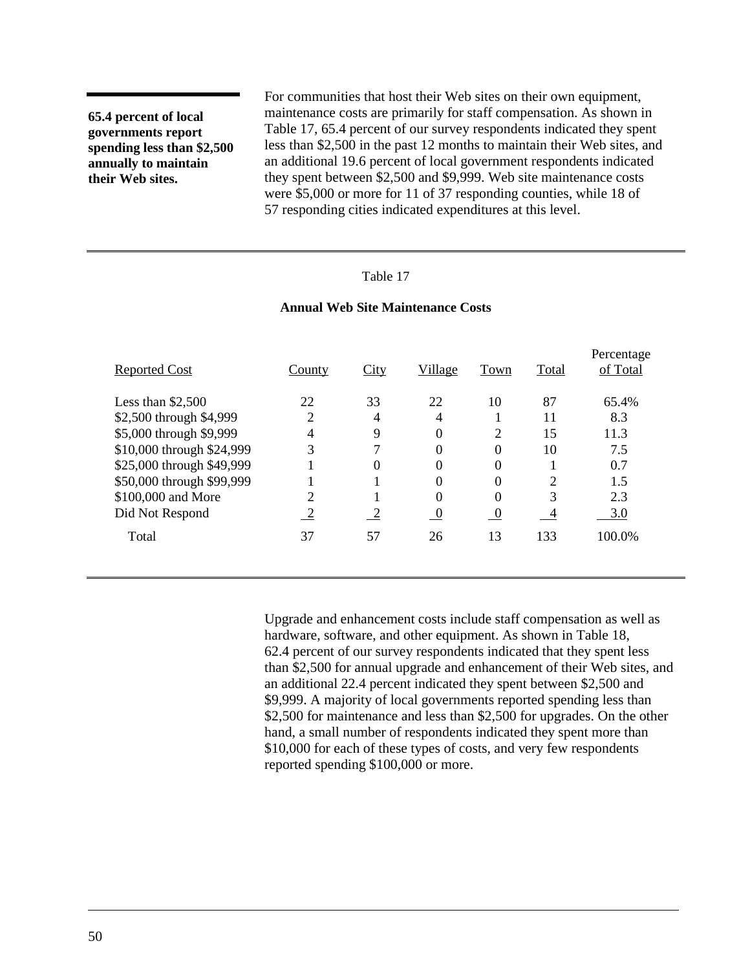**65.4 percent of local governments report spending less than \$2,500 annually to maintain their Web sites.**

For communities that host their Web sites on their own equipment, maintenance costs are primarily for staff compensation. As shown in Table 17, 65.4 percent of our survey respondents indicated they spent less than \$2,500 in the past 12 months to maintain their Web sites, and an additional 19.6 percent of local government respondents indicated they spent between \$2,500 and \$9,999. Web site maintenance costs were \$5,000 or more for 11 of 37 responding counties, while 18 of 57 responding cities indicated expenditures at this level.

## Table 17

#### **Annual Web Site Maintenance Costs**

| Reported Cost             | County | City           | Village        | Town           | Total          | Percentage<br>of Total |
|---------------------------|--------|----------------|----------------|----------------|----------------|------------------------|
| Less than $$2,500$        | 22     | 33             | 22             | 10             | 87             | 65.4%                  |
| \$2,500 through \$4,999   | 2      | 4              | 4              |                | 11             | 8.3                    |
| \$5,000 through \$9,999   | 4      | 9              | 0              | 2              | 15             | 11.3                   |
| \$10,000 through \$24,999 | 3      | 7              | 0              | 0              | 10             | 7.5                    |
| \$25,000 through \$49,999 |        | $\theta$       | 0              | 0              |                | 0.7                    |
| \$50,000 through \$99,999 |        |                | 0              | 0              | $\overline{2}$ | 1.5                    |
| \$100,000 and More        | っ      |                | $\Omega$       | 0              | 3              | 2.3                    |
| Did Not Respond           | ∠      | $\overline{2}$ | $\overline{0}$ | $\overline{0}$ | $\overline{4}$ | 3.0                    |
| Total                     | 37     | 57             | 26             | 13             | 133            | 100.0%                 |

Upgrade and enhancement costs include staff compensation as well as hardware, software, and other equipment. As shown in [Table 18,](#page-54-0) 62.4 percent of our survey respondents indicated that they spent less than \$2,500 for annual upgrade and enhancement of their Web sites, and an additional 22.4 percent indicated they spent between \$2,500 and \$9,999. A majority of local governments reported spending less than \$2,500 for maintenance and less than \$2,500 for upgrades. On the other hand, a small number of respondents indicated they spent more than \$10,000 for each of these types of costs, and very few respondents reported spending \$100,000 or more.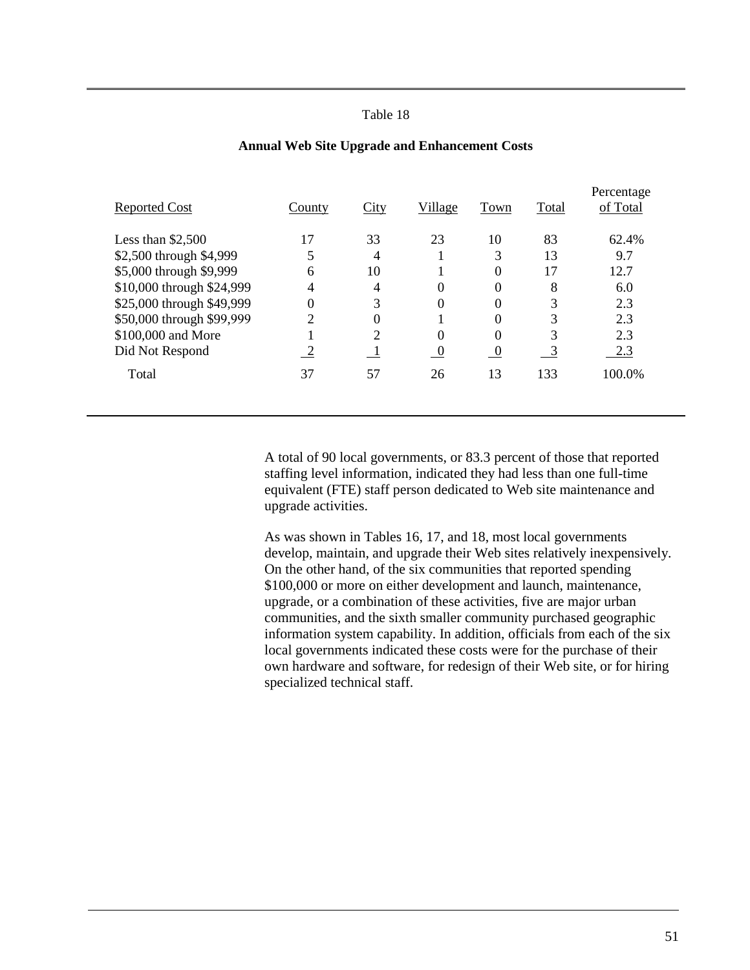<span id="page-54-0"></span>

| <b>Reported Cost</b>      | County         | City           | Village  | Town     | Total | Percentage<br>of Total |
|---------------------------|----------------|----------------|----------|----------|-------|------------------------|
| Less than $$2,500$        | 17             | 33             | 23       | 10       | 83    | 62.4%                  |
| \$2,500 through \$4,999   |                | 4              |          | 3        | 13    | 9.7                    |
| \$5,000 through \$9,999   | 6              | 10             |          | 0        | 17    | 12.7                   |
| \$10,000 through \$24,999 | 4              | 4              | $\Omega$ | 0        | 8     | 6.0                    |
| \$25,000 through \$49,999 |                | 3              | 0        | 0        | 3     | 2.3                    |
| \$50,000 through \$99,999 | $\overline{2}$ | 0              |          | 0        | 3     | 2.3                    |
| \$100,000 and More        |                | $\overline{2}$ | $\Omega$ | 0        | 3     | 2.3                    |
| Did Not Respond           |                |                | $\bf{0}$ | $\theta$ | 3     | 2.3                    |
| Total                     | 37             | 57             | 26       | 13       | 133   | 100.0%                 |
|                           |                |                |          |          |       |                        |

#### **Annual Web Site Upgrade and Enhancement Costs**

A total of 90 local governments, or 83.3 percent of those that reported staffing level information, indicated they had less than one full-time equivalent (FTE) staff person dedicated to Web site maintenance and upgrade activities.

As was shown in Tables 16, 17, and 18, most local governments develop, maintain, and upgrade their Web sites relatively inexpensively. On the other hand, of the six communities that reported spending \$100,000 or more on either development and launch, maintenance, upgrade, or a combination of these activities, five are major urban communities, and the sixth smaller community purchased geographic information system capability. In addition, officials from each of the six local governments indicated these costs were for the purchase of their own hardware and software, for redesign of their Web site, or for hiring specialized technical staff.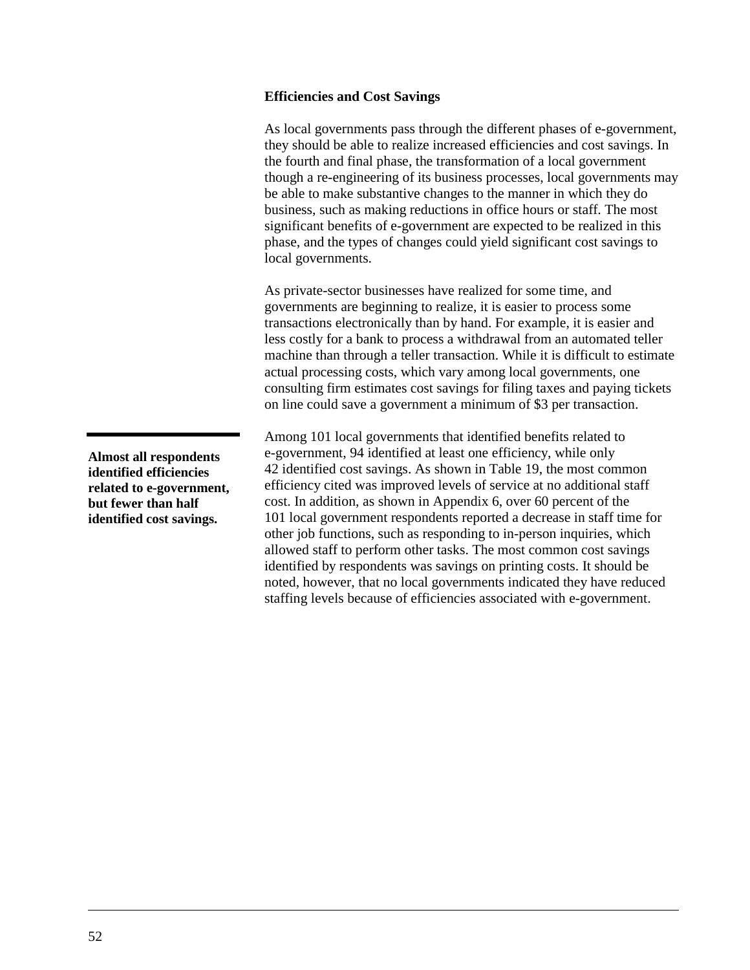### **Efficiencies and Cost Savings**

As local governments pass through the different phases of e-government, they should be able to realize increased efficiencies and cost savings. In the fourth and final phase, the transformation of a local government though a re-engineering of its business processes, local governments may be able to make substantive changes to the manner in which they do business, such as making reductions in office hours or staff. The most significant benefits of e-government are expected to be realized in this phase, and the types of changes could yield significant cost savings to local governments.

As private-sector businesses have realized for some time, and governments are beginning to realize, it is easier to process some transactions electronically than by hand. For example, it is easier and less costly for a bank to process a withdrawal from an automated teller machine than through a teller transaction. While it is difficult to estimate actual processing costs, which vary among local governments, one consulting firm estimates cost savings for filing taxes and paying tickets on line could save a government a minimum of \$3 per transaction.

Among 101 local governments that identified benefits related to e-government, 94 identified at least one efficiency, while only 42 identified cost savings. As shown in [Table 19,](#page-56-0) the most common efficiency cited was improved levels of service at no additional staff cost. In addition, as shown in Appendix 6, over 60 percent of the 101 local government respondents reported a decrease in staff time for other job functions, such as responding to in-person inquiries, which allowed staff to perform other tasks. The most common cost savings identified by respondents was savings on printing costs. It should be noted, however, that no local governments indicated they have reduced staffing levels because of efficiencies associated with e-government.

**Almost all respondents identified efficiencies related to e-government, but fewer than half identified cost savings.**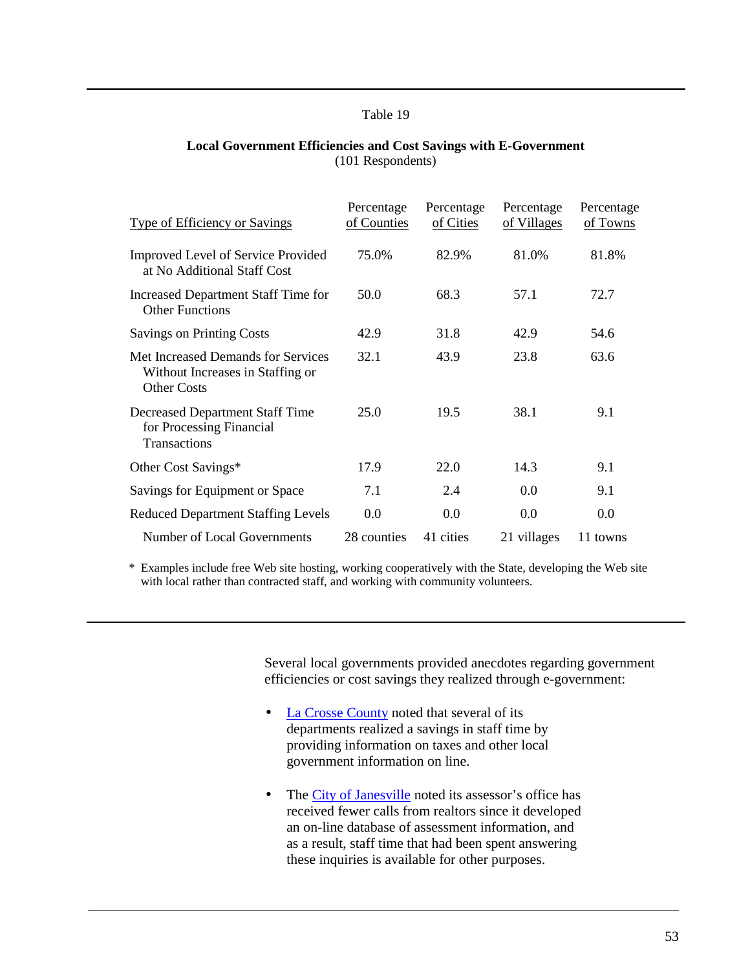#### <span id="page-56-0"></span>**Local Government Efficiencies and Cost Savings with E-Government** (101 Respondents)

| <b>Type of Efficiency or Savings</b>                                                         | Percentage<br>of Counties | Percentage<br>of Cities | Percentage<br>of Villages | Percentage<br>of Towns |
|----------------------------------------------------------------------------------------------|---------------------------|-------------------------|---------------------------|------------------------|
| <b>Improved Level of Service Provided</b><br>at No Additional Staff Cost                     | 75.0%                     | 82.9%                   | 81.0%                     | 81.8%                  |
| Increased Department Staff Time for<br><b>Other Functions</b>                                | 50.0                      | 68.3                    | 57.1                      | 72.7                   |
| <b>Savings on Printing Costs</b>                                                             | 42.9                      | 31.8                    | 42.9                      | 54.6                   |
| Met Increased Demands for Services<br>Without Increases in Staffing or<br><b>Other Costs</b> | 32.1                      | 43.9                    | 23.8                      | 63.6                   |
| <b>Decreased Department Staff Time</b><br>for Processing Financial<br>Transactions           | 25.0                      | 19.5                    | 38.1                      | 9.1                    |
| Other Cost Savings*                                                                          | 17.9                      | 22.0                    | 14.3                      | 9.1                    |
| Savings for Equipment or Space                                                               | 7.1                       | 2.4                     | 0.0                       | 9.1                    |
| <b>Reduced Department Staffing Levels</b>                                                    | 0.0                       | 0.0                     | 0.0                       | 0.0                    |
| Number of Local Governments                                                                  | 28 counties               | 41 cities               | 21 villages               | 11 towns               |

\* Examples include free Web site hosting, working cooperatively with the State, developing the Web site with local rather than contracted staff, and working with community volunteers.

> Several local governments provided anecdotes regarding government efficiencies or cost savings they realized through e-government:

- [La Crosse County](http://www.co.la-crosse.wi.us/) noted that several of its departments realized a savings in staff time by providing information on taxes and other local government information on line.
- The [City of Janesville](http://www.ci.janesville.wi.us/) noted its assessor's office has received fewer calls from realtors since it developed an on-line database of assessment information, and as a result, staff time that had been spent answering these inquiries is available for other purposes.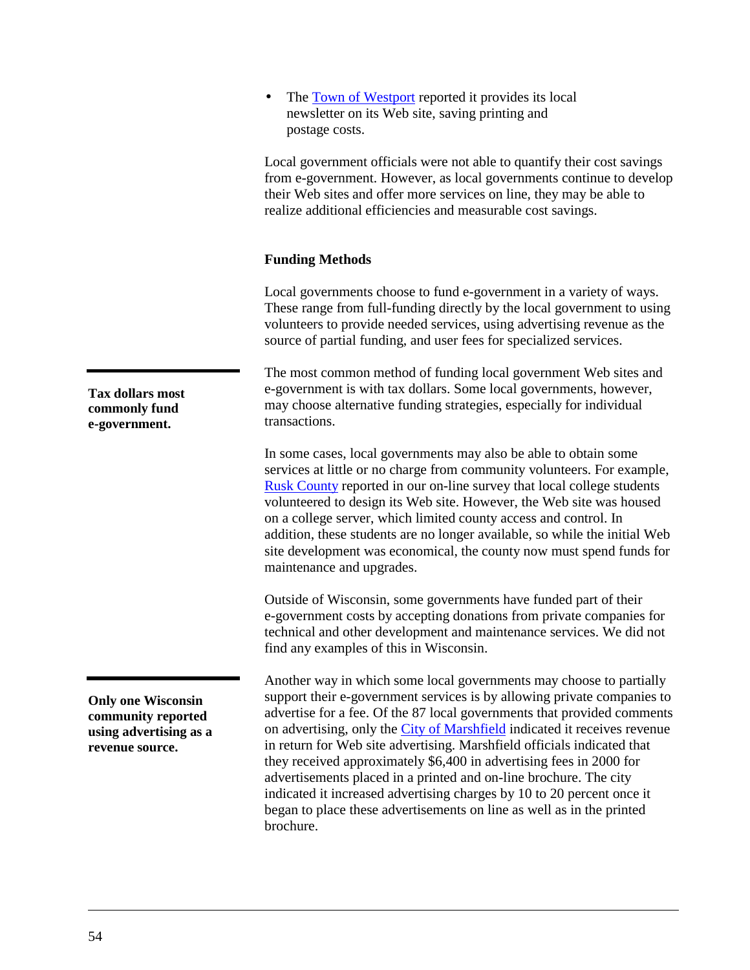• The [Town of Westport](http://www.townofwestport.org/) reported it provides its local newsletter on its Web site, saving printing and postage costs.

Local government officials were not able to quantify their cost savings from e-government. However, as local governments continue to develop their Web sites and offer more services on line, they may be able to realize additional efficiencies and measurable cost savings.

## **Funding Methods**

Local governments choose to fund e-government in a variety of ways. These range from full-funding directly by the local government to using volunteers to provide needed services, using advertising revenue as the source of partial funding, and user fees for specialized services.

The most common method of funding local government Web sites and e-government is with tax dollars. Some local governments, however, may choose alternative funding strategies, especially for individual transactions.

In some cases, local governments may also be able to obtain some services at little or no charge from community volunteers. For example, [Rusk County](http://www.ruskcounty.org/) reported in our on-line survey that local college students volunteered to design its Web site. However, the Web site was housed on a college server, which limited county access and control. In addition, these students are no longer available, so while the initial Web site development was economical, the county now must spend funds for maintenance and upgrades.

Outside of Wisconsin, some governments have funded part of their e-government costs by accepting donations from private companies for technical and other development and maintenance services. We did not find any examples of this in Wisconsin.

Another way in which some local governments may choose to partially support their e-government services is by allowing private companies to advertise for a fee. Of the 87 local governments that provided comments on advertising, only the [City of Marshfield](http://ci.marshfield.wi.us/) indicated it receives revenue in return for Web site advertising. Marshfield officials indicated that they received approximately \$6,400 in advertising fees in 2000 for advertisements placed in a printed and on-line brochure. The city indicated it increased advertising charges by 10 to 20 percent once it began to place these advertisements on line as well as in the printed brochure.

**Tax dollars most commonly fund e-government.**

**Only one Wisconsin community reported using advertising as a revenue source.**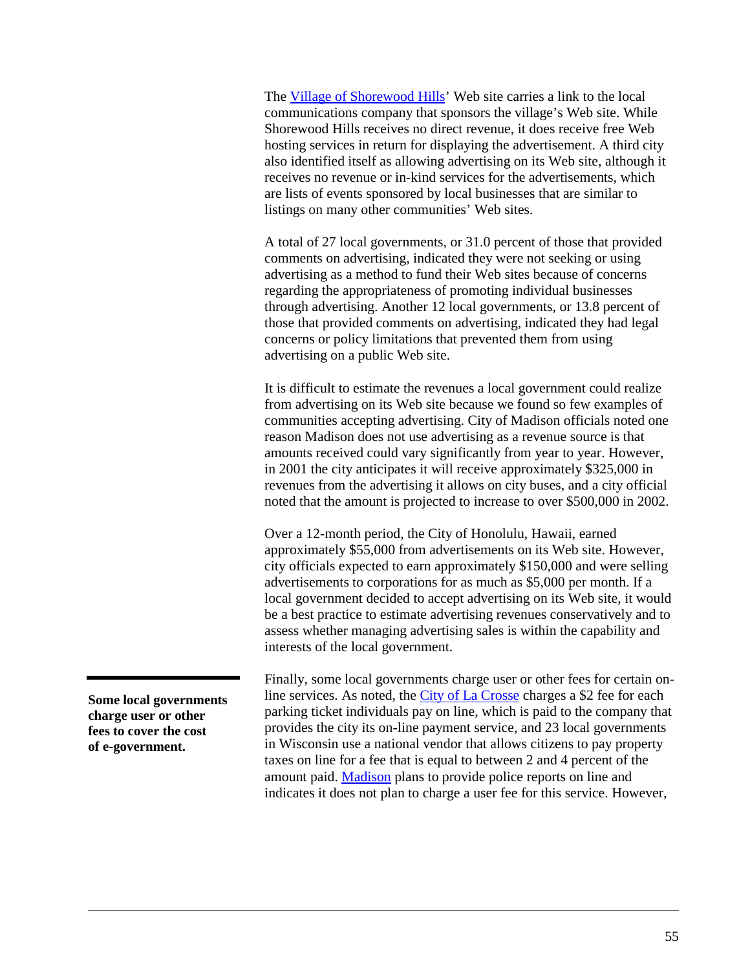The [Village of Shorewood Hills'](http://www.shorewood-hills.org/) Web site carries a link to the local communications company that sponsors the village's Web site. While Shorewood Hills receives no direct revenue, it does receive free Web hosting services in return for displaying the advertisement. A third city also identified itself as allowing advertising on its Web site, although it receives no revenue or in-kind services for the advertisements, which are lists of events sponsored by local businesses that are similar to listings on many other communities' Web sites.

A total of 27 local governments, or 31.0 percent of those that provided comments on advertising, indicated they were not seeking or using advertising as a method to fund their Web sites because of concerns regarding the appropriateness of promoting individual businesses through advertising. Another 12 local governments, or 13.8 percent of those that provided comments on advertising, indicated they had legal concerns or policy limitations that prevented them from using advertising on a public Web site.

It is difficult to estimate the revenues a local government could realize from advertising on its Web site because we found so few examples of communities accepting advertising. City of Madison officials noted one reason Madison does not use advertising as a revenue source is that amounts received could vary significantly from year to year. However, in 2001 the city anticipates it will receive approximately \$325,000 in revenues from the advertising it allows on city buses, and a city official noted that the amount is projected to increase to over \$500,000 in 2002.

Over a 12-month period, the City of Honolulu, Hawaii, earned approximately \$55,000 from advertisements on its Web site. However, city officials expected to earn approximately \$150,000 and were selling advertisements to corporations for as much as \$5,000 per month. If a local government decided to accept advertising on its Web site, it would be a best practice to estimate advertising revenues conservatively and to assess whether managing advertising sales is within the capability and interests of the local government.

Finally, some local governments charge user or other fees for certain online services. As noted, the [City of La Crosse](http://www.cityoflacrosse.org/) charges a \$2 fee for each parking ticket individuals pay on line, which is paid to the company that provides the city its on-line payment service, and 23 local governments in Wisconsin use a national vendor that allows citizens to pay property taxes on line for a fee that is equal to between 2 and 4 percent of the amount paid. [Madison](http://www.ci.madison.wi.us/) plans to provide police reports on line and indicates it does not plan to charge a user fee for this service. However,

**Some local governments charge user or other fees to cover the cost of e-government.**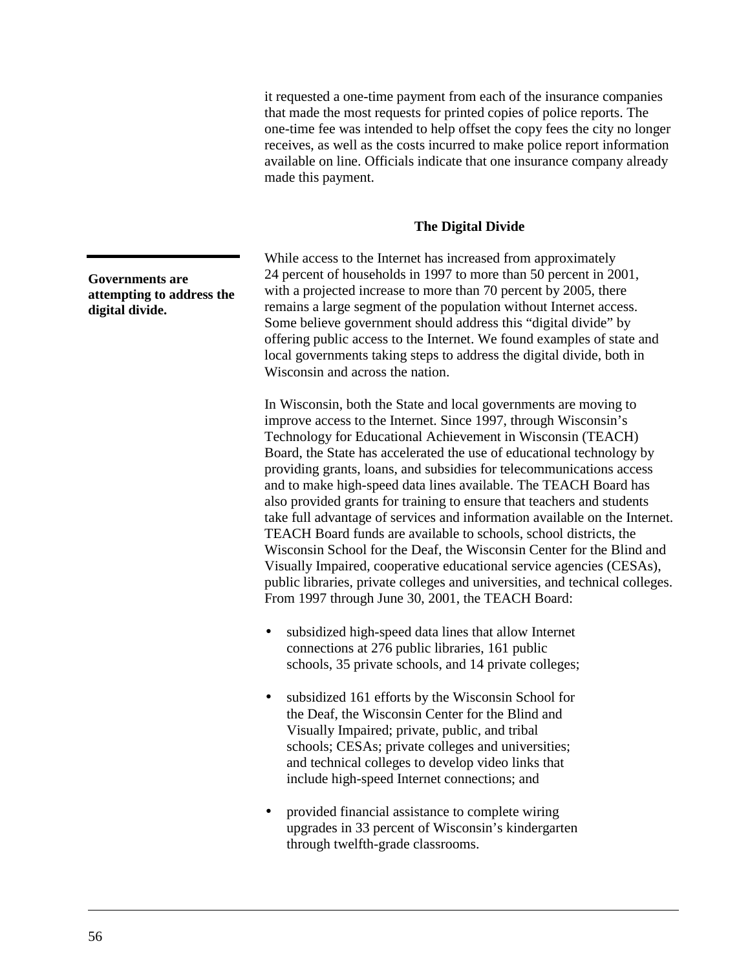it requested a one-time payment from each of the insurance companies that made the most requests for printed copies of police reports. The one-time fee was intended to help offset the copy fees the city no longer receives, as well as the costs incurred to make police report information available on line. Officials indicate that one insurance company already made this payment.

## **The Digital Divide**

While access to the Internet has increased from approximately 24 percent of households in 1997 to more than 50 percent in 2001, with a projected increase to more than 70 percent by 2005, there remains a large segment of the population without Internet access. Some believe government should address this "digital divide" by offering public access to the Internet. We found examples of state and local governments taking steps to address the digital divide, both in Wisconsin and across the nation.

In Wisconsin, both the State and local governments are moving to improve access to the Internet. Since 1997, through Wisconsin's Technology for Educational Achievement in Wisconsin (TEACH) Board, the State has accelerated the use of educational technology by providing grants, loans, and subsidies for telecommunications access and to make high-speed data lines available. The TEACH Board has also provided grants for training to ensure that teachers and students take full advantage of services and information available on the Internet. TEACH Board funds are available to schools, school districts, the Wisconsin School for the Deaf, the Wisconsin Center for the Blind and Visually Impaired, cooperative educational service agencies (CESAs), public libraries, private colleges and universities, and technical colleges. From 1997 through June 30, 2001, the TEACH Board:

- subsidized high-speed data lines that allow Internet connections at 276 public libraries, 161 public schools, 35 private schools, and 14 private colleges;
- subsidized 161 efforts by the Wisconsin School for the Deaf, the Wisconsin Center for the Blind and Visually Impaired; private, public, and tribal schools; CESAs; private colleges and universities; and technical colleges to develop video links that include high-speed Internet connections; and
- provided financial assistance to complete wiring upgrades in 33 percent of Wisconsin's kindergarten through twelfth-grade classrooms.

**Governments are attempting to address the digital divide.**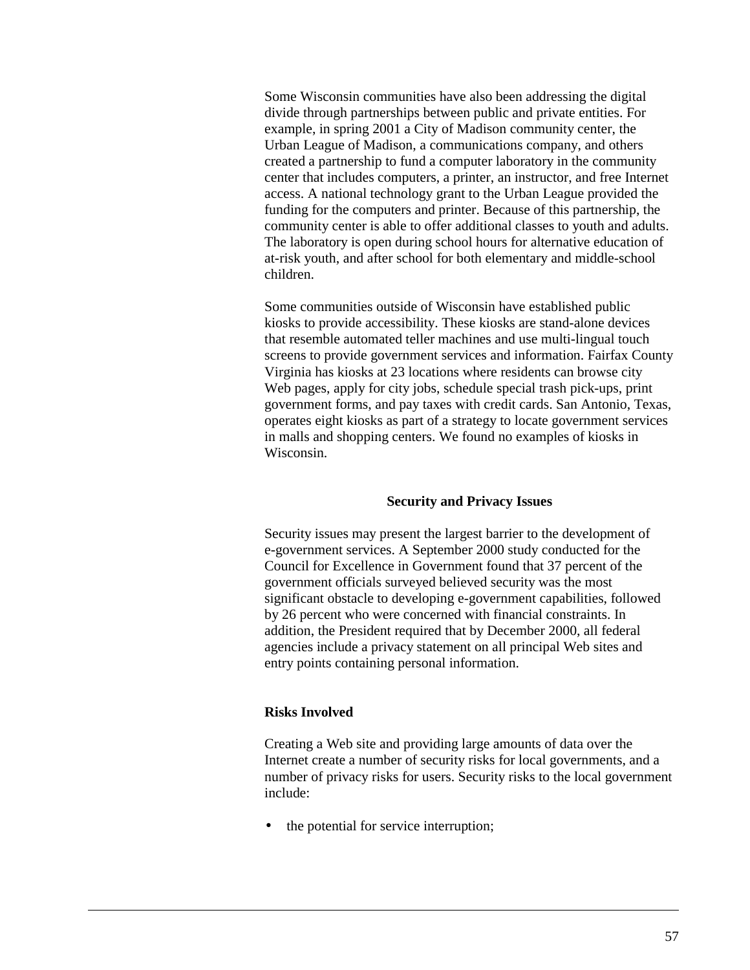Some Wisconsin communities have also been addressing the digital divide through partnerships between public and private entities. For example, in spring 2001 a City of Madison community center, the Urban League of Madison, a communications company, and others created a partnership to fund a computer laboratory in the community center that includes computers, a printer, an instructor, and free Internet access. A national technology grant to the Urban League provided the funding for the computers and printer. Because of this partnership, the community center is able to offer additional classes to youth and adults. The laboratory is open during school hours for alternative education of at-risk youth, and after school for both elementary and middle-school children.

Some communities outside of Wisconsin have established public kiosks to provide accessibility. These kiosks are stand-alone devices that resemble automated teller machines and use multi-lingual touch screens to provide government services and information. Fairfax County Virginia has kiosks at 23 locations where residents can browse city Web pages, apply for city jobs, schedule special trash pick-ups, print government forms, and pay taxes with credit cards. San Antonio, Texas, operates eight kiosks as part of a strategy to locate government services in malls and shopping centers. We found no examples of kiosks in Wisconsin.

## **Security and Privacy Issues**

Security issues may present the largest barrier to the development of e-government services. A September 2000 study conducted for the Council for Excellence in Government found that 37 percent of the government officials surveyed believed security was the most significant obstacle to developing e-government capabilities, followed by 26 percent who were concerned with financial constraints. In addition, the President required that by December 2000, all federal agencies include a privacy statement on all principal Web sites and entry points containing personal information.

## **Risks Involved**

Creating a Web site and providing large amounts of data over the Internet create a number of security risks for local governments, and a number of privacy risks for users. Security risks to the local government include:

the potential for service interruption;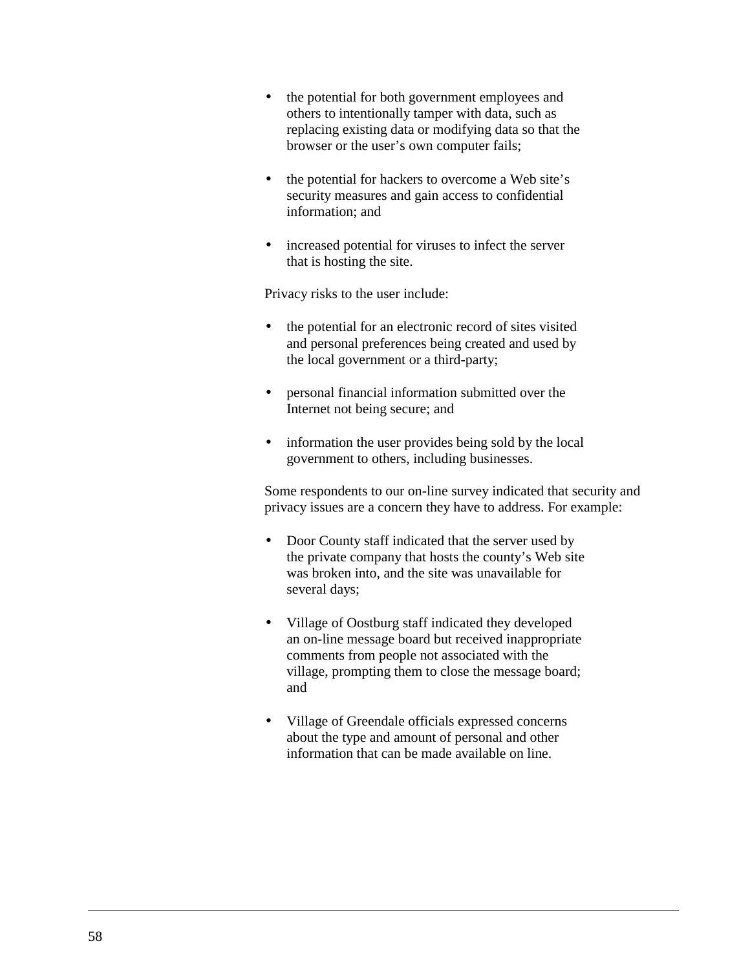- the potential for both government employees and others to intentionally tamper with data, such as replacing existing data or modifying data so that the browser or the user's own computer fails;
- the potential for hackers to overcome a Web site's security measures and gain access to confidential information; and
- increased potential for viruses to infect the server that is hosting the site.

Privacy risks to the user include:

- the potential for an electronic record of sites visited and personal preferences being created and used by the local government or a third-party;
- personal financial information submitted over the Internet not being secure; and
- information the user provides being sold by the local government to others, including businesses.

Some respondents to our on-line survey indicated that security and privacy issues are a concern they have to address. For example:

- Door County staff indicated that the server used by the private company that hosts the county's Web site was broken into, and the site was unavailable for several days;
- Village of Oostburg staff indicated they developed an on-line message board but received inappropriate comments from people not associated with the village, prompting them to close the message board; and
- Village of Greendale officials expressed concerns about the type and amount of personal and other information that can be made available on line.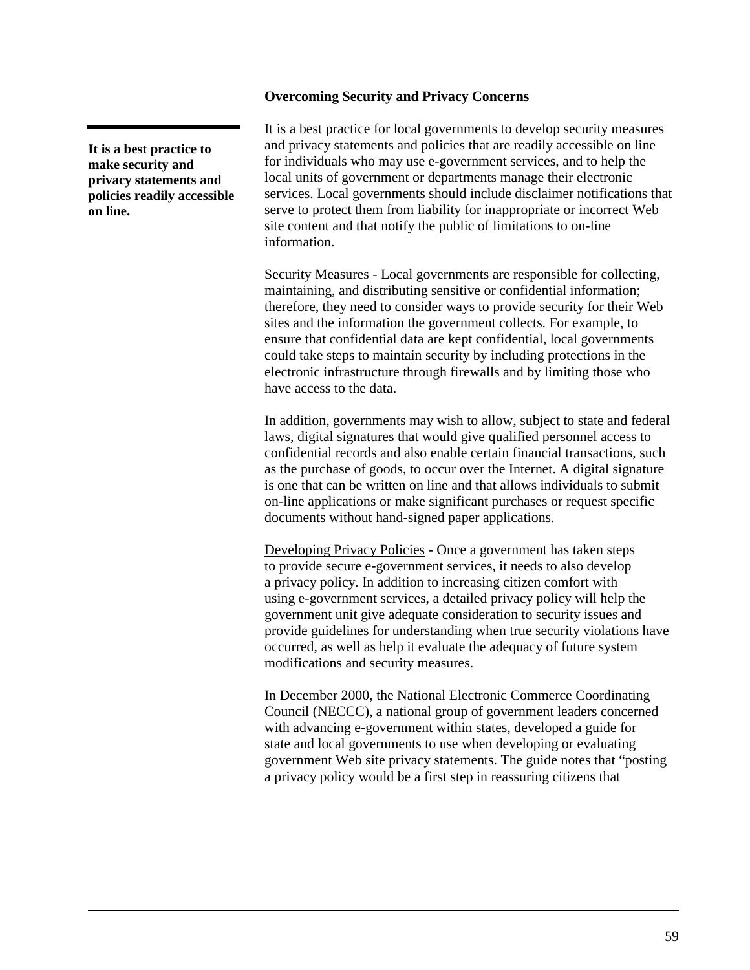## **Overcoming Security and Privacy Concerns**

**It is a best practice to make security and privacy statements and policies readily accessible on line.**

It is a best practice for local governments to develop security measures and privacy statements and policies that are readily accessible on line for individuals who may use e-government services, and to help the local units of government or departments manage their electronic services. Local governments should include disclaimer notifications that serve to protect them from liability for inappropriate or incorrect Web site content and that notify the public of limitations to on-line information.

Security Measures - Local governments are responsible for collecting, maintaining, and distributing sensitive or confidential information; therefore, they need to consider ways to provide security for their Web sites and the information the government collects. For example, to ensure that confidential data are kept confidential, local governments could take steps to maintain security by including protections in the electronic infrastructure through firewalls and by limiting those who have access to the data.

In addition, governments may wish to allow, subject to state and federal laws, digital signatures that would give qualified personnel access to confidential records and also enable certain financial transactions, such as the purchase of goods, to occur over the Internet. A digital signature is one that can be written on line and that allows individuals to submit on-line applications or make significant purchases or request specific documents without hand-signed paper applications.

Developing Privacy Policies - Once a government has taken steps to provide secure e-government services, it needs to also develop a privacy policy. In addition to increasing citizen comfort with using e-government services, a detailed privacy policy will help the government unit give adequate consideration to security issues and provide guidelines for understanding when true security violations have occurred, as well as help it evaluate the adequacy of future system modifications and security measures.

In December 2000, the National Electronic Commerce Coordinating Council (NECCC), a national group of government leaders concerned with advancing e-government within states, developed a guide for state and local governments to use when developing or evaluating government Web site privacy statements. The guide notes that "posting a privacy policy would be a first step in reassuring citizens that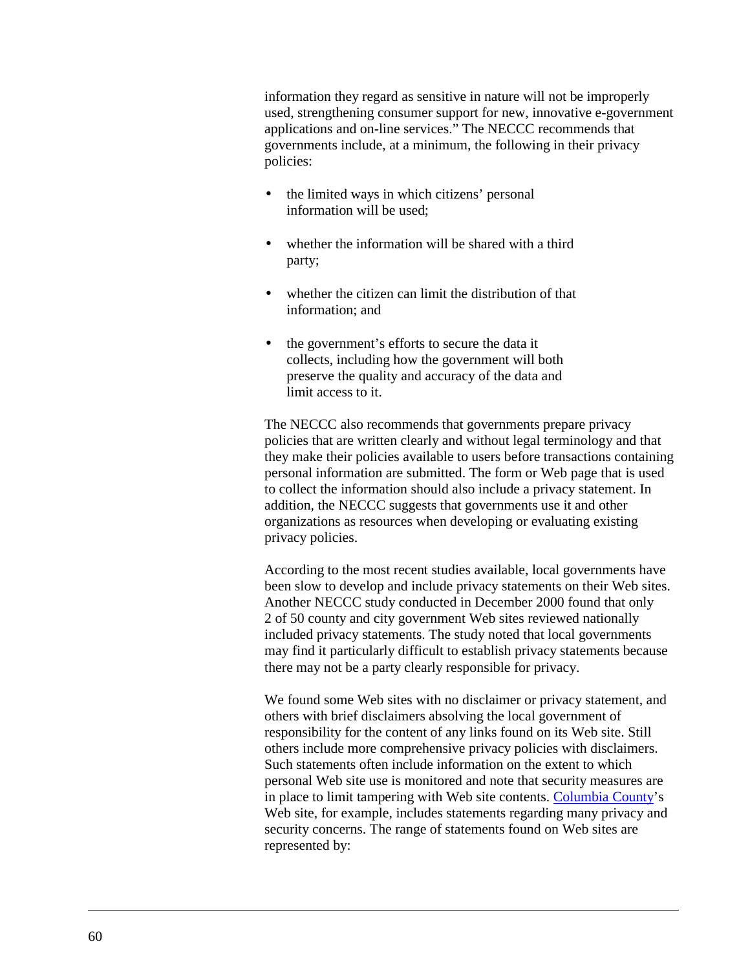information they regard as sensitive in nature will not be improperly used, strengthening consumer support for new, innovative e-government applications and on-line services." The NECCC recommends that governments include, at a minimum, the following in their privacy policies:

- the limited ways in which citizens' personal information will be used;
- whether the information will be shared with a third party;
- whether the citizen can limit the distribution of that information; and
- the government's efforts to secure the data it collects, including how the government will both preserve the quality and accuracy of the data and limit access to it.

The NECCC also recommends that governments prepare privacy policies that are written clearly and without legal terminology and that they make their policies available to users before transactions containing personal information are submitted. The form or Web page that is used to collect the information should also include a privacy statement. In addition, the NECCC suggests that governments use it and other organizations as resources when developing or evaluating existing privacy policies.

According to the most recent studies available, local governments have been slow to develop and include privacy statements on their Web sites. Another NECCC study conducted in December 2000 found that only 2 of 50 county and city government Web sites reviewed nationally included privacy statements. The study noted that local governments may find it particularly difficult to establish privacy statements because there may not be a party clearly responsible for privacy.

We found some Web sites with no disclaimer or privacy statement, and others with brief disclaimers absolving the local government of responsibility for the content of any links found on its Web site. Still others include more comprehensive privacy policies with disclaimers. Such statements often include information on the extent to which personal Web site use is monitored and note that security measures are in place to limit tampering with Web site contents. [Columbia County'](http://www.co.columbia.wi.us/)s Web site, for example, includes statements regarding many privacy and security concerns. The range of statements found on Web sites are represented by: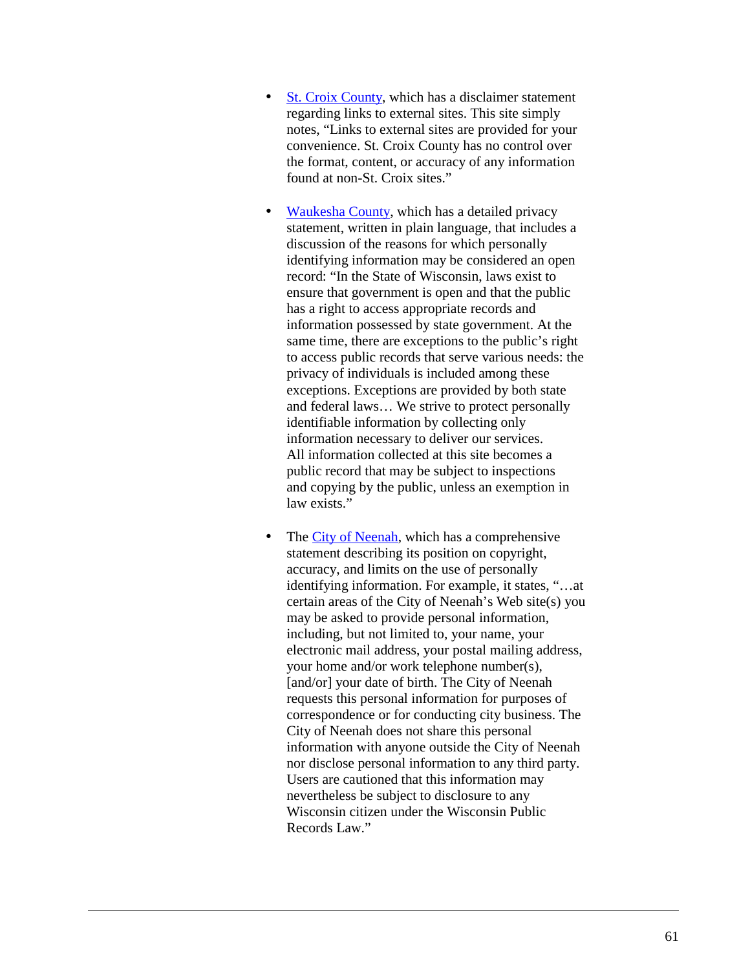- [St. Croix County,](http://www.co.saint-croix.wi.us/) which has a disclaimer statement regarding links to external sites. This site simply notes, "Links to external sites are provided for your convenience. St. Croix County has no control over the format, content, or accuracy of any information found at non-St. Croix sites."
- [Waukesha County,](http://www.waukeshacounty.gov/) which has a detailed privacy statement, written in plain language, that includes a discussion of the reasons for which personally identifying information may be considered an open record: "In the State of Wisconsin, laws exist to ensure that government is open and that the public has a right to access appropriate records and information possessed by state government. At the same time, there are exceptions to the public's right to access public records that serve various needs: the privacy of individuals is included among these exceptions. Exceptions are provided by both state and federal laws… We strive to protect personally identifiable information by collecting only information necessary to deliver our services. All information collected at this site becomes a public record that may be subject to inspections and copying by the public, unless an exemption in law exists."
- The [City of Neenah,](http://www.ci.neenah.wi.us/) which has a comprehensive statement describing its position on copyright, accuracy, and limits on the use of personally identifying information. For example, it states, "…at certain areas of the City of Neenah's Web site(s) you may be asked to provide personal information, including, but not limited to, your name, your electronic mail address, your postal mailing address, your home and/or work telephone number(s), [and/or] your date of birth. The City of Neenah requests this personal information for purposes of correspondence or for conducting city business. The City of Neenah does not share this personal information with anyone outside the City of Neenah nor disclose personal information to any third party. Users are cautioned that this information may nevertheless be subject to disclosure to any Wisconsin citizen under the Wisconsin Public Records Law."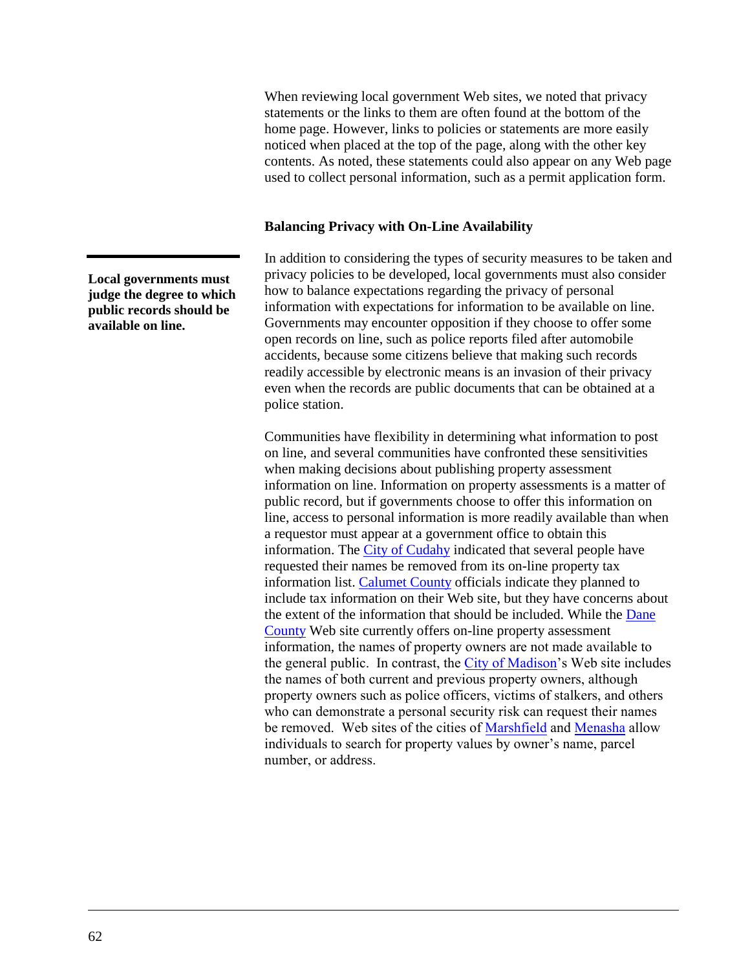When reviewing local government Web sites, we noted that privacy statements or the links to them are often found at the bottom of the home page. However, links to policies or statements are more easily noticed when placed at the top of the page, along with the other key contents. As noted, these statements could also appear on any Web page used to collect personal information, such as a permit application form.

### **Balancing Privacy with On-Line Availability**

In addition to considering the types of security measures to be taken and privacy policies to be developed, local governments must also consider how to balance expectations regarding the privacy of personal information with expectations for information to be available on line. Governments may encounter opposition if they choose to offer some open records on line, such as police reports filed after automobile accidents, because some citizens believe that making such records readily accessible by electronic means is an invasion of their privacy even when the records are public documents that can be obtained at a police station.

Communities have flexibility in determining what information to post on line, and several communities have confronted these sensitivities when making decisions about publishing property assessment information on line. Information on property assessments is a matter of public record, but if governments choose to offer this information on line, access to personal information is more readily available than when a requestor must appear at a government office to obtain this information. The [City of Cudahy](http://www.ci.cudahy.wi.us/) indicated that several people have requested their names be removed from its on-line property tax information list. [Calumet County](http://www.co.calumet.wi.us/) officials indicate they planned to include tax information on their Web site, but they have concerns about the extent of the information that should be included. While the [Dane](http://www.co.dane.wi.us/) [County](http://www.co.dane.wi.us/) Web site currently offers on-line property assessment information, the names of property owners are not made available to the general public. In contrast, the [City of Madison'](http://www.ci.madison.wi.us/)s Web site includes the names of both current and previous property owners, although property owners such as police officers, victims of stalkers, and others who can demonstrate a personal security risk can request their names be removed. Web sites of the cities of [Marshfield](http://ci.marshfield.wi.us/) and [Menasha](http://www.cityofmenasha.com/) allow individuals to search for property values by owner's name, parcel number, or address.

**Local governments must judge the degree to which public records should be available on line.**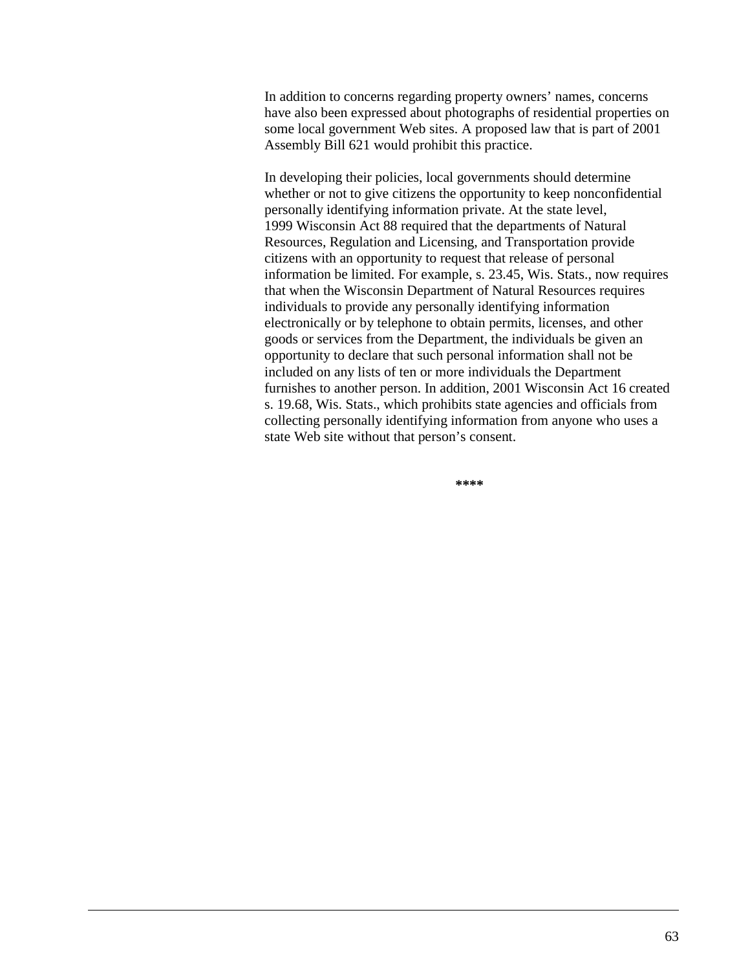In addition to concerns regarding property owners' names, concerns have also been expressed about photographs of residential properties on some local government Web sites. A proposed law that is part of 2001 Assembly Bill 621 would prohibit this practice.

In developing their policies, local governments should determine whether or not to give citizens the opportunity to keep nonconfidential personally identifying information private. At the state level, 1999 Wisconsin Act 88 required that the departments of Natural Resources, Regulation and Licensing, and Transportation provide citizens with an opportunity to request that release of personal information be limited. For example, s. 23.45, Wis. Stats., now requires that when the Wisconsin Department of Natural Resources requires individuals to provide any personally identifying information electronically or by telephone to obtain permits, licenses, and other goods or services from the Department, the individuals be given an opportunity to declare that such personal information shall not be included on any lists of ten or more individuals the Department furnishes to another person. In addition, 2001 Wisconsin Act 16 created s. 19.68, Wis. Stats., which prohibits state agencies and officials from collecting personally identifying information from anyone who uses a state Web site without that person's consent.

**\*\*\*\***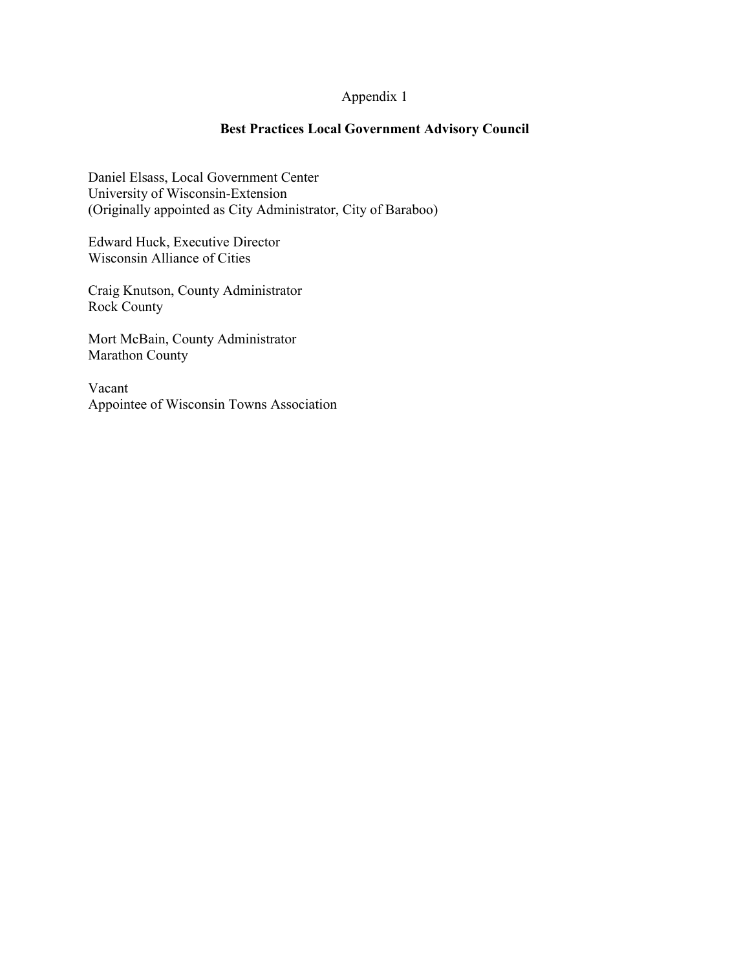# Appendix 1

# **Best Practices Local Government Advisory Council**

Daniel Elsass, Local Government Center University of Wisconsin-Extension (Originally appointed as City Administrator, City of Baraboo)

Edward Huck, Executive Director Wisconsin Alliance of Cities

Craig Knutson, County Administrator Rock County

Mort McBain, County Administrator Marathon County

Vacant Appointee of Wisconsin Towns Association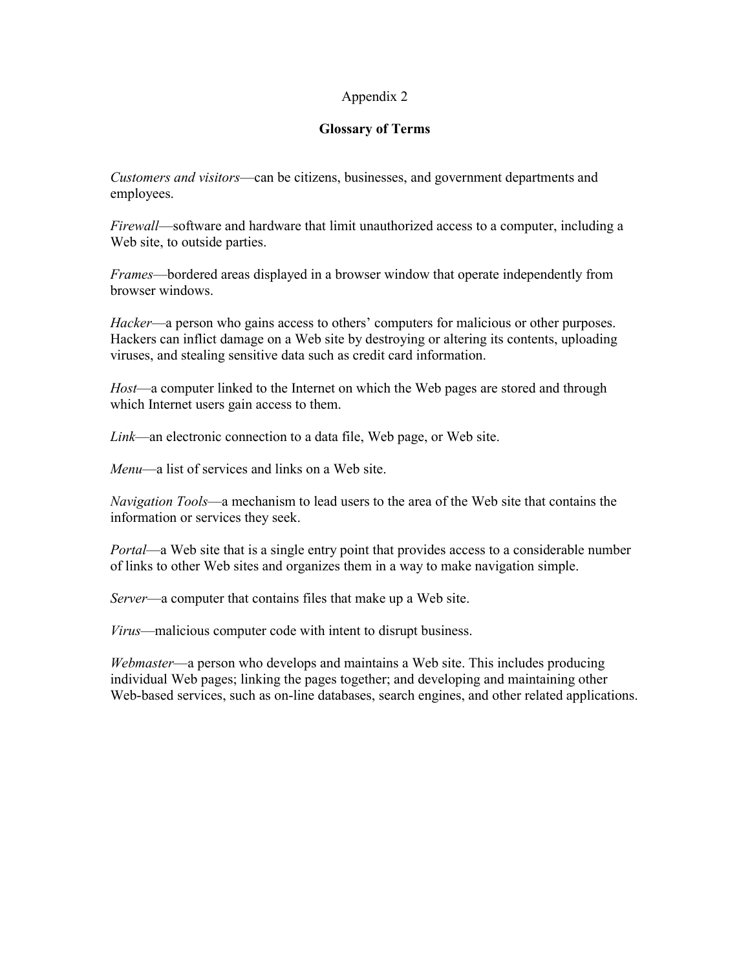## Appendix 2

## **Glossary of Terms**

*Customers and visitors*—can be citizens, businesses, and government departments and employees.

*Firewall*—software and hardware that limit unauthorized access to a computer, including a Web site, to outside parties.

*Frames*—bordered areas displayed in a browser window that operate independently from browser windows.

*Hacker*—a person who gains access to others' computers for malicious or other purposes. Hackers can inflict damage on a Web site by destroving or altering its contents, uploading viruses, and stealing sensitive data such as credit card information.

Host—a computer linked to the Internet on which the Web pages are stored and through which Internet users gain access to them.

*Link*—an electronic connection to a data file, Web page, or Web site.

Menu—a list of services and links on a Web site.

*Navigation Tools*—a mechanism to lead users to the area of the Web site that contains the information or services they seek.

*Portal—a* Web site that is a single entry point that provides access to a considerable number of links to other Web sites and organizes them in a way to make navigation simple.

*Server*—a computer that contains files that make up a Web site.

*Virus*—malicious computer code with intent to disrupt business.

*Webmaster*—a person who develops and maintains a Web site. This includes producing individual Web pages; linking the pages together; and developing and maintaining other Web-based services, such as on-line databases, search engines, and other related applications.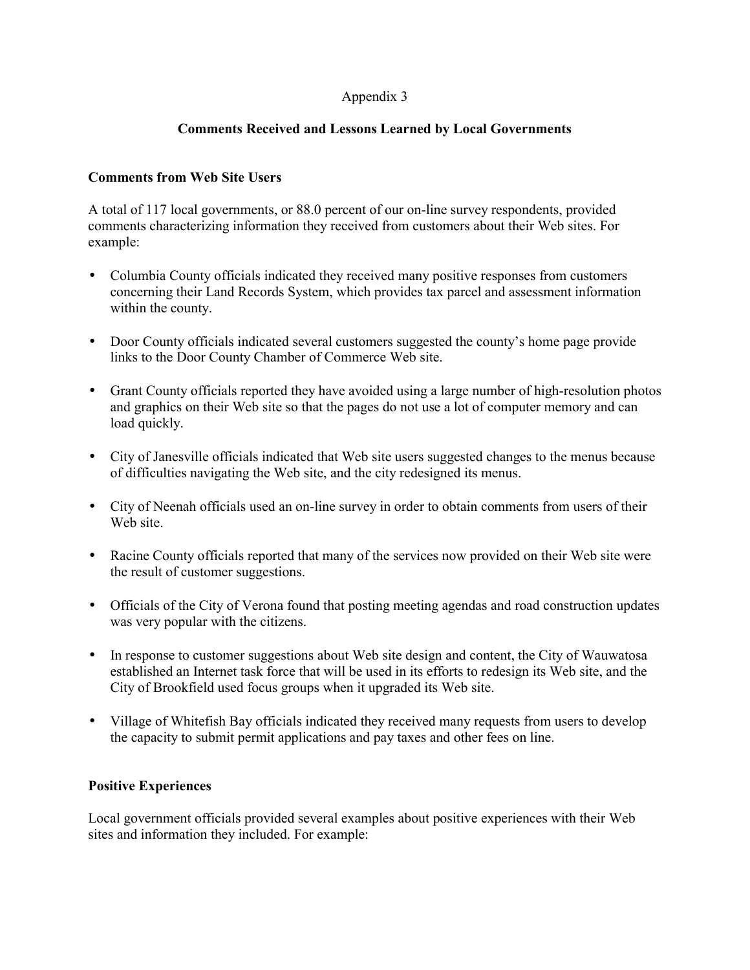## Appendix 3

## **Comments Received and Lessons Learned by Local Governments**

## **Comments from Web Site Users**

A total of 117 local governments, or 88.0 percent of our on-line survey respondents, provided comments characterizing information they received from customers about their Web sites. For example:

- Columbia County officials indicated they received many positive responses from customers concerning their Land Records System, which provides tax parcel and assessment information within the county.
- Door County officials indicated several customers suggested the county's home page provide links to the Door County Chamber of Commerce Web site.
- Grant County officials reported they have avoided using a large number of high-resolution photos and graphics on their Web site so that the pages do not use a lot of computer memory and can load quickly.
- City of Janesville officials indicated that Web site users suggested changes to the menus because of difficulties navigating the Web site, and the city redesigned its menus.
- City of Neenah officials used an on-line survey in order to obtain comments from users of their Web site.
- Racine County officials reported that many of the services now provided on their Web site were the result of customer suggestions.
- Officials of the City of Verona found that posting meeting agendas and road construction updates was very popular with the citizens.
- In response to customer suggestions about Web site design and content, the City of Wauwatosa established an Internet task force that will be used in its efforts to redesign its Web site, and the City of Brookfield used focus groups when it upgraded its Web site.
- Village of Whitefish Bay officials indicated they received many requests from users to develop the capacity to submit permit applications and pay taxes and other fees on line.

## **Positive Experiences**

Local government officials provided several examples about positive experiences with their Web sites and information they included. For example: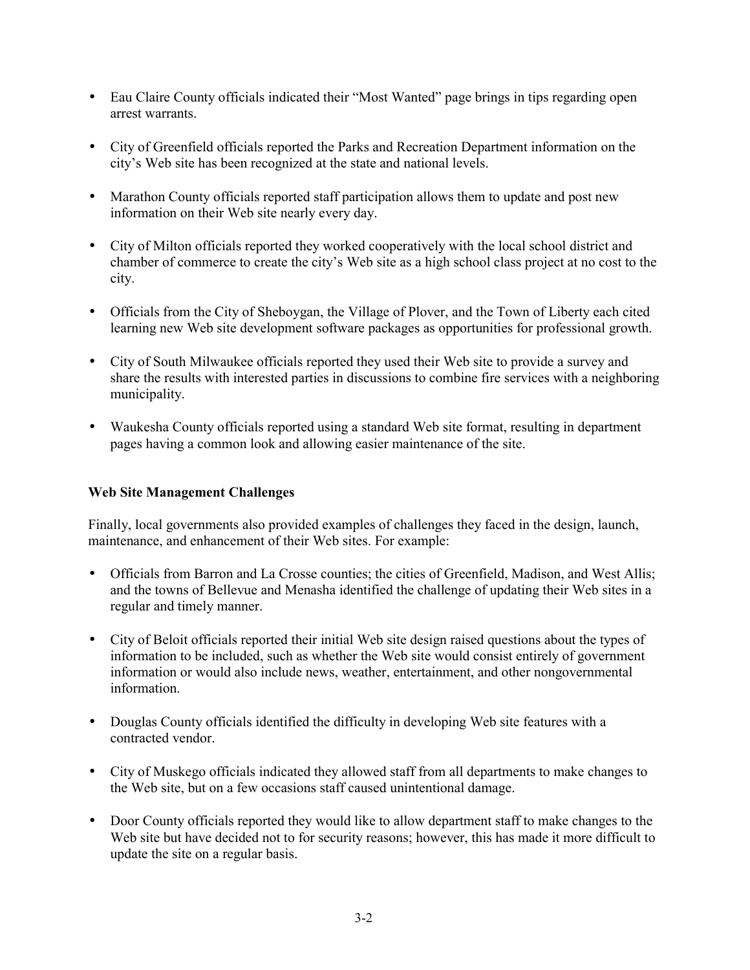- Eau Claire County officials indicated their "Most Wanted" page brings in tips regarding open arrest warrants.
- City of Greenfield officials reported the Parks and Recreation Department information on the city's Web site has been recognized at the state and national levels.
- Marathon County officials reported staff participation allows them to update and post new information on their Web site nearly every day.
- City of Milton officials reported they worked cooperatively with the local school district and chamber of commerce to create the city's Web site as a high school class project at no cost to the city.
- Officials from the City of Sheboygan, the Village of Plover, and the Town of Liberty each cited learning new Web site development software packages as opportunities for professional growth.
- City of South Milwaukee officials reported they used their Web site to provide a survey and share the results with interested parties in discussions to combine fire services with a neighboring municipality.
- Waukesha County officials reported using a standard Web site format, resulting in department pages having a common look and allowing easier maintenance of the site.

## **Web Site Management Challenges**

Finally, local governments also provided examples of challenges they faced in the design, launch, maintenance, and enhancement of their Web sites. For example:

- Officials from Barron and La Crosse counties; the cities of Greenfield, Madison, and West Allis; and the towns of Bellevue and Menasha identified the challenge of updating their Web sites in a regular and timely manner.
- City of Beloit officials reported their initial Web site design raised questions about the types of information to be included, such as whether the Web site would consist entirely of government information or would also include news, weather, entertainment, and other nongovernmental information.
- Douglas County officials identified the difficulty in developing Web site features with a contracted vendor.
- City of Muskego officials indicated they allowed staff from all departments to make changes to the Web site, but on a few occasions staff caused unintentional damage.
- Door County officials reported they would like to allow department staff to make changes to the Web site but have decided not to for security reasons; however, this has made it more difficult to update the site on a regular basis.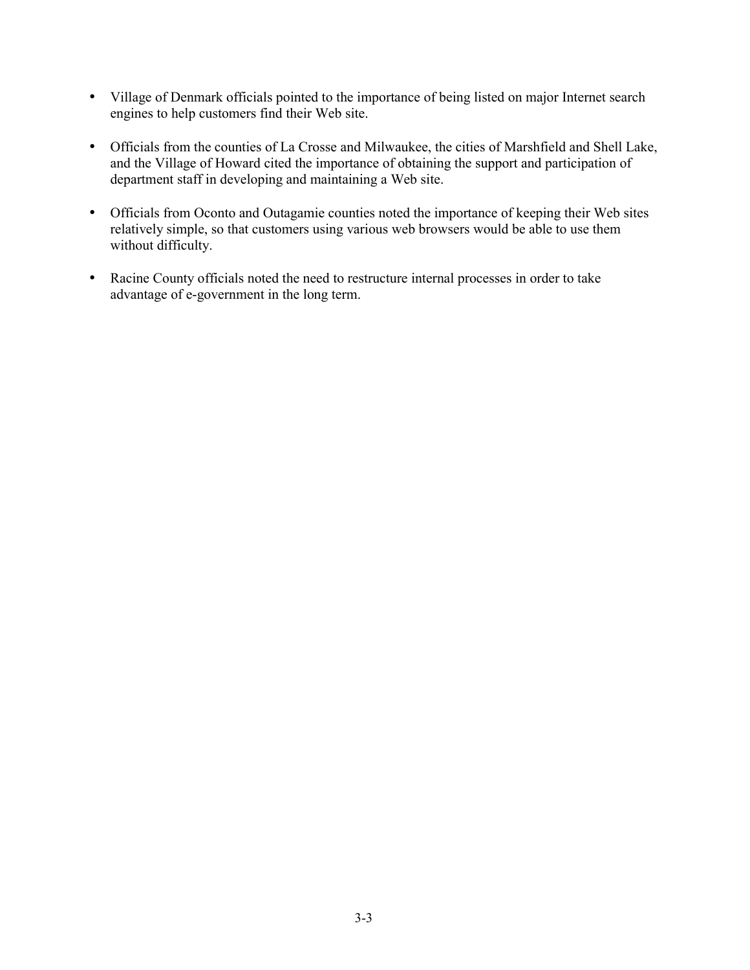- Village of Denmark officials pointed to the importance of being listed on major Internet search engines to help customers find their Web site.
- Officials from the counties of La Crosse and Milwaukee, the cities of Marshfield and Shell Lake, and the Village of Howard cited the importance of obtaining the support and participation of department staff in developing and maintaining a Web site.
- Officials from Oconto and Outagamie counties noted the importance of keeping their Web sites relatively simple, so that customers using various web browsers would be able to use them without difficulty.
- Racine County officials noted the need to restructure internal processes in order to take advantage of e-government in the long term.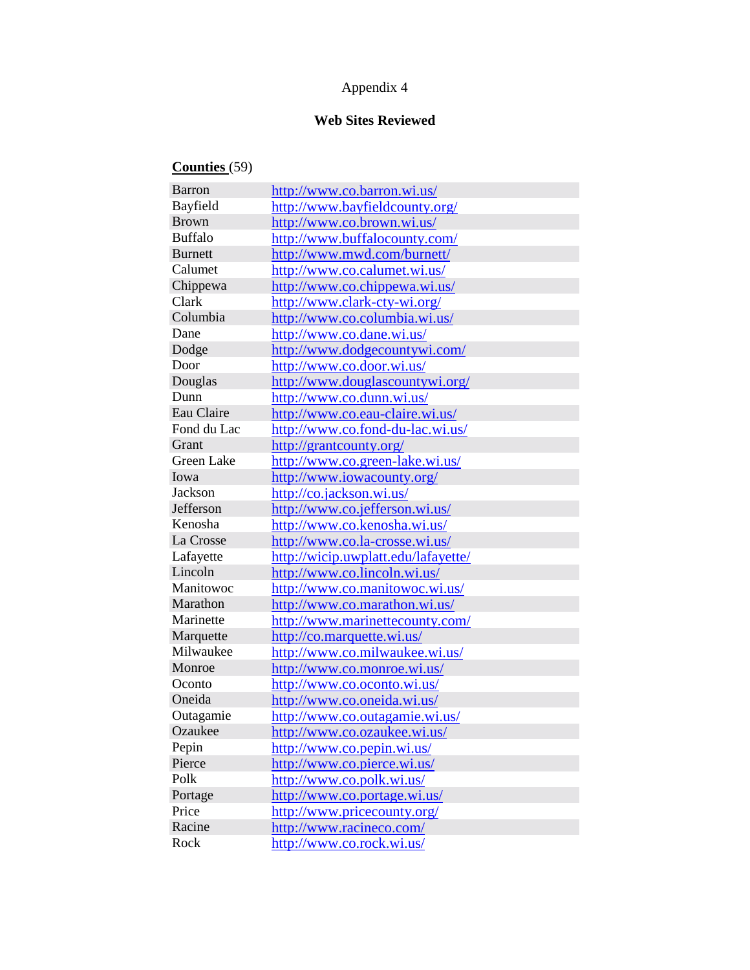## Appendix 4

# **Web Sites Reviewed**

# **Counties** (59)

| <b>Barron</b>  | http://www.co.barron.wi.us/         |
|----------------|-------------------------------------|
| Bayfield       | http://www.bayfieldcounty.org/      |
| <b>Brown</b>   | http://www.co.brown.wi.us/          |
| <b>Buffalo</b> | http://www.buffalocounty.com/       |
| <b>Burnett</b> | http://www.mwd.com/burnett/         |
| Calumet        | http://www.co.calumet.wi.us/        |
| Chippewa       | http://www.co.chippewa.wi.us/       |
| Clark          | http://www.clark-cty-wi.org/        |
| Columbia       | http://www.co.columbia.wi.us/       |
| Dane           | http://www.co.dane.wi.us/           |
| Dodge          | http://www.dodgecountywi.com/       |
| Door           | http://www.co.door.wi.us/           |
| Douglas        | http://www.douglascountywi.org/     |
| Dunn           | http://www.co.dunn.wi.us/           |
| Eau Claire     | http://www.co.eau-claire.wi.us/     |
| Fond du Lac    | http://www.co.fond-du-lac.wi.us/    |
| Grant          | http://grantcounty.org/             |
| Green Lake     | http://www.co.green-lake.wi.us/     |
| Iowa           | http://www.iowacounty.org/          |
| Jackson        | http://co.jackson.wi.us/            |
| Jefferson      | http://www.co.jefferson.wi.us/      |
| Kenosha        | http://www.co.kenosha.wi.us/        |
| La Crosse      | http://www.co.la-crosse.wi.us/      |
| Lafayette      | http://wicip.uwplatt.edu/lafayette/ |
| Lincoln        | http://www.co.lincoln.wi.us/        |
| Manitowoc      | http://www.co.manitowoc.wi.us/      |
| Marathon       | http://www.co.marathon.wi.us/       |
| Marinette      | http://www.marinettecounty.com/     |
| Marquette      | http://co.marquette.wi.us/          |
| Milwaukee      | http://www.co.milwaukee.wi.us/      |
| Monroe         | http://www.co.monroe.wi.us/         |
| Oconto         | http://www.co.oconto.wi.us/         |
| Oneida         | http://www.co.oneida.wi.us/         |
| Outagamie      | http://www.co.outagamie.wi.us/      |
| Ozaukee        | http://www.co.ozaukee.wi.us/        |
| Pepin          | http://www.co.pepin.wi.us/          |
| Pierce         | http://www.co.pierce.wi.us/         |
| Polk           | http://www.co.polk.wi.us/           |
| Portage        | http://www.co.portage.wi.us/        |
| Price          | http://www.pricecounty.org/         |
| Racine         | http://www.racineco.com/            |
| Rock           | http://www.co.rock.wi.us/           |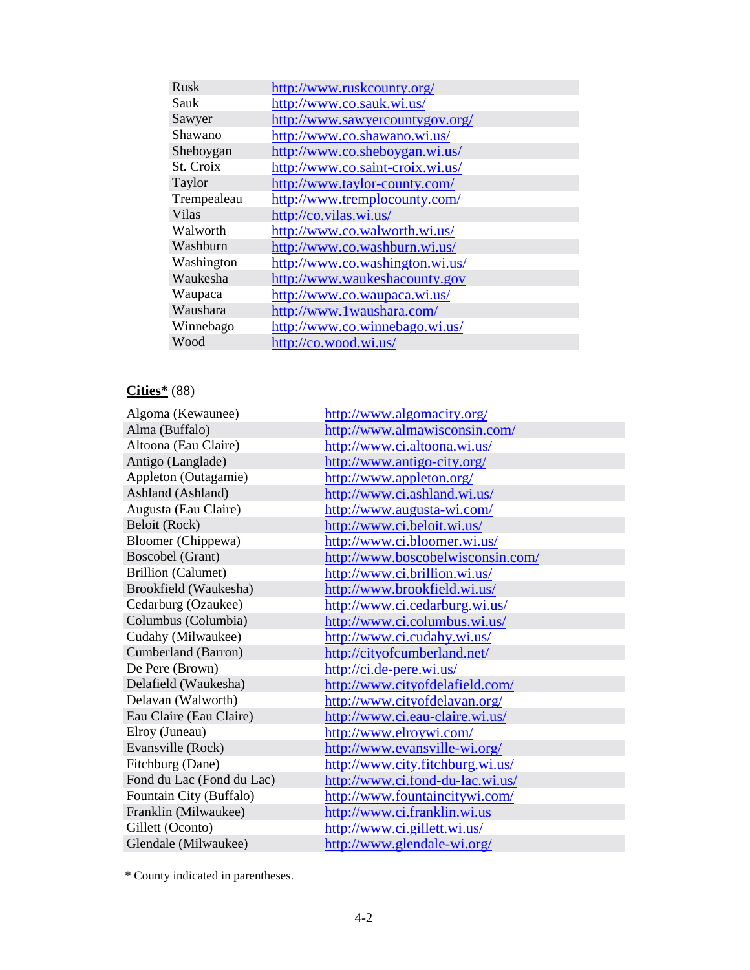| <b>Rusk</b>  | http://www.ruskcounty.org/       |
|--------------|----------------------------------|
| Sauk         | http://www.co.sauk.wi.us/        |
| Sawyer       | http://www.sawyercountygov.org/  |
| Shawano      | http://www.co.shawano.wi.us/     |
| Sheboygan    | http://www.co.sheboygan.wi.us/   |
| St. Croix    | http://www.co.saint-croix.wi.us/ |
| Taylor       | http://www.taylor-county.com/    |
| Trempealeau  | http://www.tremplocounty.com/    |
| <b>Vilas</b> | http://co.vilas.wi.us/           |
| Walworth     | http://www.co.walworth.wi.us/    |
| Washburn     | http://www.co.washburn.wi.us/    |
| Washington   | http://www.co.washington.wi.us/  |
| Waukesha     | http://www.waukeshacounty.gov    |
| Waupaca      | http://www.co.waupaca.wi.us/     |
| Waushara     | http://www.1waushara.com/        |
| Winnebago    | http://www.co.winnebago.wi.us/   |
| Wood         | http://co.wood.wi.us/            |

# **Cities\*** (88)

| Algoma (Kewaunee)         | http://www.algomacity.org/        |
|---------------------------|-----------------------------------|
| Alma (Buffalo)            | http://www.almawisconsin.com/     |
| Altoona (Eau Claire)      | http://www.ci.altoona.wi.us/      |
| Antigo (Langlade)         | http://www.antigo-city.org/       |
| Appleton (Outagamie)      | http://www.appleton.org/          |
| Ashland (Ashland)         | http://www.ci.ashland.wi.us/      |
| Augusta (Eau Claire)      | http://www.augusta-wi.com/        |
| Beloit (Rock)             | http://www.ci.beloit.wi.us/       |
| <b>Bloomer</b> (Chippewa) | http://www.ci.bloomer.wi.us/      |
| Boscobel (Grant)          | http://www.boscobelwisconsin.com/ |
| <b>Brillion</b> (Calumet) | http://www.ci.brillion.wi.us/     |
| Brookfield (Waukesha)     | http://www.brookfield.wi.us/      |
| Cedarburg (Ozaukee)       | http://www.ci.cedarburg.wi.us/    |
| Columbus (Columbia)       | http://www.ci.columbus.wi.us/     |
| Cudahy (Milwaukee)        | http://www.ci.cudahy.wi.us/       |
| Cumberland (Barron)       | http://cityofcumberland.net/      |
| De Pere (Brown)           | http://ci.de-pere.wi.us/          |
| Delafield (Waukesha)      | http://www.cityofdelafield.com/   |
| Delavan (Walworth)        | http://www.cityofdelavan.org/     |
| Eau Claire (Eau Claire)   | http://www.ci.eau-claire.wi.us/   |
| Elroy (Juneau)            | http://www.elroywi.com/           |
| Evansville (Rock)         | http://www.evansville-wi.org/     |
| Fitchburg (Dane)          | http://www.city.fitchburg.wi.us/  |
| Fond du Lac (Fond du Lac) | http://www.ci.fond-du-lac.wi.us/  |
| Fountain City (Buffalo)   | http://www.fountaincitywi.com/    |
| Franklin (Milwaukee)      | http://www.ci.franklin.wi.us      |
| Gillett (Oconto)          | http://www.ci.gillett.wi.us/      |
| Glendale (Milwaukee)      | http://www.glendale-wi.org/       |

\* County indicated in parentheses.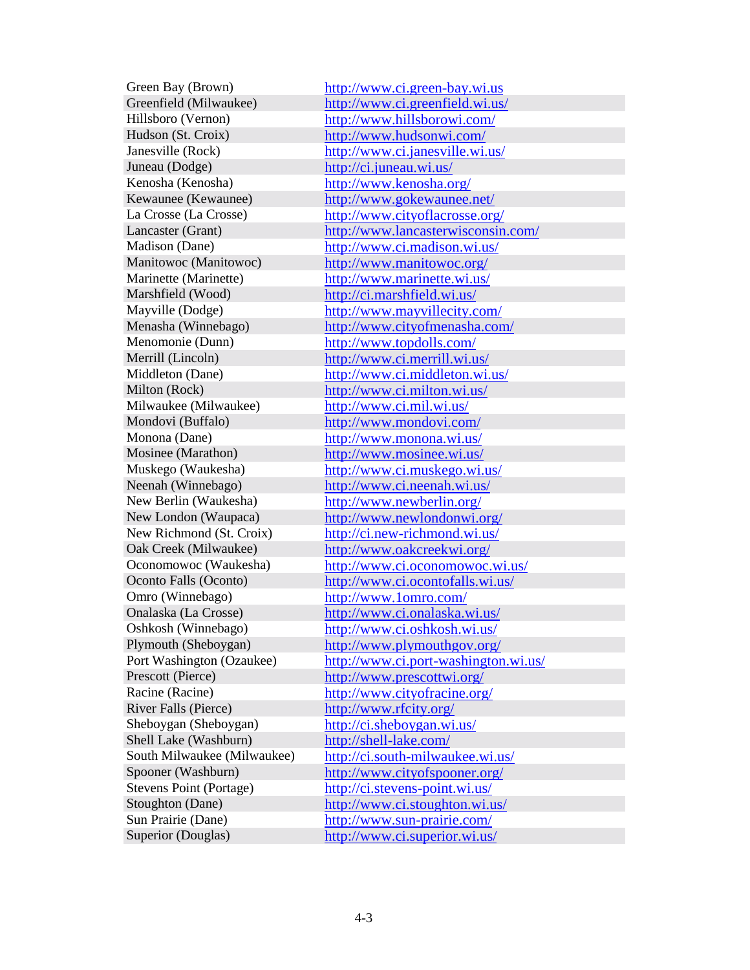Juneau (Dodge) <http://ci.juneau.wi.us/> Kenosha (Kenosha) <http://www.kenosha.org/> Milwaukee (Milwaukee) <http://www.ci.mil.wi.us/> Omro (Winnebago) <http://www.1omro.com/> River Falls (Pierce) <http://www.rfcity.org/> Shell Lake (Washburn) <http://shell-lake.com/>

Green Bay (Brown) <http://www.ci.green-bay.wi.us> Greenfield (Milwaukee) <http://www.ci.greenfield.wi.us/> Hillsboro (Vernon) <http://www.hillsborowi.com/> Hudson (St. Croix) <http://www.hudsonwi.com/> Janesville (Rock) <http://www.ci.janesville.wi.us/> Kewaunee (Kewaunee) <http://www.gokewaunee.net/> La Crosse (La Crosse) <http://www.cityoflacrosse.org/> Lancaster (Grant) <http://www.lancasterwisconsin.com/> Madison (Dane) <http://www.ci.madison.wi.us/> Manitowoc (Manitowoc) <http://www.manitowoc.org/> Marinette (Marinette) <http://www.marinette.wi.us/> Marshfield (Wood) <http://ci.marshfield.wi.us/> Mayville (Dodge) <http://www.mayvillecity.com/> Menasha (Winnebago) <http://www.cityofmenasha.com/> Menomonie (Dunn)<br>
Merrill (Lincoln)<br> <http://www.topdolls.com/><br>
http://www.ci.merrill.wi.u <http://www.ci.merrill.wi.us/> Middleton (Dane) <http://www.ci.middleton.wi.us/> Milton (Rock) <http://www.ci.milton.wi.us/> Mondovi (Buffalo)<br>
Monona (Dane) <http://www.mondovi.com/><br>
http://www.monona.wi.us/ <http://www.monona.wi.us/> Mosinee (Marathon) <http://www.mosinee.wi.us/> Muskego (Waukesha) <http://www.ci.muskego.wi.us/> Neenah (Winnebago) <http://www.ci.neenah.wi.us/> New Berlin (Waukesha) <http://www.newberlin.org/> New London (Waupaca) <http://www.newlondonwi.org/> New Richmond (St. Croix) <http://ci.new-richmond.wi.us/> Oak Creek (Milwaukee) <http://www.oakcreekwi.org/> Oconomowoc (Waukesha)<br>
Oconto Falls (Oconto)<br>
http://www.ci.ocontofalls.wi.us/<br>
http://www.ci.ocontofalls.wi.us/ <http://www.ci.ocontofalls.wi.us/> Onalaska (La Crosse) <http://www.ci.onalaska.wi.us/> Oshkosh (Winnebago) <http://www.ci.oshkosh.wi.us/> Plymouth (Sheboygan) <http://www.plymouthgov.org/> Port Washington (Ozaukee) <http://www.ci.port-washington.wi.us/> Prescott (Pierce) <http://www.prescottwi.org/> Racine (Racine) <http://www.cityofracine.org/> Sheboygan (Sheboygan) <http://ci.sheboygan.wi.us/> South Milwaukee (Milwaukee) <http://ci.south-milwaukee.wi.us/> Spooner (Washburn)<br>Stevens Point (Portage) http://ci.stevens-point.wi.us/ <http://ci.stevens-point.wi.us/> Stoughton (Dane) <http://www.ci.stoughton.wi.us/> Sun Prairie (Dane) <http://www.sun-prairie.com/> Superior (Douglas) <http://www.ci.superior.wi.us/>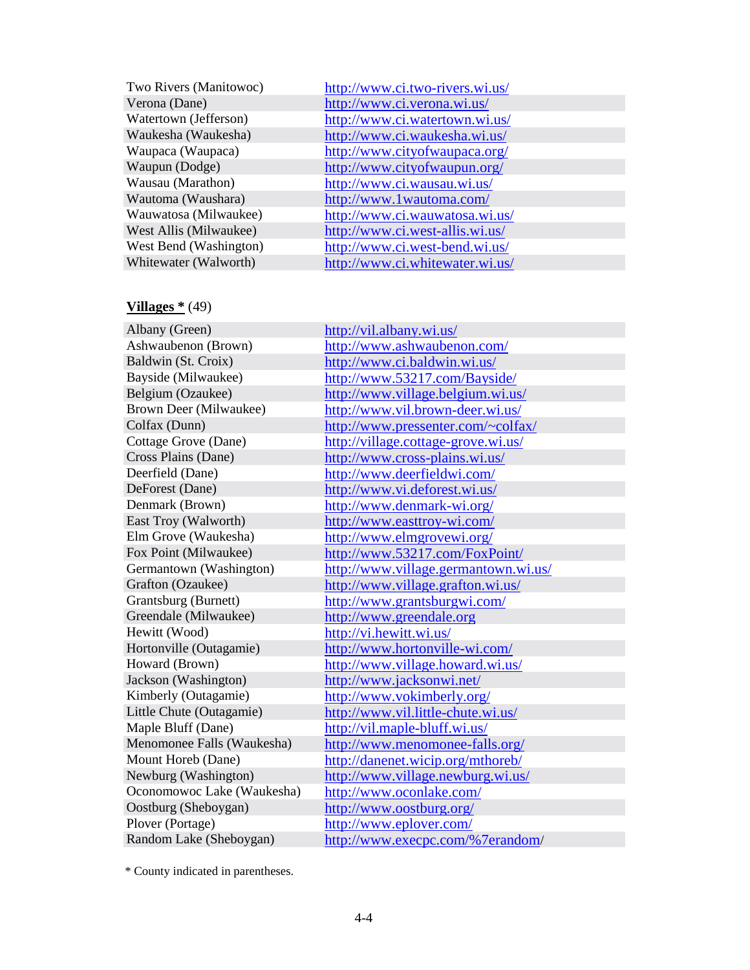| Two Rivers (Manitowoc) | http://www.ci.two-rivers.wi.us/ |
|------------------------|---------------------------------|
| Verona (Dane)          | http://www.ci.verona.wi.us/     |
| Watertown (Jefferson)  | http://www.ci.watertown.wi.us/  |
| Waukesha (Waukesha)    | http://www.ci.waukesha.wi.us/   |
| Waupaca (Waupaca)      | http://www.cityofwaupaca.org/   |
| Waupun (Dodge)         | http://www.cityofwaupun.org/    |
| Wausau (Marathon)      | http://www.ci.wausau.wi.us/     |
| Wautoma (Waushara)     | http://www.1wautoma.com/        |
| Wauwatosa (Milwaukee)  | http://www.ci.wauwatosa.wi.us/  |
| West Allis (Milwaukee) | http://www.ci.west-allis.wi.us/ |
| West Bend (Washington) | http://www.ci.west-bend.wi.us/  |
| Whitewater (Walworth)  | http://www.ci.whitewater.wi.us/ |
|                        |                                 |

# **Villages \*** (49)

| Albany (Green)             | http://vil.albany.wi.us/             |
|----------------------------|--------------------------------------|
| Ashwaubenon (Brown)        | http://www.ashwaubenon.com/          |
| Baldwin (St. Croix)        | http://www.ci.baldwin.wi.us/         |
| Bayside (Milwaukee)        | http://www.53217.com/Bayside/        |
| Belgium (Ozaukee)          | http://www.village.belgium.wi.us/    |
| Brown Deer (Milwaukee)     | http://www.vil.brown-deer.wi.us/     |
| Colfax (Dunn)              | http://www.pressenter.com/~colfax/   |
| Cottage Grove (Dane)       | http://village.cottage-grove.wi.us/  |
| Cross Plains (Dane)        | http://www.cross-plains.wi.us/       |
| Deerfield (Dane)           | http://www.deerfieldwi.com/          |
| DeForest (Dane)            | http://www.vi.deforest.wi.us/        |
| Denmark (Brown)            | http://www.denmark-wi.org/           |
| East Troy (Walworth)       | http://www.easttroy-wi.com/          |
| Elm Grove (Waukesha)       | http://www.elmgrovewi.org/           |
| Fox Point (Milwaukee)      | http://www.53217.com/FoxPoint/       |
| Germantown (Washington)    | http://www.village.germantown.wi.us/ |
| Grafton (Ozaukee)          | http://www.village.grafton.wi.us/    |
| Grantsburg (Burnett)       | http://www.grantsburgwi.com/         |
| Greendale (Milwaukee)      | http://www.greendale.org             |
| Hewitt (Wood)              | http://vi.hewitt.wi.us/              |
| Hortonville (Outagamie)    | http://www.hortonville-wi.com/       |
| Howard (Brown)             | http://www.village.howard.wi.us/     |
| Jackson (Washington)       | http://www.jacksonwi.net/            |
| Kimberly (Outagamie)       | http://www.vokimberly.org/           |
| Little Chute (Outagamie)   | http://www.vil.little-chute.wi.us/   |
| Maple Bluff (Dane)         | http://vil.maple-bluff.wi.us/        |
| Menomonee Falls (Waukesha) | http://www.menomonee-falls.org/      |
| Mount Horeb (Dane)         | http://danenet.wicip.org/mthoreb/    |
| Newburg (Washington)       | http://www.village.newburg.wi.us/    |
| Oconomowoc Lake (Waukesha) | http://www.oconlake.com/             |
| Oostburg (Sheboygan)       | http://www.oostburg.org/             |
| Plover (Portage)           | http://www.eplover.com/              |
| Random Lake (Sheboygan)    | http://www.execpc.com/%7erandom/     |

\* County indicated in parentheses.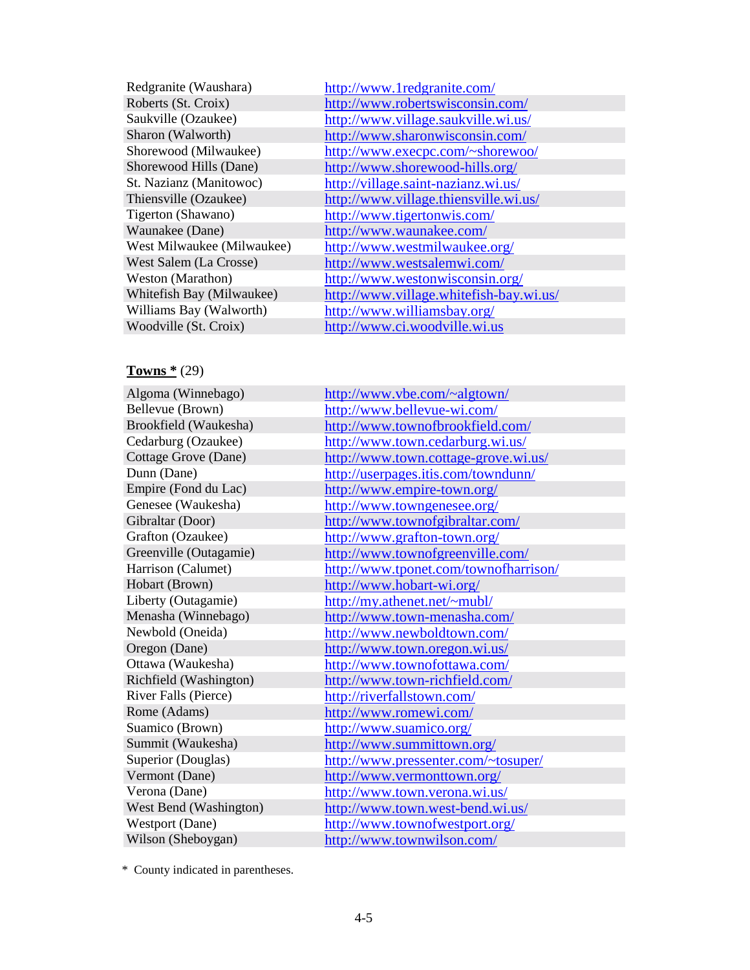| Redgranite (Waushara)      |
|----------------------------|
| Roberts (St. Croix)        |
| Saukville (Ozaukee)        |
| Sharon (Walworth)          |
| Shorewood (Milwaukee)      |
| Shorewood Hills (Dane)     |
| St. Nazianz (Manitowoc)    |
| Thiensville (Ozaukee)      |
| Tigerton (Shawano)         |
| Waunakee (Dane)            |
| West Milwaukee (Milwaukee) |
| West Salem (La Crosse)     |
| Weston (Marathon)          |
| Whitefish Bay (Milwaukee)  |
| Williams Bay (Walworth)    |
| Woodville (St. Croix)      |

<http://www.1redgranite.com/> <http://www.robertswisconsin.com/> <http://www.village.saukville.wi.us/> <http://www.sharonwisconsin.com/> <http://www.execpc.com/~shorewoo/> <http://www.shorewood-hills.org/> <http://village.saint-nazianz.wi.us/> <http://www.village.thiensville.wi.us/> <http://www.tigertonwis.com/> <http://www.waunakee.com/> <http://www.westmilwaukee.org/> <http://www.westsalemwi.com/> <http://www.westonwisconsin.org/> <http://www.village.whitefish-bay.wi.us/> <http://www.williamsbay.org/> <http://www.ci.woodville.wi.us>

#### **Towns \*** (29)

| Algoma (Winnebago)     | http://www.vbe.com/~algtown/          |
|------------------------|---------------------------------------|
| Bellevue (Brown)       | http://www.bellevue-wi.com/           |
| Brookfield (Waukesha)  | http://www.townofbrookfield.com/      |
| Cedarburg (Ozaukee)    | http://www.town.cedarburg.wi.us/      |
| Cottage Grove (Dane)   | http://www.town.cottage-grove.wi.us/  |
| Dunn (Dane)            | http://userpages.itis.com/towndunn/   |
| Empire (Fond du Lac)   | http://www.empire-town.org/           |
| Genesee (Waukesha)     | http://www.towngenesee.org/           |
| Gibraltar (Door)       | http://www.townofgibraltar.com/       |
| Grafton (Ozaukee)      | http://www.grafton-town.org/          |
| Greenville (Outagamie) | http://www.townofgreenville.com/      |
| Harrison (Calumet)     | http://www.tponet.com/townofharrison/ |
| Hobart (Brown)         | http://www.hobart-wi.org/             |
| Liberty (Outagamie)    | http://my.athenet.net/~mubl/          |
| Menasha (Winnebago)    | http://www.town-menasha.com/          |
| Newbold (Oneida)       | http://www.newboldtown.com/           |
| Oregon (Dane)          | http://www.town.oregon.wi.us/         |
| Ottawa (Waukesha)      | http://www.townofottawa.com/          |
| Richfield (Washington) | http://www.town-richfield.com/        |
| River Falls (Pierce)   | http://riverfallstown.com/            |
| Rome (Adams)           | http://www.romewi.com/                |
| Suamico (Brown)        | http://www.suamico.org/               |
| Summit (Waukesha)      | http://www.summittown.org/            |
| Superior (Douglas)     | http://www.pressenter.com/~tosuper/   |
| Vermont (Dane)         | http://www.vermonttown.org/           |
| Verona (Dane)          | http://www.town.verona.wi.us/         |
| West Bend (Washington) | http://www.town.west-bend.wi.us/      |
| Westport (Dane)        | http://www.townofwestport.org/        |
| Wilson (Sheboygan)     | http://www.townwilson.com/            |

\* County indicated in parentheses.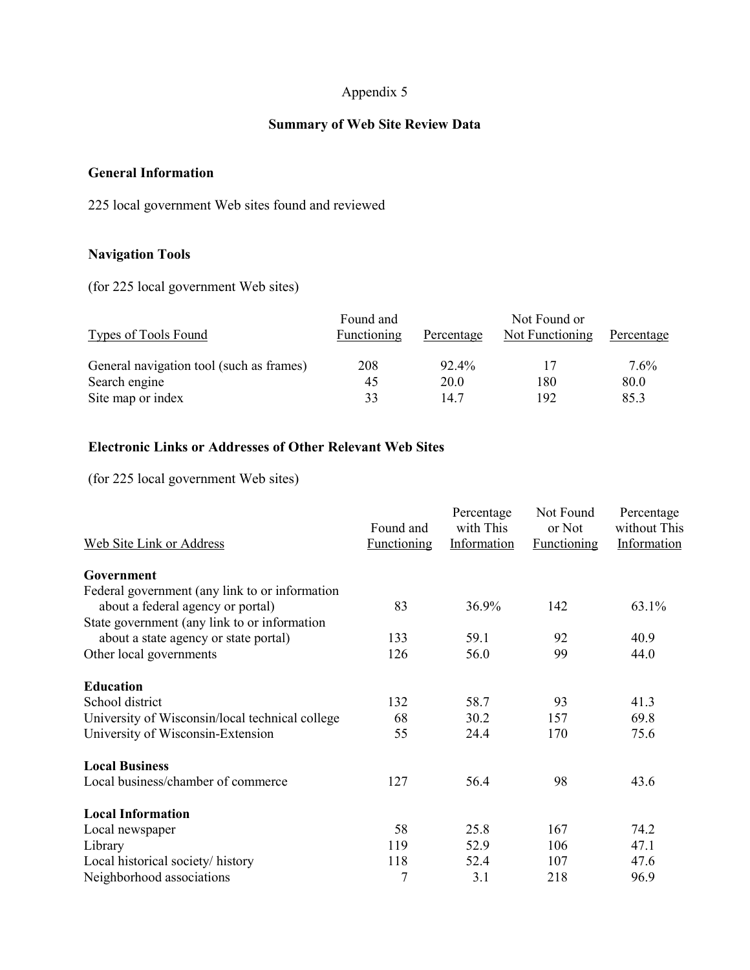## Appendix 5

## **Summary of Web Site Review Data**

#### **General Information**

225 local government Web sites found and reviewed

## **Navigation Tools**

(for 225 local government Web sites)

| <b>Types of Tools Found</b>              | Found and<br>Functioning | Percentage | Not Found or<br><b>Not Functioning</b> | Percentage |
|------------------------------------------|--------------------------|------------|----------------------------------------|------------|
| General navigation tool (such as frames) | 208                      | 92.4%      |                                        | $7.6\%$    |
| Search engine                            | 45                       | 20.0       | 180                                    | 80.0       |
| Site map or index                        | 33                       | 14 7       | 192                                    | 85.3       |

## **Electronic Links or Addresses of Other Relevant Web Sites**

(for 225 local government Web sites)

| <b>Web Site Link or Address</b>                 | Found and<br><b>Functioning</b> | Percentage<br>with This<br>Information | Not Found<br>or Not<br><b>Functioning</b> | Percentage<br>without This<br>Information |
|-------------------------------------------------|---------------------------------|----------------------------------------|-------------------------------------------|-------------------------------------------|
| Government                                      |                                 |                                        |                                           |                                           |
| Federal government (any link to or information  |                                 |                                        |                                           |                                           |
| about a federal agency or portal)               | 83                              | 36.9%                                  | 142                                       | 63.1%                                     |
| State government (any link to or information    |                                 |                                        |                                           |                                           |
| about a state agency or state portal)           | 133                             | 59.1                                   | 92                                        | 40.9                                      |
| Other local governments                         | 126                             | 56.0                                   | 99                                        | 44.0                                      |
| <b>Education</b>                                |                                 |                                        |                                           |                                           |
| School district                                 | 132                             | 58.7                                   | 93                                        | 41.3                                      |
| University of Wisconsin/local technical college | 68                              | 30.2                                   | 157                                       | 69.8                                      |
| University of Wisconsin-Extension               | 55                              | 24.4                                   | 170                                       | 75.6                                      |
| <b>Local Business</b>                           |                                 |                                        |                                           |                                           |
| Local business/chamber of commerce              | 127                             | 56.4                                   | 98                                        | 43.6                                      |
| <b>Local Information</b>                        |                                 |                                        |                                           |                                           |
| Local newspaper                                 | 58                              | 25.8                                   | 167                                       | 74.2                                      |
| Library                                         | 119                             | 52.9                                   | 106                                       | 47.1                                      |
| Local historical society/history                | 118                             | 52.4                                   | 107                                       | 47.6                                      |
| Neighborhood associations                       | 7                               | 3.1                                    | 218                                       | 96.9                                      |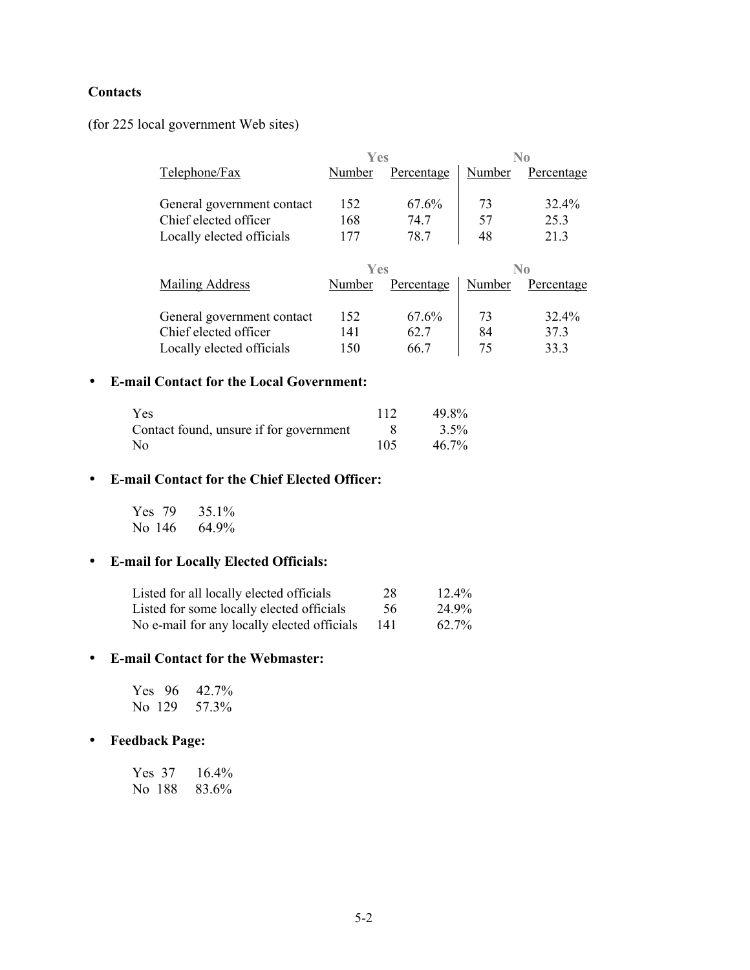## **Contacts**

(for 225 local government Web sites)

|                            | Yes    |            | No     |            |
|----------------------------|--------|------------|--------|------------|
| Telephone/Fax              | Number | Percentage | Number | Percentage |
|                            |        |            |        |            |
| General government contact | 152    | 67.6%      | 73     | 32.4%      |
| Chief elected officer      | 168    | 74.7       | 57     | 253        |
| Locally elected officials  | 177    | 78.7       | 48     | 213        |

|                            | Yes    |            | No     |            |
|----------------------------|--------|------------|--------|------------|
| Mailing Address            | Number | Percentage | Number | Percentage |
|                            |        |            |        |            |
| General government contact | 152    | 67.6%      | 73     | 32.4%      |
| Chief elected officer      | 141    | 62.7       | 84     | 373        |
| Locally elected officials  | 150    | 66 7       | 75     | 333        |

#### • E-mail Contact for the Local Government:

| Yes                                     | 112 | 49.8% |
|-----------------------------------------|-----|-------|
| Contact found, unsure if for government |     | 3.5%  |
| No                                      | 105 | 46.7% |

## • E-mail Contact for the Chief Elected Officer:

Yes 79 35.1% No 146 64.9%

## • E-mail for Locally Elected Officials:

| Listed for all locally elected officials    | 28  | $12.4\%$ |
|---------------------------------------------|-----|----------|
| Listed for some locally elected officials   | 56  | 24.9%    |
| No e-mail for any locally elected officials | 141 | 62.7%    |

#### • E-mail Contact for the Webmaster:

|         | Yes $96$ | 42.7% |
|---------|----------|-------|
| No. 129 |          | 57.3% |

## • Feedback Page:

 $16.4%$ Yes 37 No 188 83.6%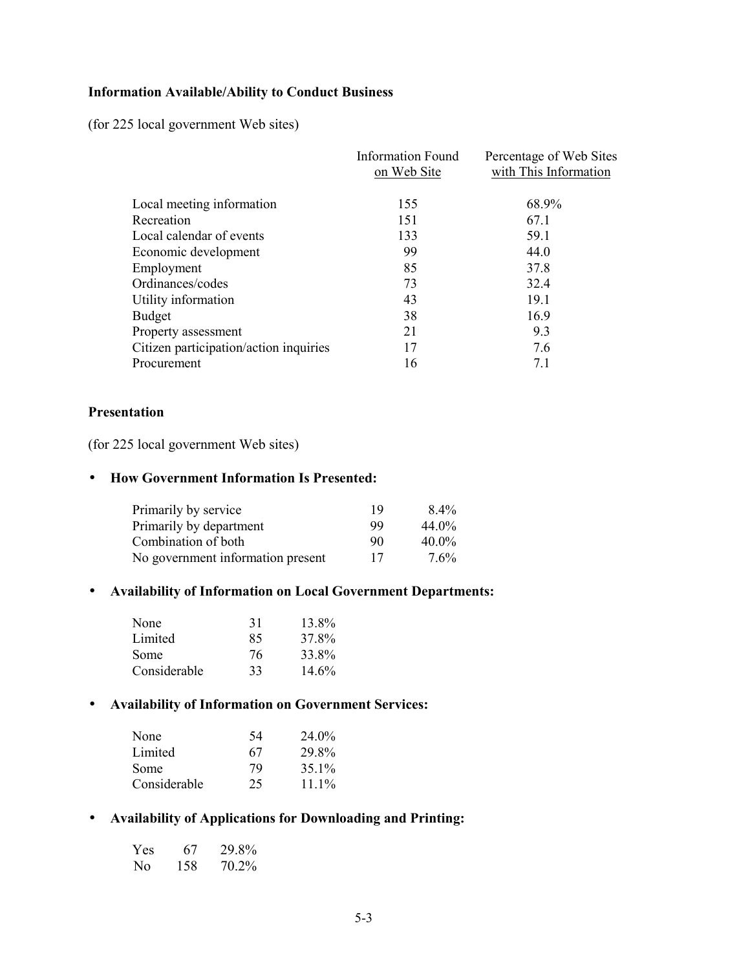## **Information Available/Ability to Conduct Business**

(for 225 local government Web sites)

|                                        | <b>Information Found</b><br>on Web Site | Percentage of Web Sites<br>with This Information |
|----------------------------------------|-----------------------------------------|--------------------------------------------------|
| Local meeting information              | 155                                     | 68.9%                                            |
| Recreation                             | 151                                     | 67.1                                             |
| Local calendar of events               | 133                                     | 59.1                                             |
| Economic development                   | 99                                      | 44.0                                             |
| Employment                             | 85                                      | 37.8                                             |
| Ordinances/codes                       | 73                                      | 32.4                                             |
| Utility information                    | 43                                      | 19.1                                             |
| <b>Budget</b>                          | 38                                      | 16.9                                             |
| Property assessment                    | 21                                      | 9.3                                              |
| Citizen participation/action inquiries | 17                                      | 7.6                                              |
| Procurement                            | 16                                      | 71                                               |
|                                        |                                         |                                                  |

### **Presentation**

(for 225 local government Web sites)

#### • How Government Information Is Presented:

| Primarily by service              | 19 | $8.4\%$  |
|-----------------------------------|----|----------|
| Primarily by department           | 99 | $44.0\%$ |
| Combination of both               | 90 | $40.0\%$ |
| No government information present | 17 | $7.6\%$  |

## • Availability of Information on Local Government Departments:

| None         | 31 | 13.8% |
|--------------|----|-------|
| Limited      | 85 | 37.8% |
| Some         | 76 | 33.8% |
| Considerable | 33 | 14.6% |

## • Availability of Information on Government Services:

| None         | 54 | 24.0%    |
|--------------|----|----------|
| Limited      | 67 | 29.8%    |
| <b>Some</b>  | 79 | 35.1%    |
| Considerable | 25 | $11.1\%$ |

## • Availability of Applications for Downloading and Printing:

| <b>Yes</b> | 67  | 29.8% |
|------------|-----|-------|
| No.        | 158 | 70.2% |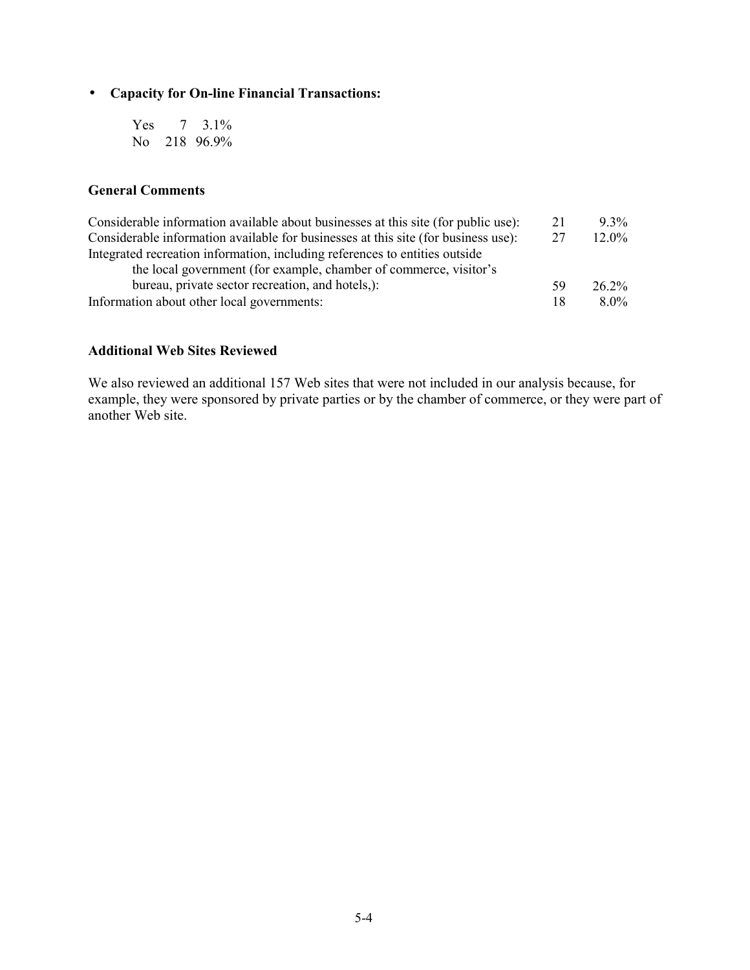## • Capacity for On-line Financial Transactions:

Yes  $7 \quad 3.1\%$ No 218 96.9%

## **General Comments**

| Considerable information available about businesses at this site (for public use): | 21 | $9.3\%$  |
|------------------------------------------------------------------------------------|----|----------|
| Considerable information available for businesses at this site (for business use): | 27 | $12.0\%$ |
| Integrated recreation information, including references to entities outside        |    |          |
| the local government (for example, chamber of commerce, visitor's                  |    |          |
| bureau, private sector recreation, and hotels,):                                   | 59 | 26.2%    |
| Information about other local governments:                                         | 18 | $8.0\%$  |

## **Additional Web Sites Reviewed**

We also reviewed an additional 157 Web sites that were not included in our analysis because, for example, they were sponsored by private parties or by the chamber of commerce, or they were part of another Web site.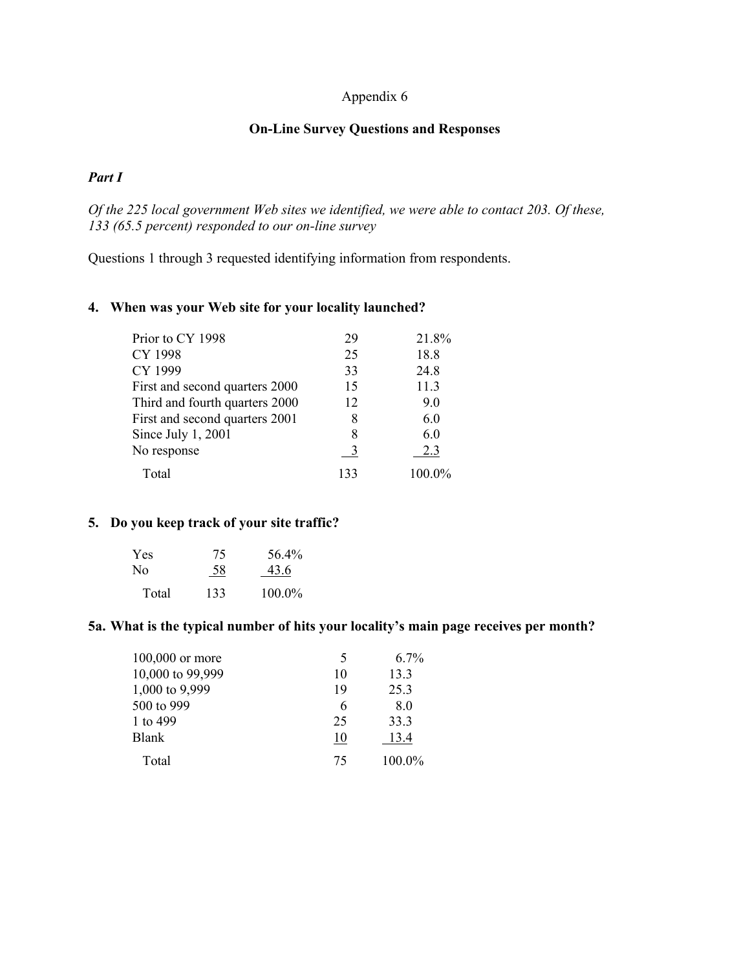## Appendix 6

## **On-Line Survey Questions and Responses**

## Part I

Of the 225 local government Web sites we identified, we were able to contact 203. Of these, 133 (65.5 percent) responded to our on-line survey

Questions 1 through 3 requested identifying information from respondents.

## 4. When was your Web site for your locality launched?

| Prior to CY 1998               | 29  | 21.8%  |
|--------------------------------|-----|--------|
| CY 1998                        | 25  | 18.8   |
| CY 1999                        | 33  | 24.8   |
| First and second quarters 2000 | 15  | 11.3   |
| Third and fourth quarters 2000 | 12  | 9.0    |
| First and second quarters 2001 | 8   | 6.0    |
| Since July $1, 2001$           | 8   | 6.0    |
| No response                    | -3  | 2.3    |
| Total                          | 133 | 100.0% |

## 5. Do you keep track of your site traffic?

| <b>Yes</b> | 75  | 56.4%  |
|------------|-----|--------|
| No.        | 58  | 43.6   |
| Total      | 133 | 100.0% |

#### 5a. What is the typical number of hits your locality's main page receives per month?

| 100,000 or more  | 5  | $6.7\%$ |
|------------------|----|---------|
| 10,000 to 99,999 | 10 | 13.3    |
| 1,000 to 9,999   | 19 | 25.3    |
| 500 to 999       | 6  | 8.0     |
| 1 to 499         | 25 | 33.3    |
| Blank            | 10 | 13.4    |
| Total            | 75 | 100.0%  |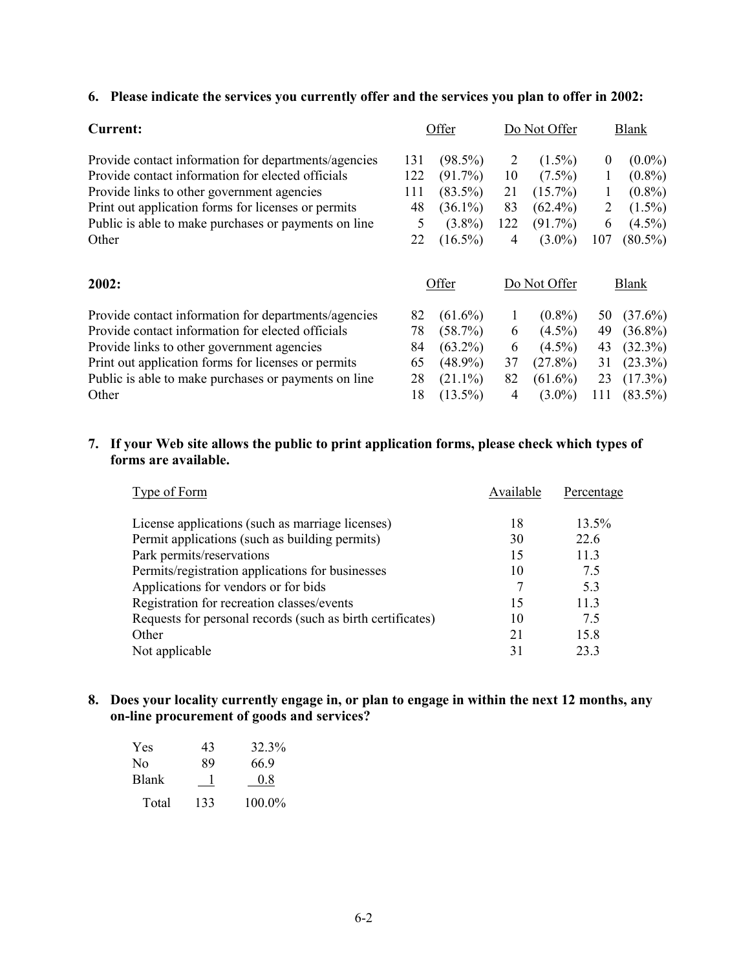#### 6. Please indicate the services you currently offer and the services you plan to offer in 2002:

| <b>Current:</b>                                      |     | Offer      |     | Do Not Offer |          | <b>Blank</b> |
|------------------------------------------------------|-----|------------|-----|--------------|----------|--------------|
| Provide contact information for departments/agencies | 131 | $(98.5\%)$ | 2   | $(1.5\%)$    | $\theta$ | $(0.0\%)$    |
| Provide contact information for elected officials    | 122 | $(91.7\%)$ | 10  | $(7.5\%)$    | $\bf{l}$ | $(0.8\%)$    |
| Provide links to other government agencies           | 111 | $(83.5\%)$ | 21  | $(15.7\%)$   |          | $(0.8\%)$    |
| Print out application forms for licenses or permits  | 48  | $(36.1\%)$ | 83  | $(62.4\%)$   | 2        | $(1.5\%)$    |
| Public is able to make purchases or payments on line | 5   | $(3.8\%)$  | 122 | $(91.7\%)$   | 6        | $(4.5\%)$    |
| Other                                                | 22  | $(16.5\%)$ | 4   | $(3.0\%)$    | 107      | $(80.5\%)$   |
| 2002:                                                |     | Offer      |     | Do Not Offer |          | Blank        |
| Provide contact information for departments/agencies | 82  | $(61.6\%)$ |     | $(0.8\%)$    | 50       | $(37.6\%)$   |
| Provide contact information for elected officials    | 78  | (58.7%)    | 6   | $(4.5\%)$    | 49       | $(36.8\%)$   |
| Provide links to other government agencies           | 84  | $(63.2\%)$ | 6   | $(4.5\%)$    | 43       | $(32.3\%)$   |
| Print out application forms for licenses or permits  | 65  | $(48.9\%)$ | 37  | $(27.8\%)$   | 31       | $(23.3\%)$   |
| Public is able to make purchases or payments on line | 28  | $(21.1\%)$ | 82  | $(61.6\%)$   | 23       | $(17.3\%)$   |

## 7. If your Web site allows the public to print application forms, please check which types of forms are available.

 $18(13.5\%)$ 

 $\overline{4}$ 

 $(3.0\%)$  111  $(83.5\%)$ 

| Type of Form                                               | Available | Percentage |
|------------------------------------------------------------|-----------|------------|
| License applications (such as marriage licenses)           | 18        | $13.5\%$   |
| Permit applications (such as building permits)             | 30        | 22.6       |
| Park permits/reservations                                  | 15        | 11.3       |
| Permits/registration applications for businesses           | 10        | 7.5        |
| Applications for vendors or for bids                       |           | 53         |
| Registration for recreation classes/events                 | 15        | 113        |
| Requests for personal records (such as birth certificates) | 10        | 7.5        |
| Other                                                      | 21        | 15.8       |
| Not applicable                                             | 31        | 233        |

## 8. Does your locality currently engage in, or plan to engage in within the next 12 months, any on-line procurement of goods and services?

| <b>Yes</b>     | 43  | 32.3%  |
|----------------|-----|--------|
| N <sub>0</sub> | 89  | 66.9   |
| <b>Blank</b>   |     | 0.8    |
| Total          | 133 | 100.0% |

Other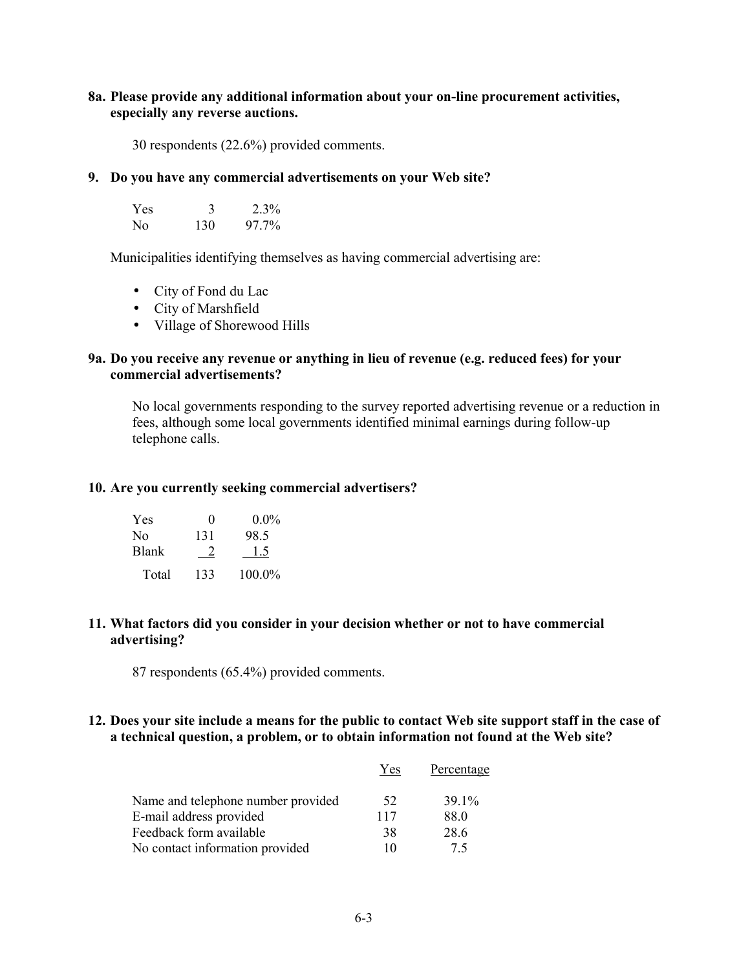#### **8a. Please provide any additional information about your on-line procurement activities,**  $i$  especially any reverse auctions.

30 respondents  $(22.6\%)$  provided comments.

#### **9. Do vou have any commercial advertisements on vour Web site?**

| <b>Yes</b> |     | $2.3\%$ |
|------------|-----|---------|
| No.        | 130 | 97.7%   |

Municipalities identifying themselves as having commercial advertising are:

- City of Fond du Lac
- City of Marshfield
- Village of Shorewood Hills

#### **2a. Do you receive any revenue or anything in lieu of revenue (e.g. reduced fees) for your**  $commercial$  advertisements?

No local governments responding to the survey reported advertising revenue or a reduction in fees, although some local governments identified minimal earnings during follow-up telephone calls.

#### **10. Are you currently seeking commercial advertisers?**

| <b>Yes</b>     | 0   | $0.0\%$ |
|----------------|-----|---------|
| N <sub>0</sub> | 131 | 98.5    |
| <b>Blank</b>   |     | 15      |
| Total          | 133 | 100.0%  |

#### **11. What factors did you consider in your decision whether or not to have commercial advertising?**

87 respondents  $(65.4\%)$  provided comments.

#### 12. Does your site include a means for the public to contact Web site support staff in the case of a technical question, a problem, or to obtain information not found at the Web site?

|                                    | Yes | Percentage |
|------------------------------------|-----|------------|
| Name and telephone number provided | 52  | 39.1%      |
| E-mail address provided            | 117 | 88.0       |
| Feedback form available            | 38  | 28.6       |
| No contact information provided    | 10  | 75         |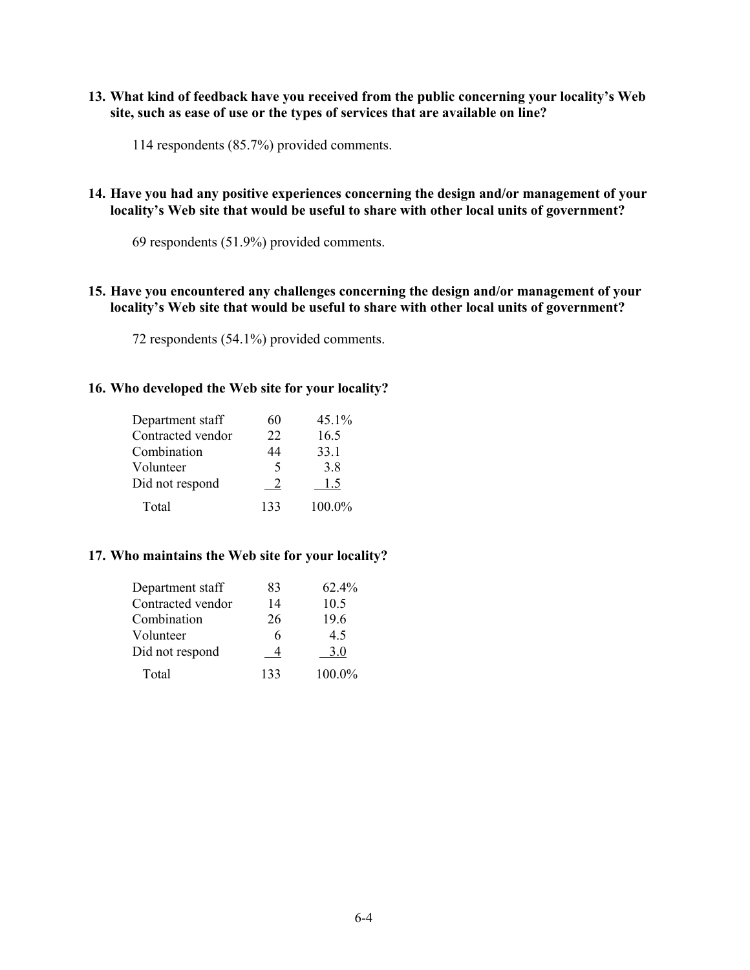### 13. What kind of feedback have you received from the public concerning your locality's Web site, such as ease of use or the types of services that are available on line?

114 respondents (85.7%) provided comments.

#### 14. Have you had any positive experiences concerning the design and/or management of your locality's Web site that would be useful to share with other local units of government?

69 respondents (51.9%) provided comments.

## 15. Have you encountered any challenges concerning the design and/or management of your locality's Web site that would be useful to share with other local units of government?

72 respondents (54.1%) provided comments.

#### 16. Who developed the Web site for your locality?

| Department staff  | 60                       | 45.1%  |
|-------------------|--------------------------|--------|
| Contracted vendor | 22                       | 16.5   |
| Combination       | 44                       | 33.1   |
| Volunteer         | $\overline{\phantom{1}}$ | 3.8    |
| Did not respond   |                          | 1.5    |
| Total             | 133                      | 100.0% |

## 17. Who maintains the Web site for your locality?

| Department staff  | 83  | 62.4%  |
|-------------------|-----|--------|
| Contracted vendor | 14  | 10.5   |
| Combination       | 26  | 19.6   |
| Volunteer         |     | 4.5    |
| Did not respond   |     | 3.0    |
| Total             | 133 | 100.0% |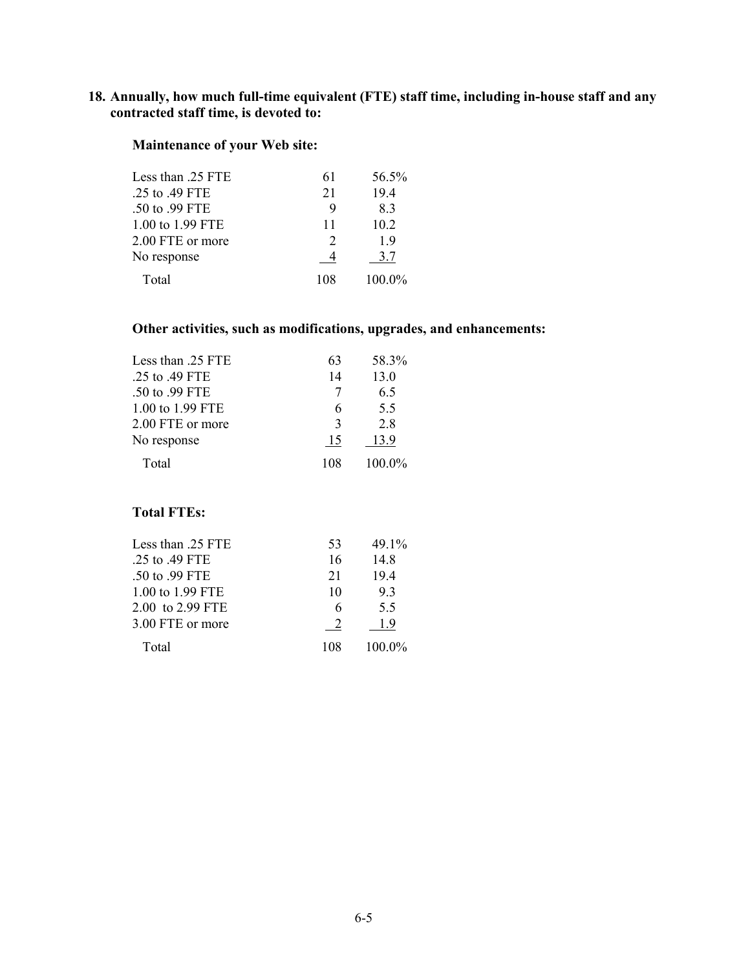## 18. Annually, how much full-time equivalent (FTE) staff time, including in-house staff and any contracted staff time, is devoted to:

## Maintenance of your Web site:

| Less than .25 FTE | 61  | 56.5%  |
|-------------------|-----|--------|
| .25 to .49 FTE    | 21  | 19.4   |
| .50 to .99 FTE    | 9   | 83     |
| 1.00 to 1.99 FTE  | 11  | 10.2   |
| 2.00 FTE or more  | 2   | 19     |
| No response       |     | 3.7    |
| Total             | 108 | 100.0% |

## Other activities, such as modifications, upgrades, and enhancements:

| Less than .25 FTE | 63            | 58.3%  |
|-------------------|---------------|--------|
| .25 to .49 FTE    | 14            | 13.0   |
| .50 to .99 FTE    | 7             | 6.5    |
| 1.00 to 1.99 FTE  | 6             | 5.5    |
| 2.00 FTE or more  | $\mathcal{E}$ | 28     |
| No response       | 15            | 13.9   |
| Total             | 108           | 100.0% |

## **Total FTEs:**

| Less than 25 FTE | 53  | 49.1%    |
|------------------|-----|----------|
| .25 to .49 FTE   | 16  | 14.8     |
| .50 to .99 FTE   | 21  | 194      |
| 1.00 to 1.99 FTE | 10  | 93       |
| 2.00 to 2.99 FTE |     | 5.5      |
| 3.00 FTE or more |     | 19       |
| Total            | 108 | $1000\%$ |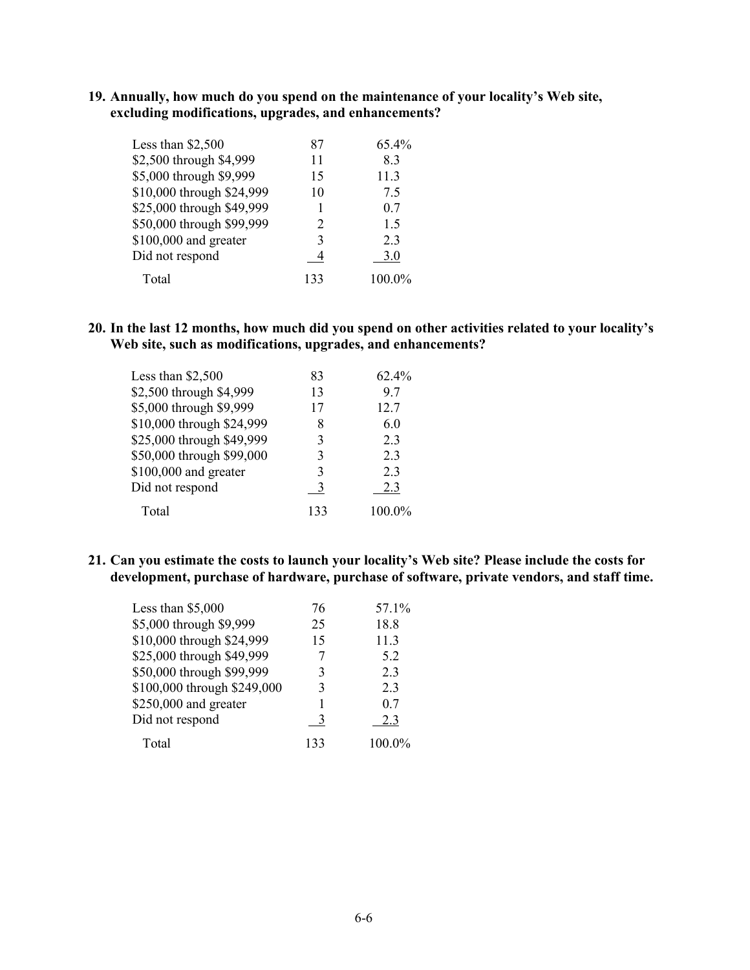## 19. Annually, how much do you spend on the maintenance of your locality's Web site, excluding modifications, upgrades, and enhancements?

| Less than \$2,500         | 87            | $65.4\%$       |
|---------------------------|---------------|----------------|
| \$2,500 through \$4,999   | 11            | 83             |
| \$5,000 through \$9,999   | 15            | 11.3           |
| \$10,000 through \$24,999 | 10            | 75             |
| \$25,000 through \$49,999 |               | 0.7            |
| \$50,000 through \$99,999 | $\mathcal{D}$ | 1.5            |
| \$100,000 and greater     | 3             | 2 <sub>3</sub> |
| Did not respond           |               | 3.0            |
| Total                     | 133           | 100.0%         |

20. In the last 12 months, how much did you spend on other activities related to your locality's Web site, such as modifications, upgrades, and enhancements?

| Less than $$2,500$        | 83  | 62.4%          |
|---------------------------|-----|----------------|
| \$2,500 through \$4,999   | 13  | 97             |
| \$5,000 through \$9,999   | 17  | 12.7           |
| \$10,000 through \$24,999 | 8   | 6.0            |
| \$25,000 through \$49,999 | 3   | 2.3            |
| \$50,000 through \$99,000 | 3   | 2 <sub>3</sub> |
| \$100,000 and greater     | 3   | 2 <sub>3</sub> |
| Did not respond           | -3  | 2.3            |
| Total                     | 133 | 100.0%         |

21. Can you estimate the costs to launch your locality's Web site? Please include the costs for development, purchase of hardware, purchase of software, private vendors, and staff time.

| Less than $$5,000$          | 76  | 57.1%  |
|-----------------------------|-----|--------|
| \$5,000 through \$9,999     | 25  | 18.8   |
| \$10,000 through \$24,999   | 15  | 11.3   |
| \$25,000 through \$49,999   |     | 5.2    |
| \$50,000 through \$99,999   | 3   | 2.3    |
| \$100,000 through \$249,000 | 3   | 23     |
| $$250,000$ and greater      |     | 07     |
| Did not respond             |     | 2.3    |
| Total                       | 133 | 100.0% |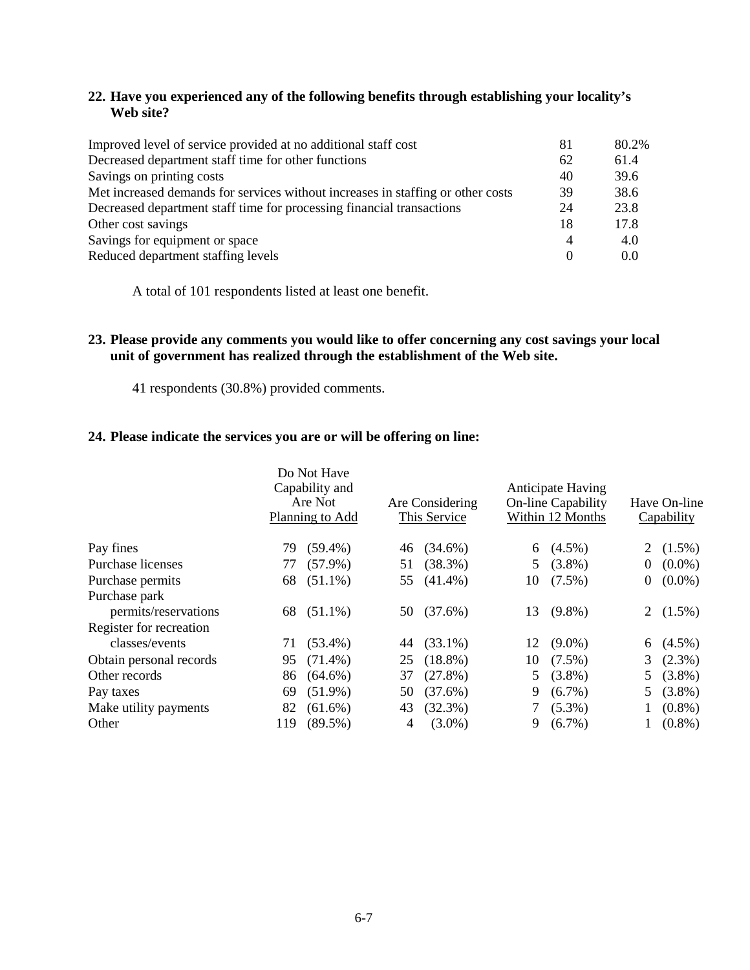## **22. Have you experienced any of the following benefits through establishing your locality's Web site?**

| Improved level of service provided at no additional staff cost                  | 81       | 80.2% |
|---------------------------------------------------------------------------------|----------|-------|
| Decreased department staff time for other functions                             | 62       | 61.4  |
| Savings on printing costs                                                       | 40       | 39.6  |
| Met increased demands for services without increases in staffing or other costs | 39       | 38.6  |
| Decreased department staff time for processing financial transactions           | 24       | 23.8  |
| Other cost savings                                                              | 18       | 17.8  |
| Savings for equipment or space                                                  | 4        | 4.0   |
| Reduced department staffing levels                                              | $\theta$ | 0.0   |
|                                                                                 |          |       |

A total of 101 respondents listed at least one benefit.

## **23. Please provide any comments you would like to offer concerning any cost savings your local unit of government has realized through the establishment of the Web site.**

41 respondents (30.8%) provided comments.

#### **24. Please indicate the services you are or will be offering on line:**

|                         |     | Do Not Have<br>Capability and<br>Are Not<br>Planning to Add |    | Are Considering<br>This Service |    | <b>Anticipate Having</b><br>On-line Capability<br>Within 12 Months |                | Have On-line<br>Capability |
|-------------------------|-----|-------------------------------------------------------------|----|---------------------------------|----|--------------------------------------------------------------------|----------------|----------------------------|
| Pay fines               | 79  | $(59.4\%)$                                                  | 46 | $(34.6\%)$                      |    | 6 $(4.5\%)$                                                        |                | 2 $(1.5\%)$                |
| Purchase licenses       | 77  | $(57.9\%)$                                                  | 51 | $(38.3\%)$                      | 5  | $(3.8\%)$                                                          | $\overline{0}$ | $(0.0\%)$                  |
| Purchase permits        | 68  | $(51.1\%)$                                                  |    | 55 (41.4%)                      | 10 | $(7.5\%)$                                                          | $\overline{0}$ | $(0.0\%)$                  |
| Purchase park           |     |                                                             |    |                                 |    |                                                                    |                |                            |
| permits/reservations    |     | 68 (51.1%)                                                  |    | 50 (37.6%)                      |    | 13 (9.8%)                                                          |                | 2 $(1.5\%)$                |
| Register for recreation |     |                                                             |    |                                 |    |                                                                    |                |                            |
| classes/events          | 71  | $(53.4\%)$                                                  | 44 | $(33.1\%)$                      | 12 | $(9.0\%)$                                                          |                | 6 $(4.5\%)$                |
| Obtain personal records | 95  | $(71.4\%)$                                                  | 25 | $(18.8\%)$                      | 10 | $(7.5\%)$                                                          |                | 3(2.3%)                    |
| Other records           | 86  | $(64.6\%)$                                                  | 37 | $(27.8\%)$                      | 5  | $(3.8\%)$                                                          |                | 5 $(3.8\%)$                |
| Pay taxes               | 69  | $(51.9\%)$                                                  | 50 | (37.6%)                         | 9  | $(6.7\%)$                                                          |                | 5 $(3.8\%)$                |
| Make utility payments   | 82  | $(61.6\%)$                                                  | 43 | $(32.3\%)$                      |    | $(5.3\%)$                                                          |                | $(0.8\%)$                  |
| Other                   | 119 | $(89.5\%)$                                                  | 4  | $(3.0\%)$                       | 9  | $(6.7\%)$                                                          |                | $(0.8\%)$                  |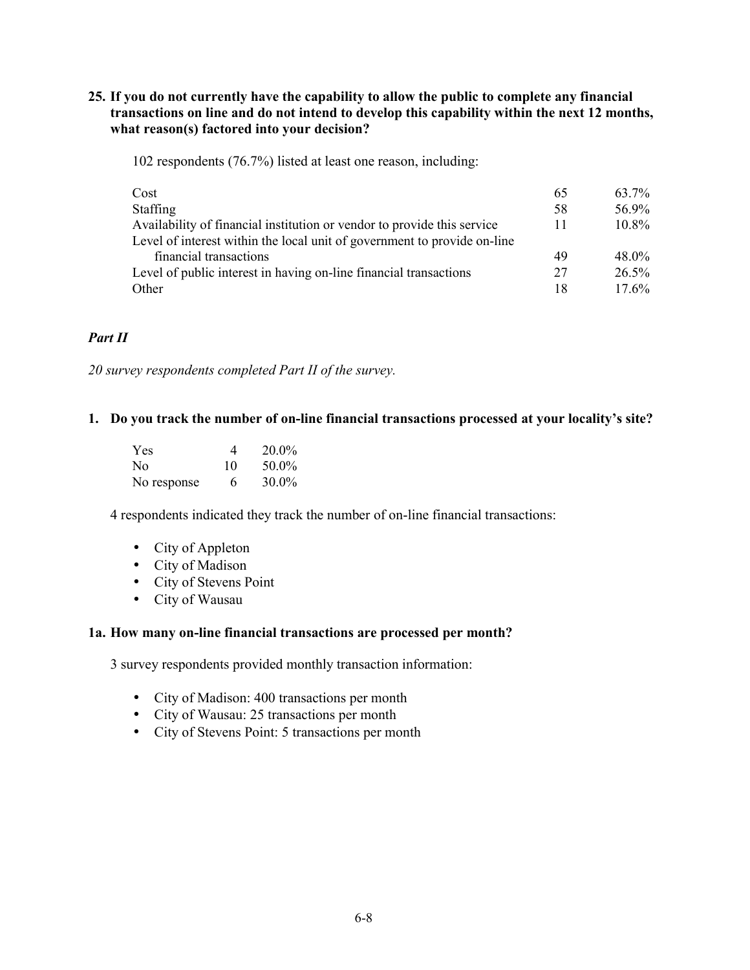### 25. If you do not currently have the capability to allow the public to complete any financial transactions on line and do not intend to develop this capability within the next 12 months, what reason(s) factored into your decision?

102 respondents (76.7%) listed at least one reason, including:

| Cost                                                                     | 65 | 63.7%    |
|--------------------------------------------------------------------------|----|----------|
| <b>Staffing</b>                                                          | 58 | 56.9%    |
| Availability of financial institution or vendor to provide this service  | 11 | $10.8\%$ |
| Level of interest within the local unit of government to provide on-line |    |          |
| financial transactions                                                   | 49 | 48.0%    |
| Level of public interest in having on-line financial transactions        | 27 | $26.5\%$ |
| Other                                                                    | 18 | $17.6\%$ |

## Part II

20 survey respondents completed Part II of the survey.

#### 1. Do you track the number of on-line financial transactions processed at your locality's site?

| <b>Yes</b>  | 4  | $20.0\%$ |
|-------------|----|----------|
| No.         | 10 | 50.0%    |
| No response | 6  | $30.0\%$ |

4 respondents indicated they track the number of on-line financial transactions:

- $\bullet$  City of Appleton
- City of Madison
- City of Stevens Point
- City of Wausau

#### 1a. How many on-line financial transactions are processed per month?

3 survey respondents provided monthly transaction information:

- City of Madison: 400 transactions per month
- City of Wausau: 25 transactions per month
- City of Stevens Point: 5 transactions per month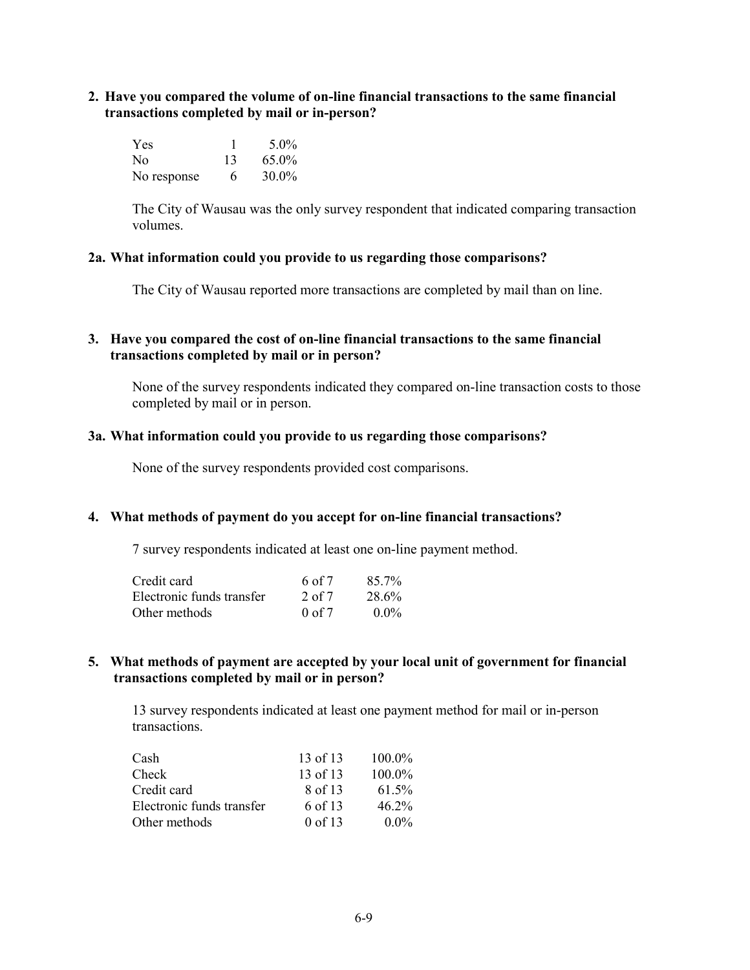**2.** Have you compared the volume of on-line financial transactions to the same financial **transactions completed by mail or in-person?** 

| Yes         |    | $5.0\%$ |
|-------------|----|---------|
| No.         | 13 | 65.0%   |
| No response | 6  | 30.0%   |

The City of Wausau was the only survey respondent that indicated comparing transaction volumes

#### **2a. What information could you provide to us regarding those comparisons?**

The City of Wausau reported more transactions are completed by mail than on line.

#### **3.** Have you compared the cost of on-line financial transactions to the same financial  $transactions completed by mail or in person?$

None of the survey respondents indicated they compared on-line transaction costs to those completed by mail or in person.

#### **3a. What information could you provide to us regarding those comparisons?**

None of the survey respondents provided cost comparisons.

#### **4.** What methods of payment do you accept for on-line financial transactions?

7 survey respondents indicated at least one on-line payment method.

| Credit card               | 6 of 7            | $85.7\%$ |
|---------------------------|-------------------|----------|
| Electronic funds transfer | $2$ of $7$        | 28.6%    |
| Other methods             | $0 \text{ of } 7$ | $0.0\%$  |

#### 5. What methods of payment are accepted by your local unit of government for financial **transactions completed by mail or in person?**

13 survey respondents indicated at least one payment method for mail or in-person transactions.

| Cash                      | 13 of 13  | $100.0\%$ |
|---------------------------|-----------|-----------|
| Check                     | 13 of 13  | $100.0\%$ |
| Credit card               | 8 of 13   | 61.5%     |
| Electronic funds transfer | 6 of 13   | $46.2\%$  |
| Other methods             | $0$ of 13 | $0.0\%$   |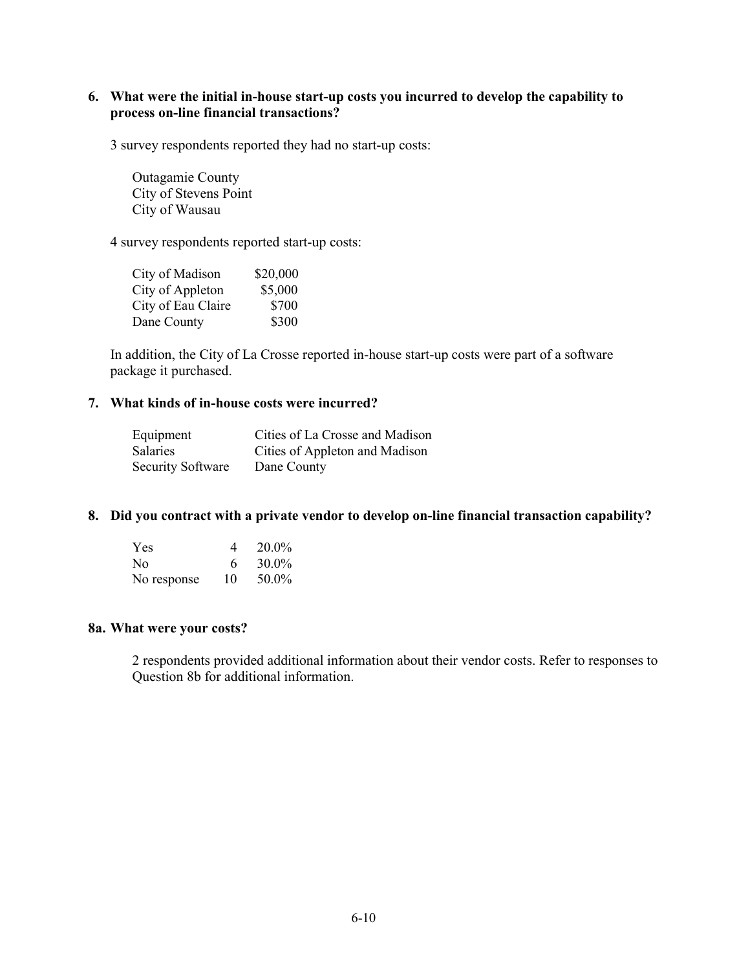## 6. What were the initial in-house start-up costs you incurred to develop the capability to process on-line financial transactions?

3 survey respondents reported they had no start-up costs:

Outagamie County City of Stevens Point City of Wausau

4 survey respondents reported start-up costs:

| City of Madison    | \$20,000 |
|--------------------|----------|
| City of Appleton   | \$5,000  |
| City of Eau Claire | \$700    |
| Dane County        | \$300    |

In addition, the City of La Crosse reported in-house start-up costs were part of a software package it purchased.

#### 7. What kinds of in-house costs were incurred?

| Equipment                | Cities of La Crosse and Madison |
|--------------------------|---------------------------------|
| <b>Salaries</b>          | Cities of Appleton and Madison  |
| <b>Security Software</b> | Dane County                     |

#### 8. Did you contract with a private vendor to develop on-line financial transaction capability?

| <b>Yes</b>  | 4  | 20.0%    |
|-------------|----|----------|
| No.         | 6  | $30.0\%$ |
| No response | 10 | 50.0%    |

## 8a. What were your costs?

2 respondents provided additional information about their vendor costs. Refer to responses to Question 8b for additional information.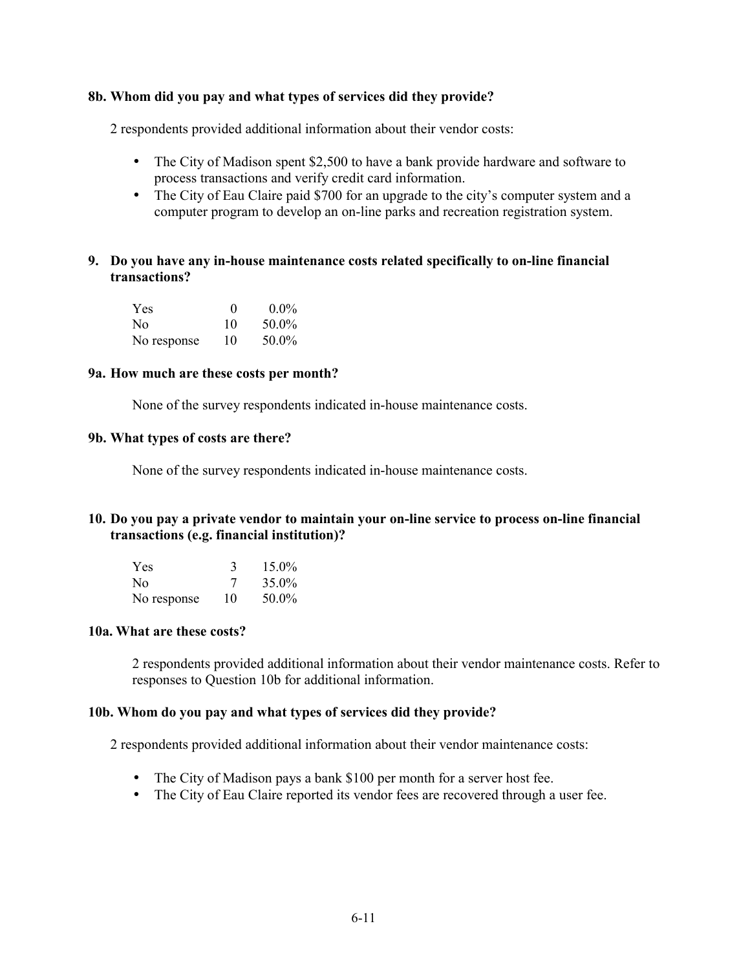#### 8b. Whom did you pay and what types of services did they provide?

2 respondents provided additional information about their vendor costs:

- The City of Madison spent \$2,500 to have a bank provide hardware and software to process transactions and verify credit card information.
- The City of Eau Claire paid \$700 for an upgrade to the city's computer system and a computer program to develop an on-line parks and recreation registration system.

### 9. Do you have any in-house maintenance costs related specifically to on-line financial transactions?

| <b>Yes</b>  | $\mathbf{0}$ | $0.0\%$ |
|-------------|--------------|---------|
| No.         | 10           | 50.0%   |
| No response | 10           | 50.0%   |

#### 9a. How much are these costs per month?

None of the survey respondents indicated in-house maintenance costs.

#### 9b. What types of costs are there?

None of the survey respondents indicated in-house maintenance costs.

## 10. Do you pay a private vendor to maintain your on-line service to process on-line financial transactions (e.g. financial institution)?

| <b>Yes</b>  | 3  | $15.0\%$ |
|-------------|----|----------|
| No.         | 7  | 35.0%    |
| No response | 10 | 50.0%    |

#### 10a. What are these costs?

2 respondents provided additional information about their vendor maintenance costs. Refer to responses to Question 10b for additional information.

#### 10b. Whom do you pay and what types of services did they provide?

2 respondents provided additional information about their vendor maintenance costs:

- The City of Madison pays a bank \$100 per month for a server host fee.
- The City of Eau Claire reported its vendor fees are recovered through a user fee.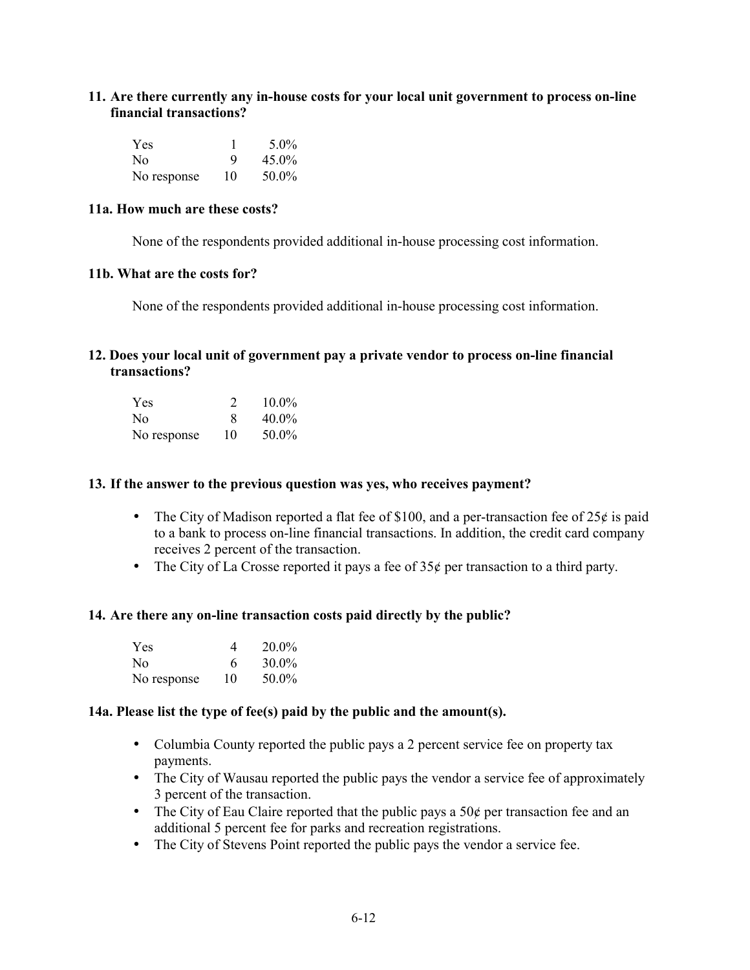### 11. Are there currently any in-house costs for your local unit government to process on-line financial transactions?

| <b>Yes</b>  |    | $5.0\%$  |
|-------------|----|----------|
| No.         | 9  | $45.0\%$ |
| No response | 10 | 50.0%    |

#### 11a. How much are these costs?

None of the respondents provided additional in-house processing cost information.

#### 11b. What are the costs for?

None of the respondents provided additional in-house processing cost information.

## 12. Does your local unit of government pay a private vendor to process on-line financial transactions?

| <b>Yes</b>  |    | $10.0\%$ |
|-------------|----|----------|
| No.         | х  | $40.0\%$ |
| No response | 10 | 50.0%    |

#### 13. If the answer to the previous question was yes, who receives payment?

- The City of Madison reported a flat fee of \$100, and a per-transaction fee of  $25¢$  is paid to a bank to process on-line financial transactions. In addition, the credit card company receives 2 percent of the transaction.
- The City of La Crosse reported it pays a fee of  $35¢$  per transaction to a third party.

#### 14. Are there any on-line transaction costs paid directly by the public?

| <b>Yes</b>  | 4  | $20.0\%$ |
|-------------|----|----------|
| No.         | 6  | $30.0\%$ |
| No response | 10 | 50.0%    |

#### 14a. Please list the type of  $fee(s)$  paid by the public and the amount(s).

- Columbia County reported the public pays a 2 percent service fee on property tax payments.
- The City of Wausau reported the public pays the vendor a service fee of approximately 3 percent of the transaction.
- The City of Eau Claire reported that the public pays a  $50¢$  per transaction fee and an additional 5 percent fee for parks and recreation registrations.
- The City of Stevens Point reported the public pays the vendor a service fee.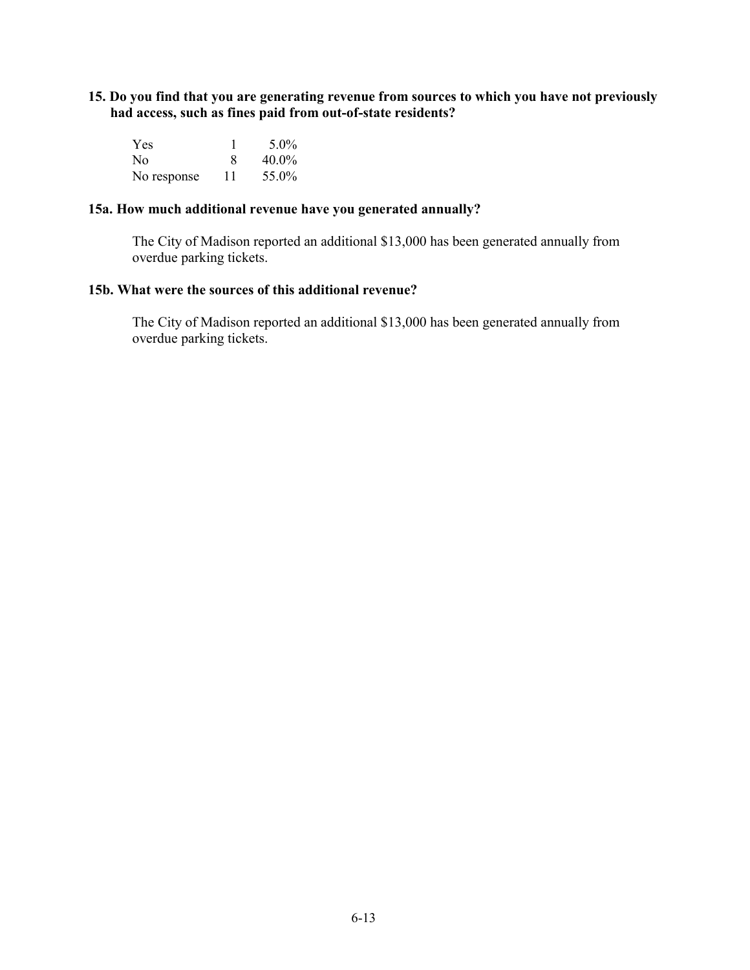15. Do you find that you are generating revenue from sources to which you have not previously had access, such as fines paid from out-of-state residents?

| <b>Yes</b>  |    | $5.0\%$  |
|-------------|----|----------|
| No.         |    | $40.0\%$ |
| No response | 11 | 55.0%    |

#### **15a. How much additional revenue have you generated annually?**

The City of Madison reported an additional \$13,000 has been generated annually from overdue parking tickets.

#### **15b. What were the sources of this additional revenue?**

The City of Madison reported an additional \$13,000 has been generated annually from overdue parking tickets.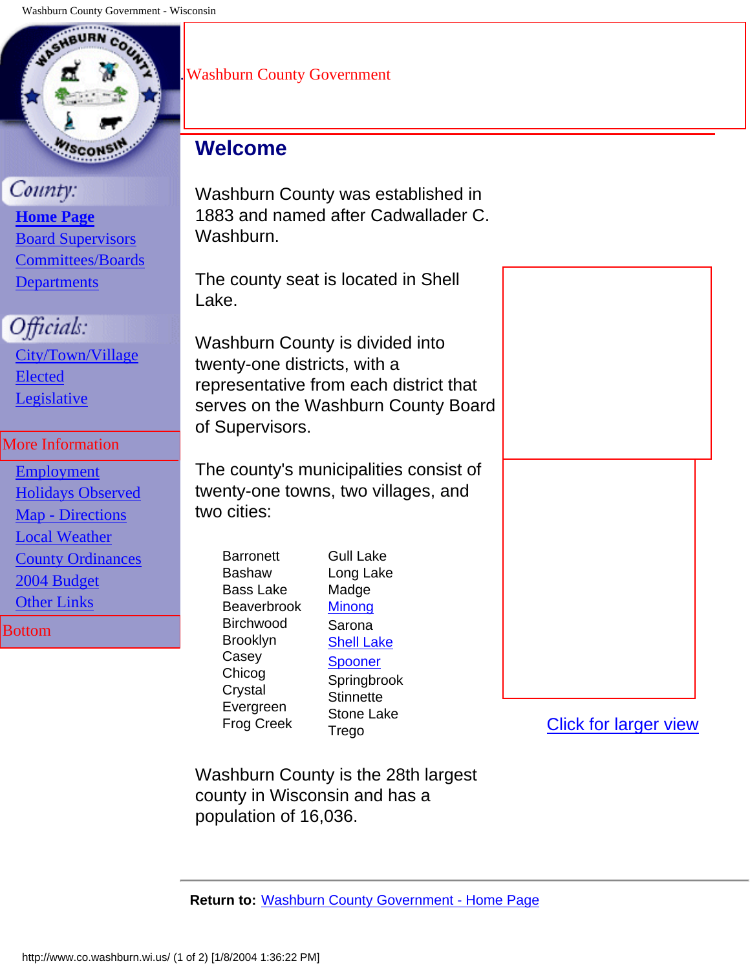<span id="page-99-0"></span>

# County:

 **[Home Page](http://www.co.washburn.wi.us/index.htm)** [Board Supervisors](http://www.co.washburn.wi.us/boardsupervisors/index.htm) [Committees/Boards](http://www.co.washburn.wi.us/committees/index.htm) **[Departments](http://www.co.washburn.wi.us/departments/index.htm)** 

# Officials:

 [City/Town/Village](http://www.co.washburn.wi.us/ctvofficials/index.htm) [Elected](http://www.co.washburn.wi.us/electedofficials/index.htm) [Legislative](http://www.co.washburn.wi.us/legislative/index.htm)

# More Information

 [Employment](http://www.co.washburn.wi.us/departments/administration/forms/index.htm) [Holidays Observed](http://www.co.washburn.wi.us/countyinfo/legalholidays.htm) [Map - Directions](http://www.co.washburn.wi.us/countyinfo/locations/index.htm) [Local Weather](http://www.co.washburn.wi.us/countyinfo/weather.htm) [County Ordinances](http://livepublish.municode.com/LivePublish/newonlinecodes.asp?infobase=13283) [2004 Budget](http://www.co.washburn.wi.us/countyinfo/budget/index.htm) **[Other Links](http://www.co.washburn.wi.us/countyinfo/otherlinks.htm)** Bottom

# .Washburn County Government

# **Welcome**

Washburn County was established in 1883 and named after Cadwallader C. Washburn.

The county seat is located in Shell Lake.

Washburn County is divided into twenty-one districts, with a representative from each district that serves on the Washburn County Board of Supervisors.

The county's municipalities consist of twenty-one towns, two villages, and two cities:

**Barronett Bashaw** Bass Lake Beaverbrook Birchwood Brooklyn Casey Chicog **Crystal** Evergreen Frog Creek

Gull Lake Long Lake Madge **[Minong](http://www.minong.us/)** Sarona [Shell Lake](http://www.shelllakeonline.com/) [Spooner](http://www.cityofspooner.org/) **Springbrook Stinnette** Stone Lake Trego

[Click for larger view](http://www.co.washburn.wi.us/images/maps/washco21dist-roads-large.jpg)

Washburn County is the 28th largest county in Wisconsin and has a population of 16,036.